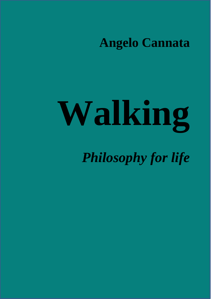**Angelo Cannata**

# **Walking**

*Philosophy for life*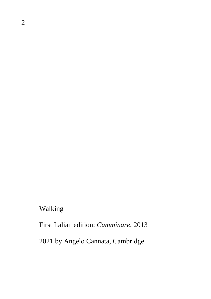Walking

First Italian edition: *Camminare*, 2013

2021 by Angelo Cannata, Cambridge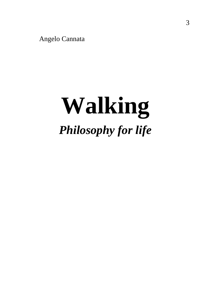Angelo Cannata

# **Walking** *Philosophy for life*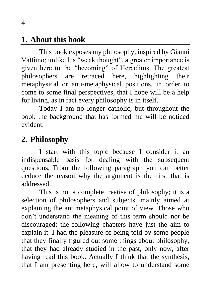### **1. About this book**

This book exposes my philosophy, inspired by Gianni Vattimo; unlike his "weak thought", a greater importance is given here to the "becoming" of Heraclitus. The greatest philosophers are retraced here, highlighting their metaphysical or anti-metaphysical positions, in order to come to some final perspectives, that I hope will be a help for living, as in fact every philosophy is in itself.

Today I am no longer catholic, but throughout the book the background that has formed me will be noticed evident.

# **2. Philosophy**

I start with this topic because I consider it an indispensable basis for dealing with the subsequent questions. From the following paragraph you can better deduce the reason why the argument is the first that is addressed.

This is not a complete treatise of philosophy; it is a selection of philosophers and subjects, mainly aimed at explaining the antimetaphysical point of view. Those who don't understand the meaning of this term should not be discouraged: the following chapters have just the aim to explain it. I had the pleasure of being told by some people that they finally figured out some things about philosophy, that they had already studied in the past, only now, after having read this book. Actually I think that the synthesis, that I am presenting here, will allow to understand some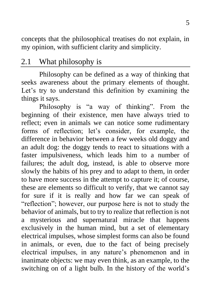concepts that the philosophical treatises do not explain, in my opinion, with sufficient clarity and simplicity.

# 2.1 What philosophy is

Philosophy can be defined as a way of thinking that seeks awareness about the primary elements of thought. Let's try to understand this definition by examining the things it says.

Philosophy is "a way of thinking". From the beginning of their existence, men have always tried to reflect; even in animals we can notice some rudimentary forms of reflection; let's consider, for example, the difference in behavior between a few weeks old doggy and an adult dog: the doggy tends to react to situations with a faster impulsiveness, which leads him to a number of failures; the adult dog, instead, is able to observe more slowly the habits of his prey and to adapt to them, in order to have more success in the attempt to capture it; of course, these are elements so difficult to verify, that we cannot say for sure if it is really and how far we can speak of "reflection"; however, our purpose here is not to study the behavior of animals, but to try to realize that reflection is not a mysterious and supernatural miracle that happens exclusively in the human mind, but a set of elementary electrical impulses, whose simplest forms can also be found in animals, or even, due to the fact of being precisely electrical impulses, in any nature's phenomenon and in inanimate objects: we may even think, as an example, to the switching on of a light bulb. In the history of the world's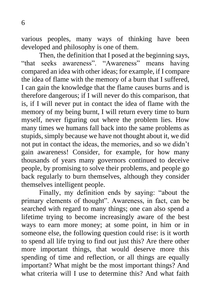various peoples, many ways of thinking have been developed and philosophy is one of them.

Then, the definition that I posed at the beginning says, "that seeks awareness". "Awareness" means having compared an idea with other ideas; for example, if I compare the idea of flame with the memory of a burn that I suffered, I can gain the knowledge that the flame causes burns and is therefore dangerous; if I will never do this comparison, that is, if I will never put in contact the idea of flame with the memory of my being burnt, I will return every time to burn myself, never figuring out where the problem lies. How many times we humans fall back into the same problems as stupids, simply because we have not thought about it, we did not put in contact the ideas, the memories, and so we didn't gain awareness! Consider, for example, for how many thousands of years many governors continued to deceive people, by promising to solve their problems, and people go back regularly to burn themselves, although they consider themselves intelligent people.

Finally, my definition ends by saying: "about the primary elements of thought". Awareness, in fact, can be searched with regard to many things; one can also spend a lifetime trying to become increasingly aware of the best ways to earn more money; at some point, in him or in someone else, the following question could rise: is it worth to spend all life trying to find out just this? Are there other more important things, that would deserve more this spending of time and reflection, or all things are equally important? What might be the most important things? And what criteria will I use to determine this? And what faith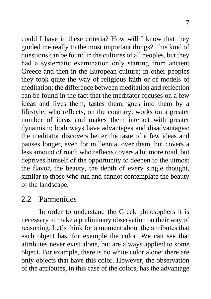could I have in these criteria? How will I know that they guided me really to the most important things? This kind of questions can be found in the cultures of all peoples, but they had a systematic examination only starting from ancient Greece and then in the European culture; in other peoples they took quite the way of religious faith or of models of meditation; the difference between meditation and reflection can be found in the fact that the meditator focuses on a few ideas and lives them, tastes them, goes into them by a lifestyle; who reflects, on the contrary, works on a greater number of ideas and makes them interact with greater dynamism; both ways have advantages and disadvantages: the meditator discovers better the taste of a few ideas and pauses longer, even for millennia, over them, but covers a less amount of road; who reflects covers a lot more road, but deprives himself of the opportunity to deepen to the utmost the flavor, the beauty, the depth of every single thought, similar to those who run and cannot contemplate the beauty of the landscape.

#### 2.2 Parmenides

In order to understand the Greek philosophers it is necessary to make a preliminary observation on their way of reasoning. Let's think for a moment about the attributes that each object has, for example the color. We can see that attributes never exist alone, but are always applied to some object. For example, there is no white color alone: there are only objects that have this color. However, the observation of the attributes, in this case of the colors, has the advantage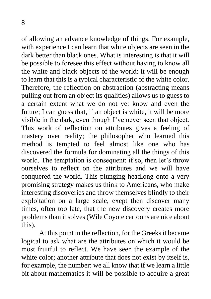of allowing an advance knowledge of things. For example, with experience I can learn that white objects are seen in the dark better than black ones. What is interesting is that it will be possible to foresee this effect without having to know all the white and black objects of the world: it will be enough to learn that this is a typical characteristic of the white color. Therefore, the reflection on abstraction (abstracting means pulling out from an object its qualities) allows us to guess to a certain extent what we do not yet know and even the future; I can guess that, if an object is white, it will be more visible in the dark, even though I've never seen that object. This work of reflection on attributes gives a feeling of mastery over reality; the philosopher who learned this method is tempted to feel almost like one who has discovered the formula for dominating all the things of this world. The temptation is consequent: if so, then let's throw ourselves to reflect on the attributes and we will have conquered the world. This plunging headlong onto a very promising strategy makes us think to Americans, who make interesting discoveries and throw themselves blindly to their exploitation on a large scale, exept then discover many times, often too late, that the new discovery creates more problems than it solves (Wile Coyote cartoons are nice about this).

At this point in the reflection, for the Greeks it became logical to ask what are the attributes on which it would be most fruitful to reflect. We have seen the example of the white color; another attribute that does not exist by itself is, for example, the number: we all know that if we learn a little bit about mathematics it will be possible to acquire a great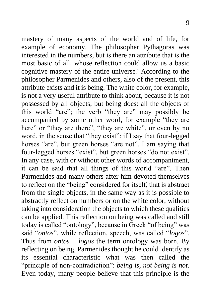mastery of many aspects of the world and of life, for example of economy. The philosopher Pythagoras was interested in the numbers, but is there an attribute that is the most basic of all, whose reflection could allow us a basic cognitive mastery of the entire universe? According to the philosopher Parmenides and others, also of the present, this attribute exists and it is being. The white color, for example, is not a very useful attribute to think about, because it is not possessed by all objects, but being does: all the objects of this world "are"; the verb "they are" may possibly be accompanied by some other word, for example "they are here" or "they are there", "they are white", or even by no word, in the sense that "they exist": if I say that four-legged horses "are", but green horses "are not", I am saying that four-legged horses "exist", but green horses "do not exist". In any case, with or without other words of accompaniment, it can be said that all things of this world "are". Then Parmenides and many others after him devoted themselves to reflect on the "being" considered for itself, that is abstract from the single objects, in the same way as it is possible to abstractly reflect on numbers or on the white color, without taking into consideration the objects to which these qualities can be applied. This reflection on being was called and still today is called "ontology", because in Greek "of being" was said "*ontos*", while reflection, speech, was called "*logos*". Thus from *ontos* + *logos* the term ontology was born. By reflecting on being, Parmenides thought he could identify as its essential characteristic what was then called the "principle of non-contradiction": *being is, not being is not*. Even today, many people believe that this principle is the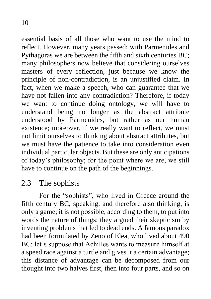essential basis of all those who want to use the mind to reflect. However, many years passed; with Parmenides and Pythagoras we are between the fifth and sixth centuries BC; many philosophers now believe that considering ourselves masters of every reflection, just because we know the principle of non-contradiction, is an unjustified claim. In fact, when we make a speech, who can guarantee that we have not fallen into any contradiction? Therefore, if today we want to continue doing ontology, we will have to understand being no longer as the abstract attribute understood by Parmenides, but rather as our human existence; moreover, if we really want to reflect, we must not limit ourselves to thinking about abstract attributes, but we must have the patience to take into consideration even individual particular objects. But these are only anticipations of today's philosophy; for the point where we are, we still have to continue on the path of the beginnings.

# 2.3 The sophists

For the "sophists", who lived in Greece around the fifth century BC, speaking, and therefore also thinking, is only a game; it is not possible, according to them, to put into words the nature of things; they argued their skepticism by inventing problems that led to dead ends. A famous paradox had been formulated by Zeno of Elea, who lived about 490 BC: let's suppose that Achilles wants to measure himself at a speed race against a turtle and gives it a certain advantage; this distance of advantage can be decomposed from our thought into two halves first, then into four parts, and so on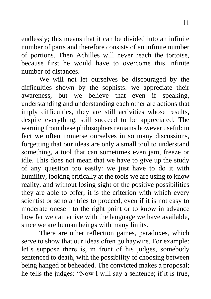endlessly; this means that it can be divided into an infinite number of parts and therefore consists of an infinite number of portions. Then Achilles will never reach the tortoise, because first he would have to overcome this infinite number of distances.

We will not let ourselves be discouraged by the difficulties shown by the sophists: we appreciate their awareness, but we believe that even if speaking, understanding and understanding each other are actions that imply difficulties, they are still activities whose results, despite everything, still succeed to be appreciated. The warning from these philosophers remains however useful: in fact we often immerse ourselves in so many discussions, forgetting that our ideas are only a small tool to understand something, a tool that can sometimes even jam, freeze or idle. This does not mean that we have to give up the study of any question too easily: we just have to do it with humility, looking critically at the tools we are using to know reality, and without losing sight of the positive possibilities they are able to offer; it is the criterion with which every scientist or scholar tries to proceed, even if it is not easy to moderate oneself to the right point or to know in advance how far we can arrive with the language we have available, since we are human beings with many limits.

There are other reflection games, paradoxes, which serve to show that our ideas often go haywire. For example: let's suppose there is, in front of his judges, somebody sentenced to death, with the possibility of choosing between being hanged or beheaded. The convicted makes a proposal; he tells the judges: "Now I will say a sentence; if it is true,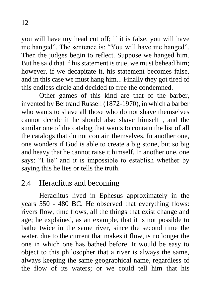you will have my head cut off; if it is false, you will have me hanged". The sentence is: "You will have me hanged". Then the judges begin to reflect. Suppose we hanged him. But he said that if his statement is true, we must behead him; however, if we decapitate it, his statement becomes false, and in this case we must hang him... Finally they got tired of this endless circle and decided to free the condemned.

Other games of this kind are that of the barber, invented by Bertrand Russell (1872-1970), in which a barber who wants to shave all those who do not shave themselves cannot decide if he should also shave himself , and the similar one of the catalog that wants to contain the list of all the catalogs that do not contain themselves. In another one, one wonders if God is able to create a big stone, but so big and heavy that he cannot raise it himself. In another one, one says: "I lie" and it is impossible to establish whether by saying this he lies or tells the truth.

# 2.4 Heraclitus and becoming

Heraclitus lived in Ephesus approximately in the years 550 - 480 BC. He observed that everything flows: rivers flow, time flows, all the things that exist change and age; he explained, as an example, that it is not possible to bathe twice in the same river, since the second time the water, due to the current that makes it flow, is no longer the one in which one has bathed before. It would be easy to object to this philosopher that a river is always the same, always keeping the same geographical name, regardless of the flow of its waters; or we could tell him that his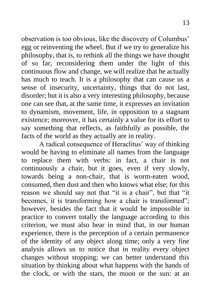observation is too obvious, like the discovery of Columbus' egg or reinventing the wheel. But if we try to generalize his philosophy, that is, to rethink all the things we have thought of so far, reconsidering them under the light of this continuous flow and change, we will realize that he actually has much to teach. It is a philosophy that can cause us a sense of insecurity, uncertainty, things that do not last, disorder; but it is also a very interesting philosophy, because one can see that, at the same time, it expresses an invitation to dynamism, movement, life, in opposition to a stagnant existence; moreover, it has certainly a value for its effort to say something that reflects, as faithfully as possible, the facts of the world as they actually are in reality.

A radical consequence of Heraclitus' way of thinking would be having to eliminate all names from the language to replace them with verbs: in fact, a chair is not continuously a chair, but it goes, even if very slowly, towards being a non-chair, that is worm-eaten wood, consumed, then dust and then who knows what else; for this reason we should say not that "it is a chair", but that "it becomes, it is transforming how a chair is transformed"; however, besides the fact that it would be impossible in practice to convert totally the language according to this criterion, we must also bear in mind that, in our human experience, there is the perception of a certain permanence of the identity of any object along time; only a very fine analysis allows us to notice that in reality every object changes without stopping; we can better understand this situation by thinking about what happens with the hands of the clock, or with the stars, the moon or the sun: at an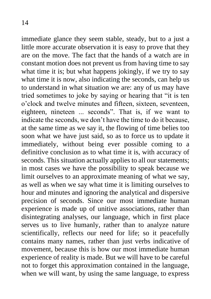immediate glance they seem stable, steady, but to a just a little more accurate observation it is easy to prove that they are on the move. The fact that the hands of a watch are in constant motion does not prevent us from having time to say what time it is; but what happens jokingly, if we try to say what time it is now, also indicating the seconds, can help us to understand in what situation we are: any of us may have tried sometimes to joke by saying or hearing that "it is ten o'clock and twelve minutes and fifteen, sixteen, seventeen, eighteen, nineteen ... seconds". That is, if we want to indicate the seconds, we don't have the time to do it because, at the same time as we say it, the flowing of time belies too soon what we have just said, so as to force us to update it immediately, without being ever possible coming to a definitive conclusion as to what time it is, with accuracy of seconds. This situation actually applies to all our statements; in most cases we have the possibility to speak because we limit ourselves to an approximate meaning of what we say, as well as when we say what time it is limiting ourselves to hour and minutes and ignoring the analytical and dispersive precision of seconds. Since our most immediate human experience is made up of unitive associations, rather than disintegrating analyses, our language, which in first place serves us to live humanly, rather than to analyze nature scientifically, reflects our need for life; so it peacefully contains many names, rather than just verbs indicative of movement, because this is how our most immediate human experience of reality is made. But we will have to be careful not to forget this approximation contained in the language, when we will want, by using the same language, to express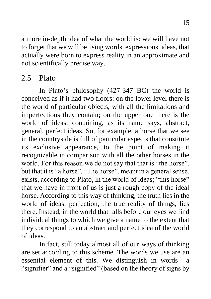a more in-depth idea of what the world is: we will have not to forget that we will be using words, expressions, ideas, that actually were born to express reality in an approximate and not scientifically precise way.

# 2.5 Plato

In Plato's philosophy (427-347 BC) the world is conceived as if it had two floors: on the lower level there is the world of particular objects, with all the limitations and imperfections they contain; on the upper one there is the world of ideas, containing, as its name says, abstract, general, perfect ideas. So, for example, a horse that we see in the countryside is full of particular aspects that constitute its exclusive appearance, to the point of making it recognizable in comparison with all the other horses in the world. For this reason we do not say that that is "the horse", but that it is "a horse". "The horse", meant in a general sense, exists, according to Plato, in the world of ideas; "this horse" that we have in front of us is just a rough copy of the ideal horse. According to this way of thinking, the truth lies in the world of ideas: perfection, the true reality of things, lies there. Instead, in the world that falls before our eyes we find individual things to which we give a name to the extent that they correspond to an abstract and perfect idea of the world of ideas.

In fact, still today almost all of our ways of thinking are set according to this scheme. The words we use are an essential element of this. We distinguish in words a "signifier" and a "signified" (based on the theory of signs by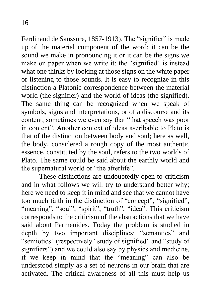Ferdinand de Saussure, 1857-1913). The "signifier" is made up of the material component of the word: it can be the sound we make in pronouncing it or it can be the signs we make on paper when we write it; the "signified" is instead what one thinks by looking at those signs on the white paper or listening to those sounds. It is easy to recognize in this distinction a Platonic correspondence between the material world (the signifier) and the world of ideas (the signified). The same thing can be recognized when we speak of symbols, signs and interpretations, or of a discourse and its content; sometimes we even say that "that speech was poor in content". Another context of ideas ascribable to Plato is that of the distinction between body and soul; here as well, the body, considered a rough copy of the most authentic essence, constituted by the soul, refers to the two worlds of Plato. The same could be said about the earthly world and the supernatural world or "the afterlife".

These distinctions are undoubtedly open to criticism and in what follows we will try to understand better why; here we need to keep it in mind and see that we cannot have too much faith in the distinction of "concept", "signified", "meaning", "soul", "spirit", "truth", "idea". This criticism corresponds to the criticism of the abstractions that we have said about Parmenides. Today the problem is studied in depth by two important disciplines: "semantics" and "semiotics" (respectively "study of signified" and "study of signifiers") and we could also say by physics and medicine, if we keep in mind that the "meaning" can also be understood simply as a set of neurons in our brain that are activated. The critical awareness of all this must help us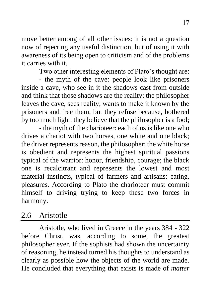move better among of all other issues; it is not a question now of rejecting any useful distinction, but of using it with awareness of its being open to criticism and of the problems it carries with it.

Two other interesting elements of Plato's thought are:

- the myth of the cave: people look like prisoners inside a cave, who see in it the shadows cast from outside and think that those shadows are the reality; the philosopher leaves the cave, sees reality, wants to make it known by the prisoners and free them, but they refuse because, bothered by too much light, they believe that the philosopher is a fool;

- the myth of the charioteer: each of us is like one who drives a chariot with two horses, one white and one black; the driver represents reason, the philosopher; the white horse is obedient and represents the highest spiritual passions typical of the warrior: honor, friendship, courage; the black one is recalcitrant and represents the lowest and most material instincts, typical of farmers and artisans: eating, pleasures. According to Plato the charioteer must commit himself to driving trying to keep these two forces in harmony.

#### 2.6 Aristotle

Aristotle, who lived in Greece in the years 384 - 322 before Christ, was, according to some, the greatest philosopher ever. If the sophists had shown the uncertainty of reasoning, he instead turned his thoughts to understand as clearly as possible how the objects of the world are made. He concluded that everything that exists is made of *matter*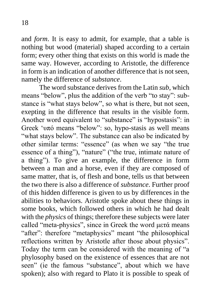and *form*. It is easy to admit, for example, that a table is nothing but wood (material) shaped according to a certain form; every other thing that exists on this world is made the same way. However, according to Aristotle, the difference in form is an indication of another difference that is not seen, namely the difference of *substance*.

The word substance derives from the Latin *sub*, which means "below", plus the addition of the verb "to stay": substance is "what stays below", so what is there, but not seen, exepting in the difference that results in the visible form. Another word equivalent to "substance" is "hypostasis": in Greek 'υπό means "below": so, hypo-stasis as well means "what stays below". The substance can also be indicated by other similar terms: "essence" (as when we say "the true essence of a thing"), "nature" ("the true, intimate nature of a thing"). To give an example, the difference in form between a man and a horse, even if they are composed of same matter, that is, of flesh and bone, tells us that between the two there is also a difference of *substance*. Further proof of this hidden difference is given to us by differences in the abilities to behaviors. Aristotle spoke about these things in some books, which followed others in which he had dealt with the *physics* of things; therefore these subjects were later called "meta-physics", since in Greek the word μετά means "after": therefore "metaphysics" meant "the philosophical reflections written by Aristotle after those about physics". Today the term can be considered with the meaning of "a phylosophy based on the existence of essences that are not seen" (ie the famous "substance", about which we have spoken); also with regard to Plato it is possible to speak of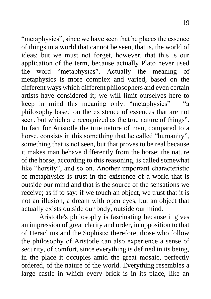"metaphysics", since we have seen that he places the essence of things in a world that cannot be seen, that is, the world of ideas; but we must not forget, however, that this is our application of the term, because actually Plato never used the word "metaphysics". Actually the meaning of metaphysics is more complex and varied, based on the different ways which different philosophers and even certain artists have considered it; we will limit ourselves here to keep in mind this meaning only: "metaphysics" = "a philosophy based on the existence of essences that are not seen, but which are recognized as the true nature of things". In fact for Aristotle the true nature of man, compared to a horse, consists in this something that he called "humanity", something that is not seen, but that proves to be real because it makes man behave differently from the horse; the nature of the horse, according to this reasoning, is called somewhat like "horsity", and so on. Another important characteristic of metaphysics is trust in the existence of a world that is outside our mind and that is the source of the sensations we receive; as if to say: if we touch an object, we trust that it is not an illusion, a dream with open eyes, but an object that actually exists outside our body, outside our mind.

Aristotle's philosophy is fascinating because it gives an impression of great clarity and order, in opposition to that of Heraclitus and the Sophists; therefore, those who follow the philosophy of Aristotle can also experience a sense of security, of comfort, since everything is defined in its being, in the place it occupies amid the great mosaic, perfectly ordered, of the nature of the world. Everything resembles a large castle in which every brick is in its place, like an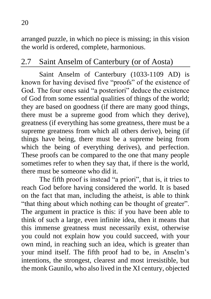arranged puzzle, in which no piece is missing; in this vision the world is ordered, complete, harmonious.

# 2.7 Saint Anselm of Canterbury (or of Aosta)

Saint Anselm of Canterbury (1033-1109 AD) is known for having devised five "proofs" of the existence of God. The four ones said "a posteriori" deduce the existence of God from some essential qualities of things of the world; they are based on goodness (if there are many good things, there must be a supreme good from which they derive), greatness (if everything has some greatness, there must be a supreme greatness from which all others derive), being (if things have being, there must be a supreme being from which the being of everything derives), and perfection. These proofs can be compared to the one that many people sometimes refer to when they say that, if there is the world, there must be someone who did it.

The fifth proof is instead "a priori", that is, it tries to reach God before having considered the world. It is based on the fact that man, including the atheist, is able to think "that thing about which nothing can be thought of greater". The argument in practice is this: if you have been able to think of such a large, even infinite idea, then it means that this immense greatness must necessarily exist, otherwise you could not explain how you could succeed, with your own mind, in reaching such an idea, which is greater than your mind itself. The fifth proof had to be, in Anselm's intentions, the strongest, clearest and most irresistible, but the monk Gaunilo, who also lived in the XI century, objected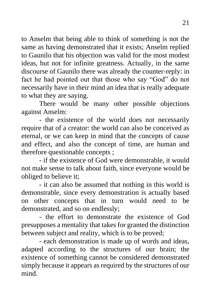to Anselm that being able to think of something is not the same as having demonstrated that it exists; Anselm replied to Gaunilo that his objection was valid for the most modest ideas, but not for infinite greatness. Actually, in the same discourse of Gaunilo there was already the counter-reply: in fact he had pointed out that those who say "God" do not necessarily have in their mind an idea that is really adequate to what they are saying.

There would be many other possible objections against Anselm:

- the existence of the world does not necessarily require that of a creator: the world can also be conceived as eternal, or we can keep in mind that the concepts of cause and effect, and also the concept of time, are human and therefore questionable concepts ;

- if the existence of God were demonstrable, it would not make sense to talk about faith, since everyone would be obliged to believe it;

- it can also be assumed that nothing in this world is demonstrable, since every demonstration is actually based on other concepts that in turn would need to be demonstrated, and so on endlessly;

- the effort to demonstrate the existence of God presupposes a mentality that takes for granted the distinction between subject and reality, which is to be proved;

- each demonstration is made up of words and ideas, adapted according to the structures of our brain; the existence of something cannot be considered demonstrated simply because it appears as required by the structures of our mind.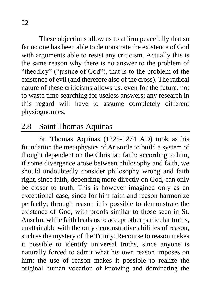These objections allow us to affirm peacefully that so far no one has been able to demonstrate the existence of God with arguments able to resist any criticism. Actually this is the same reason why there is no answer to the problem of "theodicy" ("justice of God"), that is to the problem of the existence of evil (and therefore also of the cross). The radical nature of these criticisms allows us, even for the future, not to waste time searching for useless answers; any research in this regard will have to assume completely different physiognomies.

#### 2.8 Saint Thomas Aquinas

St. Thomas Aquinas (1225-1274 AD) took as his foundation the metaphysics of Aristotle to build a system of thought dependent on the Christian faith; according to him, if some divergence arose between philosophy and faith, we should undoubtedly consider philosophy wrong and faith right, since faith, depending more directly on God, can only be closer to truth. This is however imagined only as an exceptional case, since for him faith and reason harmonize perfectly; through reason it is possible to demonstrate the existence of God, with proofs similar to those seen in St. Anselm, while faith leads us to accept other particular truths, unattainable with the only demonstrative abilities of reason, such as the mystery of the Trinity. Recourse to reason makes it possible to identify universal truths, since anyone is naturally forced to admit what his own reason imposes on him; the use of reason makes it possible to realize the original human vocation of knowing and dominating the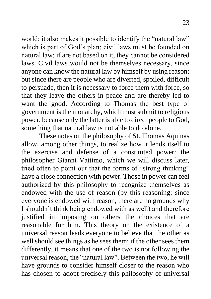world; it also makes it possible to identify the "natural law" which is part of God's plan; civil laws must be founded on natural law; if are not based on it, they cannot be considered laws. Civil laws would not be themselves necessary, since anyone can know the natural law by himself by using reason; but since there are people who are diverted, spoiled, difficult to persuade, then it is necessary to force them with force, so that they leave the others in peace and are thereby led to want the good. According to Thomas the best type of government is the monarchy, which must submit to religious power, because only the latter is able to direct people to God, something that natural law is not able to do alone.

These notes on the philosophy of St. Thomas Aquinas allow, among other things, to realize how it lends itself to the exercise and defense of a constituted power: the philosopher Gianni Vattimo, which we will discuss later, tried often to point out that the forms of "strong thinking" have a close connection with power. Those in power can feel authorized by this philosophy to recognize themselves as endowed with the use of reason (by this reasoning: since everyone is endowed with reason, there are no grounds why I shouldn't think being endowed with as well) and therefore justified in imposing on others the choices that are reasonable for him. This theory on the existence of a universal reason leads everyone to believe that the other as well should see things as he sees them; if the other sees them differently, it means that one of the two is not following the universal reason, the "natural law". Between the two, he will have grounds to consider himself closer to the reason who has chosen to adopt precisely this philosophy of universal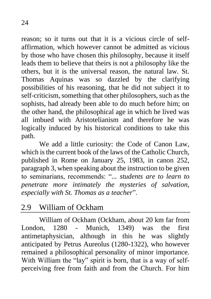reason; so it turns out that it is a vicious circle of selfaffirmation, which however cannot be admitted as vicious by those who have chosen this philosophy, because it itself leads them to believe that theirs is not a philosophy like the others, but it is the universal reason, the natural law. St. Thomas Aquinas was so dazzled by the clarifying possibilities of his reasoning, that he did not subject it to self-criticism, something that other philosophers, such as the sophists, had already been able to do much before him; on the other hand, the philosophical age in which he lived was all imbued with Aristotelianism and therefore he was logically induced by his historical conditions to take this path.

We add a little curiosity: the Code of Canon Law, which is the current book of the laws of the Catholic Church, published in Rome on January 25, 1983, in canon 252, paragraph 3, when speaking about the instruction to be given to seminarians, recommends: "*... students are to learn to penetrate more intimately the mysteries of salvation, especially with St. Thomas as a teacher*".

### 2.9 William of Ockham

William of Ockham (Ockham, about 20 km far from London, 1280 - Munich, 1349) was the first antimetaphysician, although in this he was slightly anticipated by Petrus Aureolus (1280-1322), who however remained a philosophical personality of minor importance. With William the "lay" spirit is born, that is a way of selfperceiving free from faith and from the Church. For him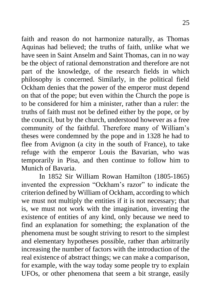faith and reason do not harmonize naturally, as Thomas Aquinas had believed; the truths of faith, unlike what we have seen in Saint Anselm and Saint Thomas, can in no way be the object of rational demonstration and therefore are not part of the knowledge, of the research fields in which philosophy is concerned. Similarly, in the political field Ockham denies that the power of the emperor must depend on that of the pope; but even within the Church the pope is to be considered for him a minister, rather than a ruler: the truths of faith must not be defined either by the pope, or by the council, but by the church, understood however as a free community of the faithful. Therefore many of William's theses were condemned by the pope and in 1328 he had to flee from Avignon (a city in the south of France), to take refuge with the emperor Louis the Bavarian, who was temporarily in Pisa, and then continue to follow him to Munich of Bavaria.

In 1852 Sir William Rowan Hamilton (1805-1865) invented the expression "Ockham's razor" to indicate the criterion defined by William of Ockham, according to which we must not multiply the entities if it is not necessary; that is, we must not work with the imagination, inventing the existence of entities of any kind, only because we need to find an explanation for something; the explanation of the phenomena must be sought striving to resort to the simplest and elementary hypotheses possible, rather than arbitrarily increasing the number of factors with the introduction of the real existence of abstract things; we can make a comparison, for example, with the way today some people try to explain UFOs, or other phenomena that seem a bit strange, easily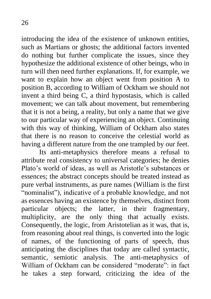introducing the idea of the existence of unknown entities, such as Martians or ghosts; the additional factors invented do nothing but further complicate the issues, since they hypothesize the additional existence of other beings, who in turn will then need further explanations. If, for example, we want to explain how an object went from position A to position B, according to William of Ockham we should not invent a third being C, a third hypostasis, which is called movement; we can talk about movement, but remembering that it is not a being, a reality, but only a name that we give to our particular way of experiencing an object. Continuing with this way of thinking, William of Ockham also states that there is no reason to conceive the celestial world as having a different nature from the one trampled by our feet.

Its anti-metaphysics therefore means a refusal to attribute real consistency to universal categories; he denies Plato's world of ideas, as well as Aristotle's substances or essences; the abstract concepts should be treated instead as pure verbal instruments, as pure names (William is the first "nominalist"), indicative of a probable knowledge, and not as essences having an existence by themselves, distinct from particular objects; the latter, in their fragmentary, multiplicity, are the only thing that actually exists. Consequently, the logic, from Aristotelian as it was, that is, from reasoning about real things, is converted into the logic of names, of the functioning of parts of speech, thus anticipating the disciplines that today are called syntactic, semantic, semiotic analysis. The anti-metaphysics of William of Ockham can be considered "moderate": in fact he takes a step forward, criticizing the idea of the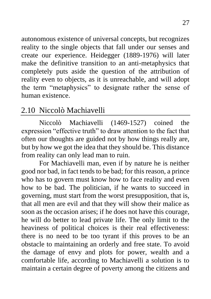autonomous existence of universal concepts, but recognizes reality to the single objects that fall under our senses and create our experience. Heidegger (1889-1976) will later make the definitive transition to an anti-metaphysics that completely puts aside the question of the attribution of reality even to objects, as it is unreachable, and will adopt the term "metaphysics" to designate rather the sense of human existence.

# 2.10 Niccolò Machiavelli

Niccolò Machiavelli (1469-1527) coined the expression "effective truth" to draw attention to the fact that often our thoughts are guided not by how things really are, but by how we got the idea that they should be. This distance from reality can only lead man to ruin.

For Machiavelli man, even if by nature he is neither good nor bad, in fact tends to be bad; for this reason, a prince who has to govern must know how to face reality and even how to be bad. The politician, if he wants to succeed in governing, must start from the worst presupposition, that is, that all men are evil and that they will show their malice as soon as the occasion arises; if he does not have this courage, he will do better to lead private life. The only limit to the heaviness of political choices is their real effectiveness: there is no need to be too tyrant if this proves to be an obstacle to maintaining an orderly and free state. To avoid the damage of envy and plots for power, wealth and a comfortable life, according to Machiavelli a solution is to maintain a certain degree of poverty among the citizens and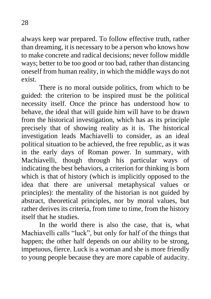always keep war prepared. To follow effective truth, rather than dreaming, it is necessary to be a person who knows how to make concrete and radical decisions; never follow middle ways; better to be too good or too bad, rather than distancing oneself from human reality, in which the middle ways do not exist.

There is no moral outside politics, from which to be guided: the criterion to be inspired must be the political necessity itself. Once the prince has understood how to behave, the ideal that will guide him will have to be drawn from the historical investigation, which has as its principle precisely that of showing reality as it is. The historical investigation leads Machiavelli to consider, as an ideal political situation to be achieved, the free republic, as it was in the early days of Roman power. In summary, with Machiavelli, though through his particular ways of indicating the best behaviors, a criterion for thinking is born which is that of history (which is implicitly opposed to the idea that there are universal metaphysical values or principles): the mentality of the historian is not guided by abstract, theoretical principles, nor by moral values, but rather derives its criteria, from time to time, from the history itself that he studies.

In the world there is also the case, that is, what Machiavelli calls "luck", but only for half of the things that happen; the other half depends on our ability to be strong, impetuous, fierce. Luck is a woman and she is more friendly to young people because they are more capable of audacity.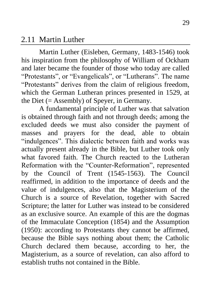#### 2.11 Martin Luther

Martin Luther (Eisleben, Germany, 1483-1546) took his inspiration from the philosophy of William of Ockham and later became the founder of those who today are called "Protestants", or "Evangelicals", or "Lutherans". The name "Protestants" derives from the claim of religious freedom, which the German Lutheran princes presented in 1529, at the Diet  $(=$  Assembly) of Speyer, in Germany.

A fundamental principle of Luther was that salvation is obtained through faith and not through deeds; among the excluded deeds we must also consider the payment of masses and prayers for the dead, able to obtain "indulgences". This dialectic between faith and works was actually present already in the Bible, but Luther took only what favored faith. The Church reacted to the Lutheran Reformation with the "Counter-Reformation", represented by the Council of Trent (1545-1563). The Council reaffirmed, in addition to the importance of deeds and the value of indulgences, also that the Magisterium of the Church is a source of Revelation, together with Sacred Scripture; the latter for Luther was instead to be considered as an exclusive source. An example of this are the dogmas of the Immaculate Conception (1854) and the Assumption (1950): according to Protestants they cannot be affirmed, because the Bible says nothing about them; the Catholic Church declared them because, according to her, the Magisterium, as a source of revelation, can also afford to establish truths not contained in the Bible.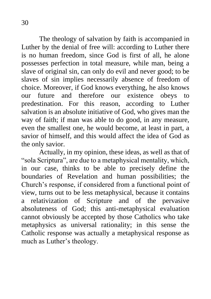The theology of salvation by faith is accompanied in Luther by the denial of free will: according to Luther there is no human freedom, since God is first of all, he alone possesses perfection in total measure, while man, being a slave of original sin, can only do evil and never good; to be slaves of sin implies necessarily absence of freedom of choice. Moreover, if God knows everything, he also knows our future and therefore our existence obeys to predestination. For this reason, according to Luther salvation is an absolute initiative of God, who gives man the way of faith; if man was able to do good, in any measure, even the smallest one, he would become, at least in part, a savior of himself, and this would affect the idea of God as the only savior.

Actually, in my opinion, these ideas, as well as that of "sola Scriptura", are due to a metaphysical mentality, which, in our case, thinks to be able to precisely define the boundaries of Revelation and human possibilities; the Church's response, if considered from a functional point of view, turns out to be less metaphysical, because it contains a relativization of Scripture and of the pervasive absoluteness of God; this anti-metaphysical evaluation cannot obviously be accepted by those Catholics who take metaphysics as universal rationality; in this sense the Catholic response was actually a metaphysical response as much as Luther's theology.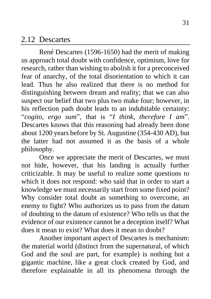#### 2.12 Descartes

René Descartes (1596-1650) had the merit of making us approach total doubt with confidence, optimism, love for research, rather than wishing to abolish it for a preconceived fear of anarchy, of the total disorientation to which it can lead. Thus he also realized that there is no method for distinguishing between dream and reality; that we can also suspect our belief that two plus two make four; however, in his reflection path doubt leads to an indubitable certainty: "*cogito, ergo sum*", that is "*I think, therefore I am*". Descartes knows that this reasoning had already been done about 1200 years before by St. Augustine (354-430 AD), but the latter had not assumed it as the basis of a whole philosophy.

Once we appreciate the merit of Descartes, we must not hide, however, that his landing is actually further criticizable. It may be useful to realize some questions to which it does not respond: who said that in order to start a knowledge we must necessarily start from some fixed point? Why consider total doubt as something to overcome, an enemy to fight? Who authorizes us to pass from the datum of doubting to the datum of existence? Who tells us that the evidence of our existence cannot be a deception itself? What does it mean to exist? What does it mean to doubt?

Another important aspect of Descartes is mechanism: the material world (distinct from the supernatural, of which God and the soul are part, for example) is nothing but a gigantic machine, like a great clock created by God, and therefore explainable in all its phenomena through the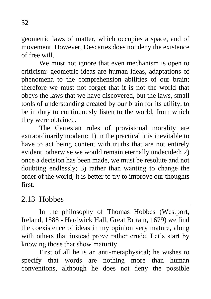geometric laws of matter, which occupies a space, and of movement. However, Descartes does not deny the existence of free will.

We must not ignore that even mechanism is open to criticism: geometric ideas are human ideas, adaptations of phenomena to the comprehension abilities of our brain; therefore we must not forget that it is not the world that obeys the laws that we have discovered, but the laws, small tools of understanding created by our brain for its utility, to be in duty to continuously listen to the world, from which they were obtained.

The Cartesian rules of provisional morality are extraordinarily modern: 1) in the practical it is inevitable to have to act being content with truths that are not entirely evident, otherwise we would remain eternally undecided; 2) once a decision has been made, we must be resolute and not doubting endlessly; 3) rather than wanting to change the order of the world, it is better to try to improve our thoughts first.

### 2.13 Hobbes

In the philosophy of Thomas Hobbes (Westport, Ireland, 1588 - Hardwick Hall, Great Britain, 1679) we find the coexistence of ideas in my opinion very mature, along with others that instead prove rather crude. Let's start by knowing those that show maturity.

First of all he is an anti-metaphysical; he wishes to specify that words are nothing more than human conventions, although he does not deny the possible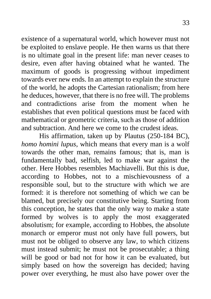existence of a supernatural world, which however must not be exploited to enslave people. He then warns us that there is no ultimate goal in the present life: man never ceases to desire, even after having obtained what he wanted. The maximum of goods is progressing without impediment towards ever new ends. In an attempt to explain the structure of the world, he adopts the Cartesian rationalism; from here he deduces, however, that there is no free will. The problems and contradictions arise from the moment when he establishes that even political questions must be faced with mathematical or geometric criteria, such as those of addition and subtraction. And here we come to the crudest ideas.

His affirmation, taken up by Plautus (250-184 BC), *homo homini lupus*, which means that every man is a wolf towards the other man, remains famous; that is, man is fundamentally bad, selfish, led to make war against the other. Here Hobbes resembles Machiavelli. But this is due, according to Hobbes, not to a mischievousness of a responsible soul, but to the structure with which we are formed: it is therefore not something of which we can be blamed, but precisely our constitutive being. Starting from this conception, he states that the only way to make a state formed by wolves is to apply the most exaggerated absolutism; for example, according to Hobbes, the absolute monarch or emperor must not only have full powers, but must not be obliged to observe any law, to which citizens must instead submit; he must not be prosecutable; a thing will be good or bad not for how it can be evaluated, but simply based on how the sovereign has decided; having power over everything, he must also have power over the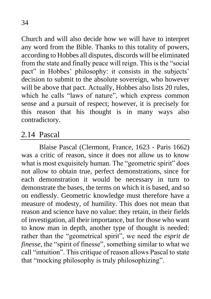Church and will also decide how we will have to interpret any word from the Bible. Thanks to this totality of powers, according to Hobbes all disputes, discords will be eliminated from the state and finally peace will reign. This is the "social pact" in Hobbes' philosophy: it consists in the subjects' decision to submit to the absolute sovereign, who however will be above that pact. Actually, Hobbes also lists 20 rules, which he calls "laws of nature", which express common sense and a pursuit of respect; however, it is precisely for this reason that his thought is in many ways also contradictory.

# 2.14 Pascal

Blaise Pascal (Clermont, France, 1623 - Paris 1662) was a critic of reason, since it does not allow us to know what is most exquisitely human. The "geometric spirit" does not allow to obtain true, perfect demonstrations, since for each demonstration it would be necessary in turn to demonstrate the bases, the terms on which it is based, and so on endlessly. Geometric knowledge must therefore have a measure of modesty, of humility. This does not mean that reason and science have no value: they retain, in their fields of investigation, all their importance, but for those who want to know man in depth, another type of thought is needed: rather than the "geometrical spirit", we need the *esprit de finesse*, the "spirit of finesse", something similar to what we call "intuition". This critique of reason allows Pascal to state that "mocking philosophy is truly philosophizing".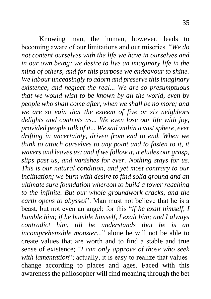Knowing man, the human, however, leads to becoming aware of our limitations and our miseries. "*We do not content ourselves with the life we have in ourselves and in our own being; we desire to live an imaginary life in the mind of others, and for this purpose we endeavour to shine. We labour unceasingly to adorn and preserve this imaginary existence, and neglect the real... We are so presumptuous that we would wish to be known by all the world, even by people who shall come after, when we shall be no more; and we are so vain that the esteem of five or six neighbors delights and contents us... We even lose our life with joy, provided people talk of it... We sail within a vast sphere, ever drifting in uncertainty, driven from end to end. When we think to attach ourselves to any point and to fasten to it, it wavers and leaves us; and if we follow it, it eludes our grasp, slips past us, and vanishes for ever. Nothing stays for us. This is our natural condition, and yet most contrary to our inclination; we burn with desire to find solid ground and an ultimate sure foundation whereon to build a tower reaching to the infinite. But our whole groundwork cracks, and the earth opens to abysses*". Man must not believe that he is a beast, but not even an angel; for this "*if he exalt himself, I humble him; if he humble himself, I exalt him; and I always contradict him, till he understands that he is an incomprehensible monster...*" alone he will not be able to create values that are worth and to find a stable and true sense of existence; "*I can only approve of those who seek with lamentation*"; actually, it is easy to realize that values change according to places and ages. Faced with this awareness the philosopher will find meaning through the bet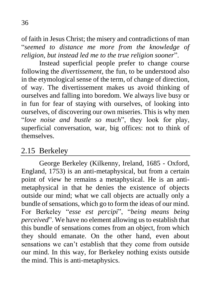of faith in Jesus Christ; the misery and contradictions of man "*seemed to distance me more from the knowledge of religion, but instead led me to the true religion sooner*".

Instead superficial people prefer to change course following the *divertissement*, the fun, to be understood also in the etymological sense of the term, of change of direction, of way. The divertissement makes us avoid thinking of ourselves and falling into boredom. We always live busy or in fun for fear of staying with ourselves, of looking into ourselves, of discovering our own miseries. This is why men "*love noise and bustle so much*", they look for play, superficial conversation, war, big offices: not to think of themselves.

### 2.15 Berkeley

George Berkeley (Kilkenny, Ireland, 1685 - Oxford, England, 1753) is an anti-metaphysical, but from a certain point of view he remains a metaphysical. He is an antimetaphysical in that he denies the existence of objects outside our mind; what we call objects are actually only a bundle of sensations, which go to form the ideas of our mind. For Berkeley "*esse est percipi*", "*being means being perceived*". We have no element allowing us to establish that this bundle of sensations comes from an object, from which they should emanate. On the other hand, even about sensations we can't establish that they come from outside our mind. In this way, for Berkeley nothing exists outside the mind. This is anti-metaphysics.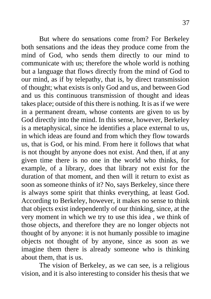But where do sensations come from? For Berkeley both sensations and the ideas they produce come from the mind of God, who sends them directly to our mind to communicate with us; therefore the whole world is nothing but a language that flows directly from the mind of God to our mind, as if by telepathy, that is, by direct transmission of thought; what exists is only God and us, and between God and us this continuous transmission of thought and ideas takes place; outside of this there is nothing. It is as if we were in a permanent dream, whose contents are given to us by God directly into the mind. In this sense, however, Berkeley is a metaphysical, since he identifies a place external to us, in which ideas are found and from which they flow towards us, that is God, or his mind. From here it follows that what is not thought by anyone does not exist. And then, if at any given time there is no one in the world who thinks, for example, of a library, does that library not exist for the duration of that moment, and then will it return to exist as soon as someone thinks of it? No, says Berkeley, since there is always some spirit that thinks everything, at least God. According to Berkeley, however, it makes no sense to think that objects exist independently of our thinking, since, at the very moment in which we try to use this idea , we think of those objects, and therefore they are no longer objects not thought of by anyone: it is not humanly possible to imagine objects not thought of by anyone, since as soon as we imagine them there is already someone who is thinking about them, that is us.

The vision of Berkeley, as we can see, is a religious vision, and it is also interesting to consider his thesis that we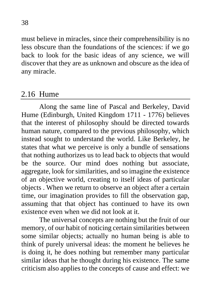must believe in miracles, since their comprehensibility is no less obscure than the foundations of the sciences: if we go back to look for the basic ideas of any science, we will discover that they are as unknown and obscure as the idea of any miracle.

#### 2.16 Hume

Along the same line of Pascal and Berkeley, David Hume (Edinburgh, United Kingdom 1711 - 1776) believes that the interest of philosophy should be directed towards human nature, compared to the previous philosophy, which instead sought to understand the world. Like Berkeley, he states that what we perceive is only a bundle of sensations that nothing authorizes us to lead back to objects that would be the source. Our mind does nothing but associate, aggregate, look for similarities, and so imagine the existence of an objective world, creating to itself ideas of particular objects . When we return to observe an object after a certain time, our imagination provides to fill the observation gap, assuming that that object has continued to have its own existence even when we did not look at it.

The universal concepts are nothing but the fruit of our memory, of our habit of noticing certain similarities between some similar objects; actually no human being is able to think of purely universal ideas: the moment he believes he is doing it, he does nothing but remember many particular similar ideas that he thought during his existence. The same criticism also applies to the concepts of cause and effect: we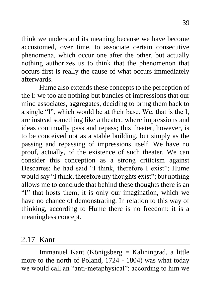think we understand its meaning because we have become accustomed, over time, to associate certain consecutive phenomena, which occur one after the other, but actually nothing authorizes us to think that the phenomenon that occurs first is really the cause of what occurs immediately afterwards.

Hume also extends these concepts to the perception of the I: we too are nothing but bundles of impressions that our mind associates, aggregates, deciding to bring them back to a single "I", which would be at their base. We, that is the I, are instead something like a theater, where impressions and ideas continually pass and repass; this theater, however, is to be conceived not as a stable building, but simply as the passing and repassing of impressions itself. We have no proof, actually, of the existence of such theater. We can consider this conception as a strong criticism against Descartes: he had said "I think, therefore I exist"; Hume would say "I think, therefore my thoughts exist"; but nothing allows me to conclude that behind these thoughts there is an "I" that hosts them; it is only our imagination, which we have no chance of demonstrating. In relation to this way of thinking, according to Hume there is no freedom: it is a meaningless concept.

#### 2.17 Kant

Immanuel Kant (Königsberg = Kaliningrad, a little more to the north of Poland, 1724 - 1804) was what today we would call an "anti-metaphysical": according to him we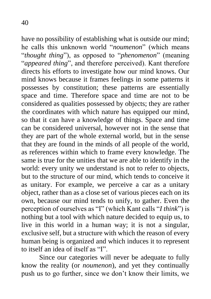have no possibility of establishing what is outside our mind; he calls this unknown world "*noumenon*" (which means "*thought thing*"), as opposed to "*phenomenon*" (meaning "*appeared thing*", and therefore perceived). Kant therefore directs his efforts to investigate how our mind knows. Our mind knows because it frames feelings in some patterns it possesses by constitution; these patterns are essentially space and time. Therefore space and time are not to be considered as qualities possessed by objects; they are rather the coordinates with which nature has equipped our mind, so that it can have a knowledge of things. Space and time can be considered universal, however not in the sense that they are part of the whole external world, but in the sense that they are found in the minds of all people of the world, as references within which to frame every knowledge. The same is true for the unities that we are able to identify in the world: every unity we understand is not to refer to objects, but to the structure of our mind, which tends to conceive it as unitary. For example, we perceive a car as a unitary object, rather than as a close set of various pieces each on its own, because our mind tends to unify, to gather. Even the perception of ourselves as "I" (which Kant calls "*I think*") is

nothing but a tool with which nature decided to equip us, to live in this world in a human way; it is not a singular, exclusive self, but a structure with which the reason of every human being is organized and which induces it to represent to itself an idea of itself as "I".

Since our categories will never be adequate to fully know the reality (or *noumenon*), and yet they continually push us to go further, since we don't know their limits, we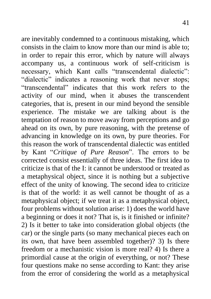are inevitably condemned to a continuous mistaking, which consists in the claim to know more than our mind is able to; in order to repair this error, which by nature will always accompany us, a continuous work of self-criticism is necessary, which Kant calls "transcendental dialectic": "dialectic" indicates a reasoning work that never stops; "transcendental" indicates that this work refers to the activity of our mind, when it abuses the transcendent categories, that is, present in our mind beyond the sensible experience. The mistake we are talking about is the temptation of reason to move away from perceptions and go ahead on its own, by pure reasoning, with the pretense of advancing in knowledge on its own, by pure theories. For this reason the work of transcendental dialectic was entitled by Kant "*Critique of Pure Reason*". The errors to be corrected consist essentially of three ideas. The first idea to criticize is that of the I: it cannot be understood or treated as a metaphysical object, since it is nothing but a subjective effect of the unity of knowing. The second idea to criticize is that of the world: it as well cannot be thought of as a metaphysical object; if we treat it as a metaphysical object, four problems without solution arise: 1) does the world have a beginning or does it not? That is, is it finished or infinite? 2) Is it better to take into consideration global objects (the car) or the single parts (so many mechanical pieces each on its own, that have been assembled together)? 3) Is there freedom or a mechanistic vision is more real? 4) Is there a primordial cause at the origin of everything, or not? These four questions make no sense according to Kant: they arise from the error of considering the world as a metaphysical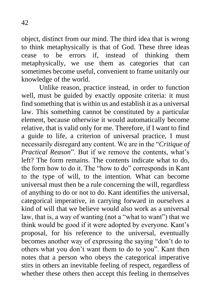object, distinct from our mind. The third idea that is wrong to think metaphysically is that of God. These three ideas cease to be errors if, instead of thinking them metaphysically, we use them as categories that can sometimes become useful, convenient to frame unitarily our knowledge of the world.

Unlike reason, practice instead, in order to function well, must be guided by exactly opposite criteria: it must find something that is within us and establish it as a universal law. This something cannot be constituted by a particular element, because otherwise it would automatically become relative, that is valid only for me. Therefore, if I want to find a guide to life, a criterion of universal practice, I must necessarily disregard any content. We are in the "*Critique of Practical Reason*". But if we remove the contents, what's left? The form remains. The contents indicate what to do, the form how to do it. The "how to do" corresponds in Kant to the type of will, to the intention. What can become universal must then be a rule concerning the will, regardless of anything to do or not to do. Kant identifies the universal, categorical imperative, in carrying forward in ourselves a kind of will that we believe would also work as a universal law, that is, a way of wanting (not a "what to want") that we think would be good if it were adopted by everyone. Kant's proposal, for his reference to the universal, eventually becomes another way of expressing the saying "don't do to others what you don't want them to do to you". Kant then notes that a person who obeys the categorical imperative stirs in others an inevitable feeling of respect, regardless of whether these others then accept this feeling in themselves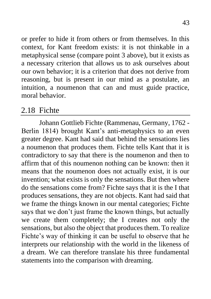or prefer to hide it from others or from themselves. In this context, for Kant freedom exists: it is not thinkable in a metaphysical sense (compare point 3 above), but it exists as a necessary criterion that allows us to ask ourselves about our own behavior; it is a criterion that does not derive from reasoning, but is present in our mind as a postulate, an intuition, a noumenon that can and must guide practice, moral behavior.

# 2.18 Fichte

Johann Gottlieb Fichte (Rammenau, Germany, 1762 - Berlin 1814) brought Kant's anti-metaphysics to an even greater degree. Kant had said that behind the sensations lies a noumenon that produces them. Fichte tells Kant that it is contradictory to say that there is the noumenon and then to affirm that of this noumenon nothing can be known: then it means that the noumenon does not actually exist, it is our invention; what exists is only the sensations. But then where do the sensations come from? Fichte says that it is the I that produces sensations, they are not objects. Kant had said that we frame the things known in our mental categories; Fichte says that we don't just frame the known things, but actually we create them completely; the I creates not only the sensations, but also the object that produces them. To realize Fichte's way of thinking it can be useful to observe that he interprets our relationship with the world in the likeness of a dream. We can therefore translate his three fundamental statements into the comparison with dreaming.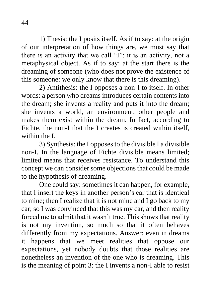1) Thesis: the I posits itself. As if to say: at the origin of our interpretation of how things are, we must say that there is an activity that we call "I": it is an activity, not a metaphysical object. As if to say: at the start there is the dreaming of someone (who does not prove the existence of this someone: we only know that there is this dreaming).

2) Antithesis: the I opposes a non-I to itself. In other words: a person who dreams introduces certain contents into the dream; she invents a reality and puts it into the dream; she invents a world, an environment, other people and makes them exist within the dream. In fact, according to Fichte, the non-I that the I creates is created within itself, within the I

3) Synthesis: the I opposes to the divisible I a divisible non-I. In the language of Fichte divisible means limited; limited means that receives resistance. To understand this concept we can consider some objections that could be made to the hypothesis of dreaming.

One could say: sometimes it can happen, for example, that I insert the keys in another person's car that is identical to mine; then I realize that it is not mine and I go back to my car; so I was convinced that this was my car, and then reality forced me to admit that it wasn't true. This shows that reality is not my invention, so much so that it often behaves differently from my expectations. Answer: even in dreams it happens that we meet realities that oppose our expectations, yet nobody doubts that those realities are nonetheless an invention of the one who is dreaming. This is the meaning of point 3: the I invents a non-I able to resist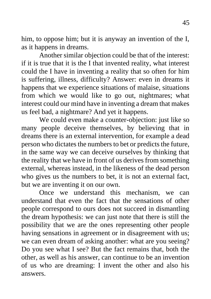him, to oppose him; but it is anyway an invention of the I, as it happens in dreams.

Another similar objection could be that of the interest: if it is true that it is the I that invented reality, what interest could the I have in inventing a reality that so often for him is suffering, illness, difficulty? Answer: even in dreams it happens that we experience situations of malaise, situations from which we would like to go out, nightmares; what interest could our mind have in inventing a dream that makes us feel bad, a nightmare? And yet it happens.

We could even make a counter-objection: just like so many people deceive themselves, by believing that in dreams there is an external intervention, for example a dead person who dictates the numbers to bet or predicts the future, in the same way we can deceive ourselves by thinking that the reality that we have in front of us derives from something external, whereas instead, in the likeness of the dead person who gives us the numbers to bet, it is not an external fact, but we are inventing it on our own.

Once we understand this mechanism, we can understand that even the fact that the sensations of other people correspond to ours does not succeed in dismantling the dream hypothesis: we can just note that there is still the possibility that we are the ones representing other people having sensations in agreement or in disagreement with us; we can even dream of asking another: what are you seeing? Do you see what I see? But the fact remains that, both the other, as well as his answer, can continue to be an invention of us who are dreaming: I invent the other and also his answers.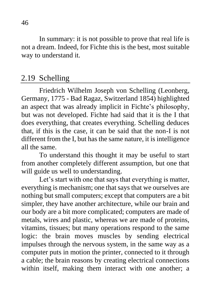In summary: it is not possible to prove that real life is not a dream. Indeed, for Fichte this is the best, most suitable way to understand it.

# 2.19 Schelling

Friedrich Wilhelm Joseph von Schelling (Leonberg, Germany, 1775 - Bad Ragaz, Switzerland 1854) highlighted an aspect that was already implicit in Fichte's philosophy, but was not developed. Fichte had said that it is the I that does everything, that creates everything. Schelling deduces that, if this is the case, it can be said that the non-I is not different from the I, but has the same nature, it is intelligence all the same.

To understand this thought it may be useful to start from another completely different assumption, but one that will guide us well to understanding.

Let's start with one that says that everything is matter, everything is mechanism; one that says that we ourselves are nothing but small computers; except that computers are a bit simpler, they have another architecture, while our brain and our body are a bit more complicated; computers are made of metals, wires and plastic, whereas we are made of proteins, vitamins, tissues; but many operations respond to the same logic: the brain moves muscles by sending electrical impulses through the nervous system, in the same way as a computer puts in motion the printer, connected to it through a cable; the brain reasons by creating electrical connections within itself, making them interact with one another; a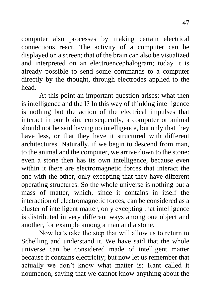computer also processes by making certain electrical connections react. The activity of a computer can be displayed on a screen; that of the brain can also be visualized and interpreted on an electroencephalogram; today it is already possible to send some commands to a computer directly by the thought, through electrodes applied to the head.

At this point an important question arises: what then is intelligence and the I? In this way of thinking intelligence is nothing but the action of the electrical impulses that interact in our brain; consequently, a computer or animal should not be said having no intelligence, but only that they have less, or that they have it structured with different architectures. Naturally, if we begin to descend from man, to the animal and the computer, we arrive down to the stone: even a stone then has its own intelligence, because even within it there are electromagnetic forces that interact the one with the other, only excepting that they have different operating structures. So the whole universe is nothing but a mass of matter, which, since it contains in itself the interaction of electromagnetic forces, can be considered as a cluster of intelligent matter, only excepting that intelligence is distributed in very different ways among one object and another, for example among a man and a stone.

Now let's take the step that will allow us to return to Schelling and understand it. We have said that the whole universe can be considered made of intelligent matter because it contains electricity; but now let us remember that actually we don't know what matter is: Kant called it noumenon, saying that we cannot know anything about the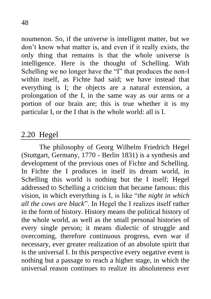noumenon. So, if the universe is intelligent matter, but we don't know what matter is, and even if it really exists, the only thing that remains is that the whole universe is intelligence. Here is the thought of Schelling. With Schelling we no longer have the "I" that produces the non-I within itself, as Fichte had said; we have instead that everything is I; the objects are a natural extension, a prolongation of the I, in the same way as our arms or a portion of our brain are; this is true whether it is my

particular I, or the I that is the whole world: all is I.

# 2.20 Hegel

The philosophy of Georg Wilhelm Friedrich Hegel (Stuttgart, Germany, 1770 - Berlin 1831) is a synthesis and development of the previous ones of Fichte and Schelling. In Fichte the I produces in itself its dream world, in Schelling this world is nothing but the I itself; Hegel addressed to Schelling a criticism that became famous: this vision, in which everything is I, is like "*the night in which all the cows are black*". In Hegel the I realizes itself rather in the form of history. History means the political history of the whole world, as well as the small personal histories of every single person; it means dialectic of struggle and overcoming, therefore continuous progress, even war if necessary, ever greater realization of an absolute spirit that is the universal I. In this perspective every negative event is nothing but a passage to reach a higher stage, in which the universal reason continues to realize its absoluteness ever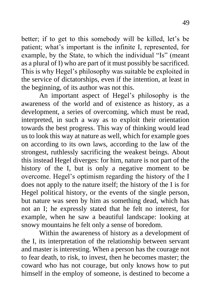better; if to get to this somebody will be killed, let's be patient; what's important is the infinite I, represented, for example, by the State, to which the individual "Is" (meant as a plural of I) who are part of it must possibly be sacrificed. This is why Hegel's philosophy was suitable be exploited in the service of dictatorships, even if the intention, at least in the beginning, of its author was not this.

An important aspect of Hegel's philosophy is the awareness of the world and of existence as history, as a development, a series of overcoming, which must be read, interpreted, in such a way as to exploit their orientation towards the best progress. This way of thinking would lead us to look this way at nature as well, which for example goes on according to its own laws, according to the law of the strongest, ruthlessly sacrificing the weakest beings. About this instead Hegel diverges: for him, nature is not part of the history of the I, but is only a negative moment to be overcome. Hegel's optimism regarding the history of the I does not apply to the nature itself; the history of the I is for Hegel political history, or the events of the single person, but nature was seen by him as something dead, which has not an I; he expressly stated that he felt no interest, for example, when he saw a beautiful landscape: looking at snowy mountains he felt only a sense of boredom.

Within the awareness of history as a development of the I, its interpretation of the relationship between servant and master is interesting. When a person has the courage not to fear death, to risk, to invest, then he becomes master; the coward who has not courage, but only knows how to put himself in the employ of someone, is destined to become a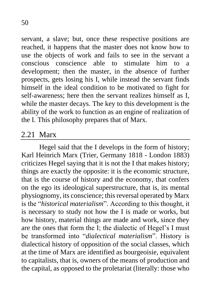servant, a slave; but, once these respective positions are reached, it happens that the master does not know how to use the objects of work and fails to see in the servant a conscious conscience able to stimulate him to a development; then the master, in the absence of further prospects, gets losing his I, while instead the servant finds himself in the ideal condition to be motivated to fight for self-awareness; here then the servant realizes himself as I, while the master decays. The key to this development is the ability of the work to function as an engine of realization of the I. This philosophy prepares that of Marx.

### 2.21 Marx

Hegel said that the I develops in the form of history; Karl Heinrich Marx (Trier, Germany 1818 - London 1883) criticizes Hegel saying that it is not the I that makes history; things are exactly the opposite: it is the economic structure, that is the course of history and the economy, that confers on the ego its ideological superstructure, that is, its mental physiognomy, its conscience; this reversal operated by Marx is the "*historical materialism*". According to this thought, it is necessary to study not how the I is made or works, but how history, material things are made and work, since they are the ones that form the I; the dialectic of Hegel's I must be transformed into "*dialectical materialism*". History is dialectical history of opposition of the social classes, which at the time of Marx are identified as bourgeoisie, equivalent to capitalists, that is, owners of the means of production and the capital, as opposed to the proletariat (literally: those who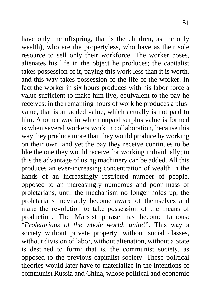have only the offspring, that is the children, as the only wealth), who are the propertyless, who have as their sole resource to sell only their workforce. The worker poses, alienates his life in the object he produces; the capitalist takes possession of it, paying this work less than it is worth, and this way takes possession of the life of the worker. In fact the worker in six hours produces with his labor force a value sufficient to make him live, equivalent to the pay he receives; in the remaining hours of work he produces a plusvalue, that is an added value, which actually is not paid to him. Another way in which unpaid surplus value is formed is when several workers work in collaboration, because this way they produce more than they would produce by working on their own, and yet the pay they receive continues to be like the one they would receive for working individually; to this the advantage of using machinery can be added. All this produces an ever-increasing concentration of wealth in the hands of an increasingly restricted number of people, opposed to an increasingly numerous and poor mass of proletarians, until the mechanism no longer holds up, the proletarians inevitably become aware of themselves and make the revolution to take possession of the means of production. The Marxist phrase has become famous: "*Proletarians of the whole world, unite*!". This way a society without private property, without social classes, without division of labor, without alienation, without a State is destined to form: that is, the communist society, as opposed to the previous capitalist society. These political theories would later have to materialize in the intentions of communist Russia and China, whose political and economic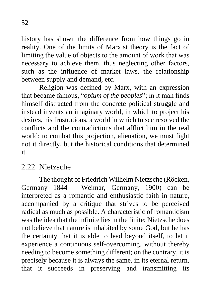history has shown the difference from how things go in reality. One of the limits of Marxist theory is the fact of limiting the value of objects to the amount of work that was necessary to achieve them, thus neglecting other factors, such as the influence of market laws, the relationship between supply and demand, etc.

Religion was defined by Marx, with an expression that became famous, "*opium of the peoples*"; in it man finds himself distracted from the concrete political struggle and instead invents an imaginary world, in which to project his desires, his frustrations, a world in which to see resolved the conflicts and the contradictions that afflict him in the real world; to combat this projection, alienation, we must fight not it directly, but the historical conditions that determined it.

### 2.22 Nietzsche

The thought of Friedrich Wilhelm Nietzsche (Röcken, Germany 1844 - Weimar, Germany, 1900) can be interpreted as a romantic and enthusiastic faith in nature, accompanied by a critique that strives to be perceived radical as much as possible. A characteristic of romanticism was the idea that the infinite lies in the finite; Nietzsche does not believe that nature is inhabited by some God, but he has the certainty that it is able to lead beyond itself, to let it experience a continuous self-overcoming, without thereby needing to become something different; on the contrary, it is precisely because it is always the same, in its eternal return, that it succeeds in preserving and transmitting its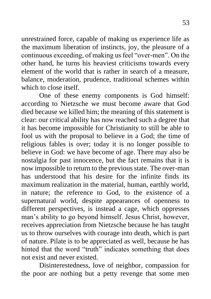unrestrained force, capable of making us experience life as the maximum liberation of instincts, joy, the pleasure of a continuous exceeding, of making us feel "over-men". On the other hand, he turns his heaviest criticisms towards every element of the world that is rather in search of a measure, balance, moderation, prudence, traditional schemes within which to close itself

One of these enemy components is God himself: according to Nietzsche we must become aware that God died because we killed him; the meaning of this statement is clear: our critical ability has now reached such a degree that it has become impossible for Christianity to still be able to fool us with the proposal to believe in a God; the time of religious fables is over; today it is no longer possible to believe in God: we have become of age. There may also be nostalgia for past innocence, but the fact remains that it is now impossible to return to the previous state. The over-man has understood that his desire for the infinite finds its maximum realization in the material, human, earthly world, in nature; the reference to God, to the existence of a supernatural world, despite appearances of openness to different perspectives, is instead a cage, which oppresses man's ability to go beyond himself. Jesus Christ, however, receives appreciation from Nietzsche because he has taught us to throw ourselves with courage into death, which is part of nature. Pilate is to be appreciated as well, because he has hinted that the word "truth" indicates something that does not exist and never existed.

Disinterestedness, love of neighbor, compassion for the poor are nothing but a petty revenge that some men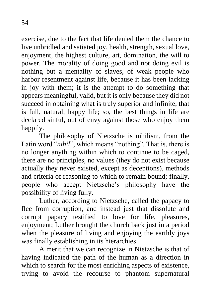exercise, due to the fact that life denied them the chance to live unbridled and satiated joy, health, strength, sexual love, enjoyment, the highest culture, art, domination, the will to power. The morality of doing good and not doing evil is nothing but a mentality of slaves, of weak people who harbor resentment against life, because it has been lacking in joy with them; it is the attempt to do something that appears meaningful, valid, but it is only because they did not succeed in obtaining what is truly superior and infinite, that is full, natural, happy life; so, the best things in life are declared sinful, out of envy against those who enjoy them happily.

The philosophy of Nietzsche is nihilism, from the Latin word "*nihil*", which means "nothing". That is, there is no longer anything within which to continue to be caged, there are no principles, no values (they do not exist because actually they never existed, except as deceptions), methods and criteria of reasoning to which to remain bound; finally, people who accept Nietzsche's philosophy have the possibility of living fully.

Luther, according to Nietzsche, called the papacy to flee from corruption, and instead just that dissolute and corrupt papacy testified to love for life, pleasures, enjoyment; Luther brought the church back just in a period when the pleasure of living and enjoying the earthly joys was finally establishing in its hierarchies.

A merit that we can recognize in Nietzsche is that of having indicated the path of the human as a direction in which to search for the most enriching aspects of existence, trying to avoid the recourse to phantom supernatural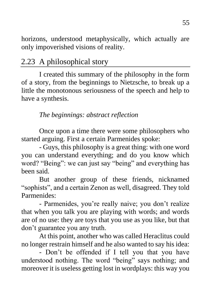horizons, understood metaphysically, which actually are only impoverished visions of reality.

# 2.23 A philosophical story

I created this summary of the philosophy in the form of a story, from the beginnings to Nietzsche, to break up a little the monotonous seriousness of the speech and help to have a synthesis.

#### *The beginnings: abstract reflection*

Once upon a time there were some philosophers who started arguing. First a certain Parmenides spoke:

- Guys, this philosophy is a great thing: with one word you can understand everything; and do you know which word? "Being": we can just say "being" and everything has been said.

But another group of these friends, nicknamed "sophists", and a certain Zenon as well, disagreed. They told Parmenides:

- Parmenides, you're really naive; you don't realize that when you talk you are playing with words; and words are of no use: they are toys that you use as you like, but that don't guarantee you any truth.

At this point, another who was called Heraclitus could no longer restrain himself and he also wanted to say his idea:

- Don't be offended if I tell you that you have understood nothing. The word "being" says nothing; and moreover it is useless getting lost in wordplays: this way you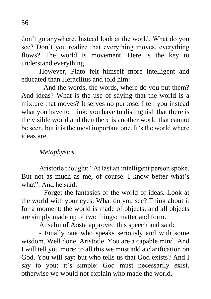don't go anywhere. Instead look at the world. What do you see? Don't you realize that everything moves, everything flows? The world is movement. Here is the key to understand everything.

However, Plato felt himself more intelligent and educated than Heraclitus and told him:

- And the words, the words, where do you put them? And ideas? What is the use of saying that the world is a mixture that moves? It serves no purpose. I tell you instead what you have to think: you have to distinguish that there is the visible world and then there is another world that cannot be seen, but it is the most important one. It's the world where ideas are.

#### *Metaphysics*

Aristotle thought: "At last an intelligent person spoke. But not as much as me, of course. I know better what's what". And he said:

- Forget the fantasies of the world of ideas. Look at the world with your eyes. What do you see? Think about it for a moment: the world is made of objects; and all objects are simply made up of two things: matter and form.

Anselm of Aosta approved this speech and said:

- Finally one who speaks seriously and with some wisdom. Well done, Aristotle. You are a capable mind. And I will tell you more: to all this we must add a clarification on God. You will say: but who tells us that God exists? And I say to you: it's simple: God must necessarily exist, otherwise we would not explain who made the world.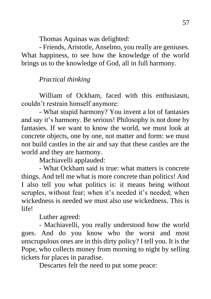Thomas Aquinas was delighted:

- Friends, Aristotle, Anselmo, you really are geniuses. What happiness, to see how the knowledge of the world brings us to the knowledge of God, all in full harmony.

#### *Practical thinking*

William of Ockham, faced with this enthusiasm, couldn't restrain himself anymore:

- What stupid harmony? You invent a lot of fantasies and say it's harmony. Be serious! Philosophy is not done by fantasies. If we want to know the world, we must look at concrete objects, one by one, not matter and form: we must not build castles in the air and say that these castles are the world and they are harmony.

Machiavelli applauded:

- What Ockham said is true: what matters is concrete things. And tell me what is more concrete than politics! And I also tell you what politics is: it means being without scruples, without fear; when it's needed it's needed; when wickedness is needed we must also use wickedness. This is life!

Luther agreed:

- Machiavelli, you really understood how the world goes. And do you know who the worst and most unscrupulous ones are in this dirty policy? I tell you. It is the Pope, who collects money from morning to night by selling tickets for places in paradise.

Descartes felt the need to put some peace: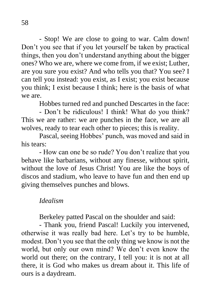- Stop! We are close to going to war. Calm down! Don't you see that if you let yourself be taken by practical things, then you don't understand anything about the bigger ones? Who we are, where we come from, if we exist; Luther, are you sure you exist? And who tells you that? You see? I can tell you instead: you exist, as I exist; you exist because you think; I exist because I think; here is the basis of what we are.

Hobbes turned red and punched Descartes in the face:

- Don't be ridiculous! I think! What do you think? This we are rather: we are punches in the face, we are all wolves, ready to tear each other to pieces; this is reality.

Pascal, seeing Hobbes' punch, was moved and said in his tears:

- How can one be so rude? You don't realize that you behave like barbarians, without any finesse, without spirit, without the love of Jesus Christ! You are like the boys of discos and stadium, who leave to have fun and then end up giving themselves punches and blows.

#### *Idealism*

Berkeley patted Pascal on the shoulder and said:

- Thank you, friend Pascal! Luckily you intervened, otherwise it was really bad here. Let's try to be humble, modest. Don't you see that the only thing we know is not the world, but only our own mind? We don't even know the world out there; on the contrary, I tell you: it is not at all there, it is God who makes us dream about it. This life of ours is a daydream.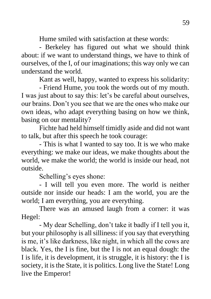Hume smiled with satisfaction at these words:

- Berkeley has figured out what we should think about: if we want to understand things, we have to think of ourselves, of the I, of our imaginations; this way only we can understand the world.

Kant as well, happy, wanted to express his solidarity:

- Friend Hume, you took the words out of my mouth. I was just about to say this: let's be careful about ourselves, our brains. Don't you see that we are the ones who make our own ideas, who adapt everything basing on how we think, basing on our mentality?

Fichte had held himself timidly aside and did not want to talk, but after this speech he took courage:

- This is what I wanted to say too. It is we who make everything: we make our ideas, we make thoughts about the world, we make the world; the world is inside our head, not outside.

Schelling's eyes shone:

- I will tell you even more. The world is neither outside nor inside our heads: I am the world, you are the world; I am everything, you are everything.

There was an amused laugh from a corner: it was Hegel:

- My dear Schelling, don't take it badly if I tell you it, but your philosophy is all silliness: if you say that everything is me, it's like darkness, like night, in which all the cows are black. Yes, the I is fine, but the I is not an equal dough: the I is life, it is development, it is struggle, it is history: the I is society, it is the State, it is politics. Long live the State! Long live the Emperor!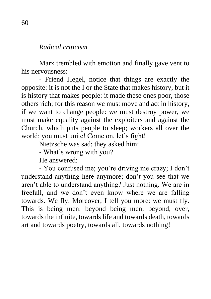#### *Radical criticism*

Marx trembled with emotion and finally gave vent to his nervousness:

- Friend Hegel, notice that things are exactly the opposite: it is not the I or the State that makes history, but it is history that makes people: it made these ones poor, those others rich; for this reason we must move and act in history, if we want to change people: we must destroy power, we must make equality against the exploiters and against the Church, which puts people to sleep; workers all over the world: you must unite! Come on, let's fight!

Nietzsche was sad; they asked him:

- What's wrong with you?

He answered:

- You confused me; you're driving me crazy; I don't understand anything here anymore; don't you see that we aren't able to understand anything? Just nothing. We are in freefall, and we don't even know where we are falling towards. We fly. Moreover, I tell you more: we must fly. This is being men: beyond being men; beyond, over, towards the infinite, towards life and towards death, towards art and towards poetry, towards all, towards nothing!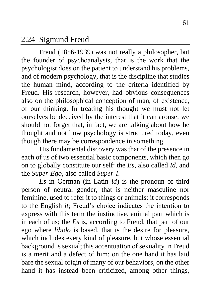#### 2.24 Sigmund Freud

Freud (1856-1939) was not really a philosopher, but the founder of psychoanalysis, that is the work that the psychologist does on the patient to understand his problems, and of modern psychology, that is the discipline that studies the human mind, according to the criteria identified by Freud. His research, however, had obvious consequences also on the philosophical conception of man, of existence, of our thinking. In treating his thought we must not let ourselves be deceived by the interest that it can arouse: we should not forget that, in fact, we are talking about how he thought and not how psychology is structured today, even though there may be correspondence in something.

His fundamental discovery was that of the presence in each of us of two essential basic components, which then go on to globally constitute our self: the *Es*, also called *Id*, and the *Super-Ego*, also called *Super-I*.

*Es* in German (in Latin *id*) is the pronoun of third person of neutral gender, that is neither masculine nor feminine, used to refer it to things or animals: it corresponds to the English *it*; Freud's choice indicates the intention to express with this term the instinctive, animal part which is in each of us; the *Es* is, according to Freud, that part of our ego where *libido* is based, that is the desire for pleasure, which includes every kind of pleasure, but whose essential background is sexual; this accentuation of sexuality in Freud is a merit and a defect of him: on the one hand it has laid bare the sexual origin of many of our behaviors, on the other hand it has instead been criticized, among other things,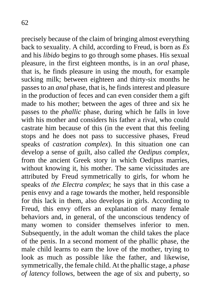precisely because of the claim of bringing almost everything back to sexuality. A child, according to Freud, is born as *Es* and his *libido* begins to go through some phases. His sexual pleasure, in the first eighteen months, is in an *oral* phase, that is, he finds pleasure in using the mouth, for example sucking milk; between eighteen and thirty-six months he passes to an *anal* phase, that is, he finds interest and pleasure in the production of feces and can even consider them a gift made to his mother; between the ages of three and six he passes to the *phallic* phase, during which he falls in love with his mother and considers his father a rival, who could castrate him because of this (in the event that this feeling stops and he does not pass to successive phases, Freud speaks of *castration complex*). In this situation one can

develop a sense of guilt, also called *the Oedipus complex*, from the ancient Greek story in which Oedipus marries, without knowing it, his mother. The same vicissitudes are attributed by Freud symmetrically to girls, for whom he speaks of *the Electra complex*; he says that in this case a penis envy and a rage towards the mother, held responsible for this lack in them, also develops in girls. According to Freud, this envy offers an explanation of many female behaviors and, in general, of the unconscious tendency of many women to consider themselves inferior to men. Subsequently, in the adult woman the child takes the place of the penis. In a second moment of the phallic phase, the male child learns to earn the love of the mother, trying to look as much as possible like the father, and likewise, symmetrically, the female child. At the phallic stage, a *phase of latency* follows, between the age of six and puberty, so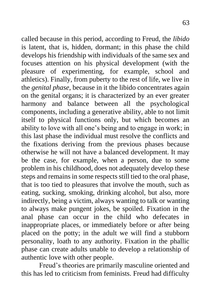called because in this period, according to Freud, the *libido* is latent, that is, hidden, dormant; in this phase the child develops his friendship with individuals of the same sex and focuses attention on his physical development (with the pleasure of experimenting, for example, school and athletics). Finally, from puberty to the rest of life, we live in the *genital phase*, because in it the libido concentrates again on the genital organs; it is characterized by an ever greater harmony and balance between all the psychological components, including a generative ability, able to not limit itself to physical functions only, but which becomes an ability to love with all one's being and to engage in work; in this last phase the individual must resolve the conflicts and the fixations deriving from the previous phases because otherwise he will not have a balanced development. It may be the case, for example, when a person, due to some problem in his childhood, does not adequately develop these steps and remains in some respects still tied to the oral phase, that is too tied to pleasures that involve the mouth, such as eating, sucking, smoking, drinking alcohol, but also, more indirectly, being a victim, always wanting to talk or wanting to always make pungent jokes, be spoiled. Fixation in the anal phase can occur in the child who defecates in inappropriate places, or immediately before or after being placed on the potty; in the adult we will find a stubborn personality, loath to any authority. Fixation in the phallic phase can create adults unable to develop a relationship of authentic love with other people.

Freud's theories are primarily masculine oriented and this has led to criticism from feminists. Freud had difficulty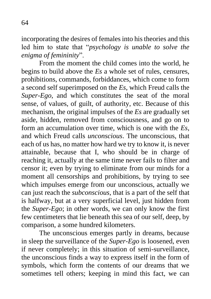incorporating the desires of females into his theories and this led him to state that "*psychology is unable to solve the enigma of femininity*".

From the moment the child comes into the world, he begins to build above the *Es* a whole set of rules, censures, prohibitions, commands, forbiddances, which come to form a second self superimposed on the *Es*, which Freud calls the *Super-Ego*, and which constitutes the seat of the moral sense, of values, of guilt, of authority, etc. Because of this mechanism, the original impulses of the *Es* are gradually set aside, hidden, removed from consciousness, and go on to form an accumulation over time, which is one with the *Es*, and which Freud calls *unconscious*. The unconscious, that each of us has, no matter how hard we try to know it, is never attainable, because that I, who should be in charge of reaching it, actually at the same time never fails to filter and censor it; even by trying to eliminate from our minds for a moment all censorships and prohibitions, by trying to see which impulses emerge from our unconscious, actually we can just reach the *subconscious*, that is a part of the self that is halfway, but at a very superficial level, just hidden from the *Super-Ego*; in other words, we can only know the first few centimeters that lie beneath this sea of our self, deep, by comparison, a some hundred kilometers.

The unconscious emerges partly in dreams, because in sleep the surveillance of the *Super-Ego* is loosened, even if never completely; in this situation of semi-surveillance, the unconscious finds a way to express itself in the form of symbols, which form the contents of our dreams that we sometimes tell others; keeping in mind this fact, we can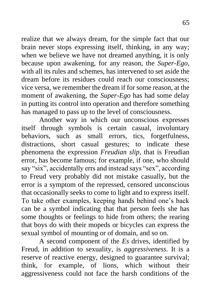realize that we always dream, for the simple fact that our brain never stops expressing itself, thinking, in any way; when we believe we have not dreamed anything, it is only because upon awakening, for any reason, the *Super-Ego*, with all its rules and schemes, has intervened to set aside the dream before its residues could reach our consciousness; vice versa, we remember the dream if for some reason, at the moment of awakening, the *Super-Ego* has had some delay in putting its control into operation and therefore something has managed to pass up to the level of consciousness.

Another way in which our unconscious expresses itself through symbols is certain casual, involuntary behaviors, such as small errors, tics, forgetfulness, distractions, short casual gestures; to indicate these phenomena the expression *Freudian slip*, that is Freudian error, has become famous; for example, if one, who should say "six", accidentally errs and instead says "sex", according to Freud very probably did not mistake casually, but the error is a symptom of the repressed, censored unconscious that occasionally seeks to come to light and to express itself. To take other examples, keeping hands behind one's back can be a symbol indicating that that person feels she has some thoughts or feelings to hide from others; the rearing that boys do with their mopeds or bicycles can express the sexual symbol of mounting or of domain, and so on.

A second component of the *Es* drives, identified by Freud, in addition to sexuality, is *aggressiveness*. It is a reserve of reactive energy, designed to guarantee survival; think, for example, of lions, which without their aggressiveness could not face the harsh conditions of the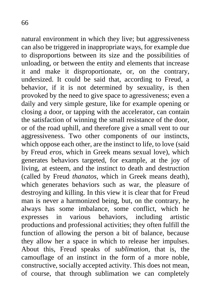natural environment in which they live; but aggressiveness can also be triggered in inappropriate ways, for example due to disproportions between its size and the possibilities of unloading, or between the entity and elements that increase it and make it disproportionate, or, on the contrary, undersized. It could be said that, according to Freud, a behavior, if it is not determined by sexuality, is then provoked by the need to give space to agressiveness; even a daily and very simple gesture, like for example opening or closing a door, or tapping with the accelerator, can contain the satisfaction of winning the small resistance of the door, or of the road uphill, and therefore give a small vent to our aggressiveness. Two other components of our instincts, which oppose each other, are the instinct to life, to love (said by Freud *eros*, which in Greek means sexual love), which generates behaviors targeted, for example, at the joy of living, at esteem, and the instinct to death and destruction (called by Freud *thanatos*, which in Greek means death), which generates behaviors such as war, the pleasure of destroying and killing. In this view it is clear that for Freud man is never a harmonized being, but, on the contrary, he always has some imbalance, some conflict, which he expresses in various behaviors, including artistic productions and professional activities; they often fulfill the function of allowing the person a bit of balance, because they allow her a space in which to release her impulses. About this, Freud speaks of *sublimation*, that is, the camouflage of an instinct in the form of a more noble, constructive, socially accepted activity. This does not mean, of course, that through sublimation we can completely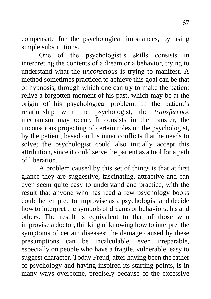compensate for the psychological imbalances, by using simple substitutions.

One of the psychologist's skills consists in interpreting the contents of a dream or a behavior, trying to understand what the *unconscious* is trying to manifest. A method sometimes practiced to achieve this goal can be that of hypnosis, through which one can try to make the patient relive a forgotten moment of his past, which may be at the origin of his psychological problem. In the patient's relationship with the psychologist, the *transference* mechanism may occur. It consists in the transfer, the unconscious projecting of certain roles on the psychologist, by the patient, based on his inner conflicts that he needs to solve; the psychologist could also initially accept this attribution, since it could serve the patient as a tool for a path of liberation.

A problem caused by this set of things is that at first glance they are suggestive, fascinating, attractive and can even seem quite easy to understand and practice, with the result that anyone who has read a few psychology books could be tempted to improvise as a psychologist and decide how to interpret the symbols of dreams or behaviors, his and others. The result is equivalent to that of those who improvise a doctor, thinking of knowing how to interpret the symptoms of certain diseases; the damage caused by these presumptions can be incalculable, even irreparable, especially on people who have a fragile, vulnerable, easy to suggest character. Today Freud, after having been the father of psychology and having inspired its starting points, is in many ways overcome, precisely because of the excessive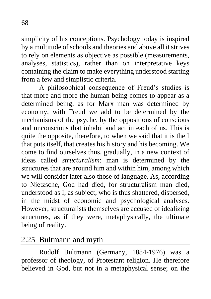simplicity of his conceptions. Psychology today is inspired by a multitude of schools and theories and above all it strives to rely on elements as objective as possible (measurements, analyses, statistics), rather than on interpretative keys containing the claim to make everything understood starting from a few and simplistic criteria.

A philosophical consequence of Freud's studies is that more and more the human being comes to appear as a determined being; as for Marx man was determined by economy, with Freud we add to be determined by the mechanisms of the psyche, by the oppositions of conscious and unconscious that inhabit and act in each of us. This is quite the opposite, therefore, to when we said that it is the I that puts itself, that creates his history and his becoming. We come to find ourselves thus, gradually, in a new context of ideas called *structuralism*: man is determined by the structures that are around him and within him, among which we will consider later also those of language. As, according to Nietzsche, God had died, for structuralism man died, understood as I, as subject, who is thus shattered, dispersed, in the midst of economic and psychological analyses. However, structuralists themselves are accused of idealizing structures, as if they were, metaphysically, the ultimate being of reality.

### 2.25 Bultmann and myth

Rudolf Bultmann (Germany, 1884-1976) was a professor of theology, of Protestant religion. He therefore believed in God, but not in a metaphysical sense; on the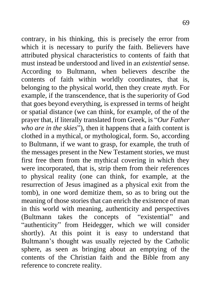contrary, in his thinking, this is precisely the error from which it is necessary to purify the faith. Believers have attributed physical characteristics to contents of faith that must instead be understood and lived in an *existential* sense. According to Bultmann, when believers describe the contents of faith within worldly coordinates, that is, belonging to the physical world, then they create *myth*. For example, if the transcendence, that is the superiority of God that goes beyond everything, is expressed in terms of height or spatial distance (we can think, for example, of the of the prayer that, if literally translated from Greek, is "*Our Father who are in the skies*"), then it happens that a faith content is clothed in a mythical, or mythological, form. So, according to Bultmann, if we want to grasp, for example, the truth of the messages present in the New Testament stories, we must first free them from the mythical covering in which they were incorporated, that is, strip them from their references to physical reality (one can think, for example, at the resurrection of Jesus imagined as a physical exit from the tomb), in one word demitize them, so as to bring out the meaning of those stories that can enrich the existence of man in this world with meaning, authenticity and perspectives (Bultmann takes the concepts of "existential" and "authenticity" from Heidegger, which we will consider shortly). At this point it is easy to understand that Bultmann's thought was usually rejected by the Catholic sphere, as seen as bringing about an emptying of the contents of the Christian faith and the Bible from any reference to concrete reality.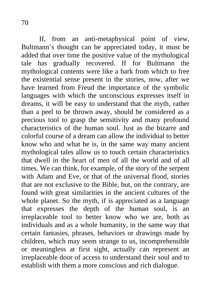If, from an anti-metaphysical point of view, Bultmann's thought can be appreciated today, it must be added that over time the positive value of the mythological tale has gradually recovered. If for Bultmann the mythological contents were like a bark from which to free the existential sense present in the stories, now, after we have learned from Freud the importance of the symbolic languages with which the unconscious expresses itself in dreams, it will be easy to understand that the myth, rather than a peel to be thrown away, should be considered as a precious tool to grasp the sensitivity and many profound characteristics of the human soul. Just as the bizarre and colorful course of a dream can allow the individual to better know who and what he is, in the same way many ancient mythological tales allow us to touch certain characteristics that dwell in the heart of men of all the world and of all times. We can think, for example, of the story of the serpent with Adam and Eve, or that of the universal flood, stories that are not exclusive to the Bible, but, on the contrary, are found with great similarities in the ancient cultures of the whole planet. So the myth, if is appreciated as a language that expresses the depth of the human soul, is an irreplaceable tool to better know who we are, both as individuals and as a whole humanity, in the same way that certain fantasies, phrases, behaviors or drawings made by children, which may seem strange to us, incomprehensible or meaningless at first sight, actually can represent an irreplaceable door of access to understand their soul and to establish with them a more conscious and rich dialogue.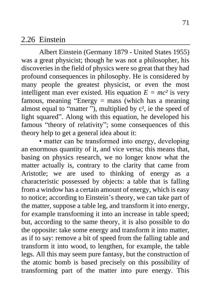#### 2.26 Einstein

Albert Einstein (Germany 1879 - United States 1955) was a great physicist; though he was not a philosopher, his discoveries in the field of physics were so great that they had profound consequences in philosophy. He is considered by many people the greatest physicist, or even the most intelligent man ever existed. His equation  $E = mc^2$  is very famous, meaning "Energy = mass (which has a meaning almost equal to "matter"), multiplied by  $c^2$ , ie the speed of light squared". Along with this equation, he developed his famous "theory of relativity"; some consequences of this theory help to get a general idea about it:

• matter can be transformed into energy, developing an enormous quantity of it, and vice versa; this means that, basing on physics research, we no longer know what the matter actually is, contrary to the clarity that came from Aristotle; we are used to thinking of energy as a characteristic possessed by objects: a table that is falling from a window has a certain amount of energy, which is easy to notice; according to Einstein's theory, we can take part of the matter, suppose a table leg, and transform it into energy, for example transforming it into an increase in table speed; but, according to the same theory, it is also possible to do the opposite: take some energy and transform it into matter, as if to say: remove a bit of speed from the falling table and transform it into wood, to lengthen, for example, the table legs. All this may seem pure fantasy, but the construction of the atomic bomb is based precisely on this possibility of transforming part of the matter into pure energy. This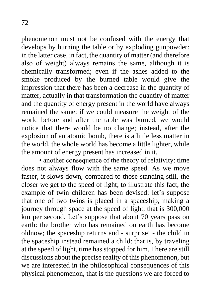phenomenon must not be confused with the energy that develops by burning the table or by exploding gunpowder: in the latter case, in fact, the quantity of matter (and therefore also of weight) always remains the same, although it is chemically transformed; even if the ashes added to the smoke produced by the burned table would give the impression that there has been a decrease in the quantity of matter, actually in that transformation the quantity of matter and the quantity of energy present in the world have always remained the same: if we could measure the weight of the world before and after the table was burned, we would notice that there would be no change; instead, after the explosion of an atomic bomb, there is a little less matter in the world, the whole world has become a little lighter, while the amount of energy present has increased in it.

• another consequence of the theory of relativity: time does not always flow with the same speed. As we move faster, it slows down, compared to those standing still, the closer we get to the speed of light; to illustrate this fact, the example of twin children has been devised: let's suppose that one of two twins is placed in a spaceship, making a journey through space at the speed of light, that is 300,000 km per second. Let's suppose that about 70 years pass on earth: the brother who has remained on earth has become oldnow; the spaceship returns and - surprise! - the child in the spaceship instead remained a child: that is, by traveling at the speed of light, time has stopped for him. There are still discussions about the precise reality of this phenomenon, but we are interested in the philosophical consequences of this physical phenomenon, that is the questions we are forced to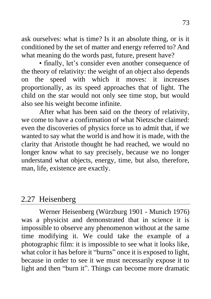ask ourselves: what is time? Is it an absolute thing, or is it conditioned by the set of matter and energy referred to? And what meaning do the words past, future, present have?

• finally, let's consider even another consequence of the theory of relativity: the weight of an object also depends on the speed with which it moves: it increases proportionally, as its speed approaches that of light. The child on the star would not only see time stop, but would also see his weight become infinite.

After what has been said on the theory of relativity, we come to have a confirmation of what Nietzsche claimed: even the discoveries of physics force us to admit that, if we wanted to say what the world is and how it is made, with the clarity that Aristotle thought he had reached, we would no longer know what to say precisely, because we no longer understand what objects, energy, time, but also, therefore, man, life, existence are exactly.

## 2.27 Heisenberg

Werner Heisenberg (Würzburg 1901 - Munich 1976) was a physicist and demonstrated that in science it is impossible to observe any phenomenon without at the same time modifying it. We could take the example of a photographic film: it is impossible to see what it looks like, what color it has before it "burns" once it is exposed to light, because in order to see it we must necessarily expose it to light and then "burn it". Things can become more dramatic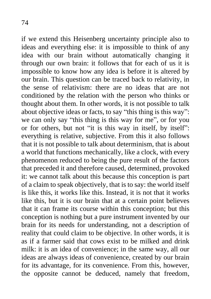if we extend this Heisenberg uncertainty principle also to ideas and everything else: it is impossible to think of any idea with our brain without automatically changing it through our own brain: it follows that for each of us it is impossible to know how any idea is before it is altered by our brain. This question can be traced back to relativity, in the sense of relativism: there are no ideas that are not conditioned by the relation with the person who thinks or thought about them. In other words, it is not possible to talk about objective ideas or facts, to say "this thing is this way": we can only say "this thing is this way for me", or for you or for others, but not "it is this way in itself, by itself": everything is relative, subjective. From this it also follows that it is not possible to talk about determinism, that is about a world that functions mechanically, like a clock, with every phenomenon reduced to being the pure result of the factors that preceded it and therefore caused, determined, provoked it: we cannot talk about this because this conception is part of a claim to speak objectively, that is to say: the world itself is like this, it works like this. Instead, it is not that it works like this, but it is our brain that at a certain point believes that it can frame its course within this conception; but this conception is nothing but a pure instrument invented by our brain for its needs for understanding, not a description of reality that could claim to be objective. In other words, it is as if a farmer said that cows exist to be milked and drink milk: it is an idea of convenience; in the same way, all our ideas are always ideas of convenience, created by our brain for its advantage, for its convenience. From this, however, the opposite cannot be deduced, namely that freedom,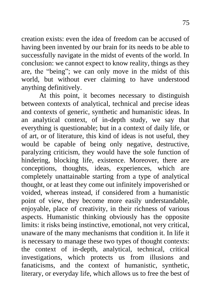creation exists: even the idea of freedom can be accused of having been invented by our brain for its needs to be able to successfully navigate in the midst of events of the world. In conclusion: we cannot expect to know reality, things as they are, the "being"; we can only move in the midst of this world, but without ever claiming to have understood anything definitively.

At this point, it becomes necessary to distinguish between contexts of analytical, technical and precise ideas and contexts of generic, synthetic and humanistic ideas. In an analytical context, of in-depth study, we say that everything is questionable; but in a context of daily life, or of art, or of literature, this kind of ideas is not useful, they would be capable of being only negative, destructive, paralyzing criticism, they would have the sole function of hindering, blocking life, existence. Moreover, there are conceptions, thoughts, ideas, experiences, which are completely unattainable starting from a type of analytical thought, or at least they come out infinitely impoverished or voided, whereas instead, if considered from a humanistic point of view, they become more easily understandable, enjoyable, place of creativity, in their richness of various aspects. Humanistic thinking obviously has the opposite limits: it risks being instinctive, emotional, not very critical, unaware of the many mechanisms that condition it. In life it is necessary to manage these two types of thought contexts: the context of in-depth, analytical, technical, critical investigations, which protects us from illusions and fanaticisms, and the context of humanistic, synthetic, literary, or everyday life, which allows us to free the best of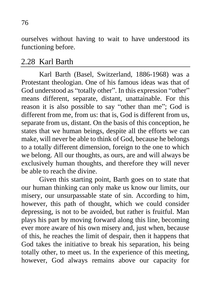ourselves without having to wait to have understood its functioning before.

#### 2.28 Karl Barth

Karl Barth (Basel, Switzerland, 1886-1968) was a Protestant theologian. One of his famous ideas was that of God understood as "totally other". In this expression "other" means different, separate, distant, unattainable. For this reason it is also possible to say "other than me"; God is different from me, from us: that is, God is different from us, separate from us, distant. On the basis of this conception, he states that we human beings, despite all the efforts we can make, will never be able to think of God, because he belongs to a totally different dimension, foreign to the one to which we belong. All our thoughts, as ours, are and will always be exclusively human thoughts, and therefore they will never be able to reach the divine.

Given this starting point, Barth goes on to state that our human thinking can only make us know our limits, our misery, our unsurpassable state of sin. According to him, however, this path of thought, which we could consider depressing, is not to be avoided, but rather is fruitful. Man plays his part by moving forward along this line, becoming ever more aware of his own misery and, just when, because of this, he reaches the limit of despair, then it happens that God takes the initiative to break his separation, his being totally other, to meet us. In the experience of this meeting, however, God always remains above our capacity for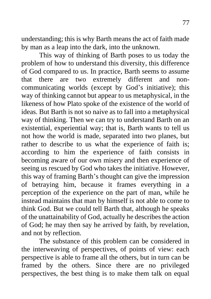understanding; this is why Barth means the act of faith made by man as a leap into the dark, into the unknown.

This way of thinking of Barth poses to us today the problem of how to understand this diversity, this difference of God compared to us. In practice, Barth seems to assume that there are two extremely different and noncommunicating worlds (except by God's initiative); this way of thinking cannot but appear to us metaphysical, in the likeness of how Plato spoke of the existence of the world of ideas. But Barth is not so naive as to fall into a metaphysical way of thinking. Then we can try to understand Barth on an existential, experiential way; that is, Barth wants to tell us not how the world is made, separated into two planes, but rather to describe to us what the experience of faith is; according to him the experience of faith consists in becoming aware of our own misery and then experience of seeing us rescued by God who takes the initiative. However, this way of framing Barth's thought can give the impression of betraying him, because it frames everything in a perception of the experience on the part of man, while he instead maintains that man by himself is not able to come to think God. But we could tell Barth that, although he speaks of the unattainability of God, actually he describes the action of God; he may then say he arrived by faith, by revelation, and not by reflection.

The substance of this problem can be considered in the interweaving of perspectives, of points of view: each perspective is able to frame all the others, but in turn can be framed by the others. Since there are no privileged perspectives, the best thing is to make them talk on equal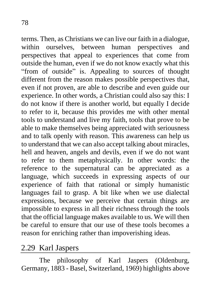terms. Then, as Christians we can live our faith in a dialogue, within ourselves, between human perspectives and perspectives that appeal to experiences that come from outside the human, even if we do not know exactly what this "from of outside" is. Appealing to sources of thought different from the reason makes possible perspectives that, even if not proven, are able to describe and even guide our experience. In other words, a Christian could also say this: I do not know if there is another world, but equally I decide to refer to it, because this provides me with other mental tools to understand and live my faith, tools that prove to be able to make themselves being appreciated with seriousness and to talk openly with reason. This awareness can help us to understand that we can also accept talking about miracles, hell and heaven, angels and devils, even if we do not want to refer to them metaphysically. In other words: the reference to the supernatural can be appreciated as a language, which succeeds in expressing aspects of our experience of faith that rational or simply humanistic languages fail to grasp. A bit like when we use dialectal expressions, because we perceive that certain things are impossible to express in all their richness through the tools that the official language makes available to us. We will then be careful to ensure that our use of these tools becomes a reason for enriching rather than impoverishing ideas.

## 2.29 Karl Jaspers

The philosophy of Karl Jaspers (Oldenburg, Germany, 1883 - Basel, Switzerland, 1969) highlights above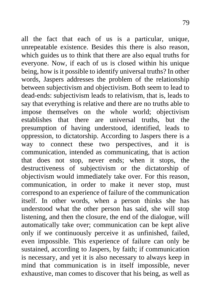all the fact that each of us is a particular, unique, unrepeatable existence. Besides this there is also reason, which guides us to think that there are also equal truths for everyone. Now, if each of us is closed within his unique being, how is it possible to identify universal truths? In other words, Jaspers addresses the problem of the relationship between subjectivism and objectivism. Both seem to lead to dead-ends: subjectivism leads to relativism, that is, leads to say that everything is relative and there are no truths able to impose themselves on the whole world; objectivism establishes that there are universal truths, but the presumption of having understood, identified, leads to oppression, to dictatorship. According to Jaspers there is a way to connect these two perspectives, and it is communication, intended as communicating, that is action that does not stop, never ends; when it stops, the destructiveness of subjectivism or the dictatorship of objectivism would immediately take over. For this reason, communication, in order to make it never stop, must correspond to an experience of failure of the communication itself. In other words, when a person thinks she has understood what the other person has said, she will stop listening, and then the closure, the end of the dialogue, will automatically take over; communication can be kept alive only if we continuously perceive it as unfinished, failed, even impossible. This experience of failure can only be sustained, according to Jaspers, by faith; if communication is necessary, and yet it is also necessary to always keep in mind that communication is in itself impossible, never exhaustive, man comes to discover that his being, as well as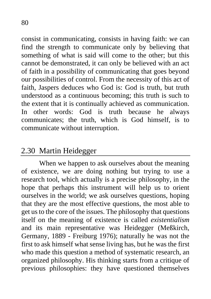consist in communicating, consists in having faith: we can find the strength to communicate only by believing that something of what is said will come to the other; but this cannot be demonstrated, it can only be believed with an act of faith in a possibility of communicating that goes beyond our possibilities of control. From the necessity of this act of faith, Jaspers deduces who God is: God is truth, but truth understood as a continuous becoming; this truth is such to the extent that it is continually achieved as communication. In other words: God is truth because he always communicates; the truth, which is God himself, is to communicate without interruption.

## 2.30 Martin Heidegger

When we happen to ask ourselves about the meaning of existence, we are doing nothing but trying to use a research tool, which actually is a precise philosophy, in the hope that perhaps this instrument will help us to orient ourselves in the world; we ask ourselves questions, hoping that they are the most effective questions, the most able to get us to the core of the issues. The philosophy that questions itself on the meaning of existence is called *existentialism* and its main representative was Heidegger (Meßkirch, Germany, 1889 - Freiburg 1976); naturally he was not the first to ask himself what sense living has, but he was the first who made this question a method of systematic research, an organized philosophy. His thinking starts from a critique of previous philosophies: they have questioned themselves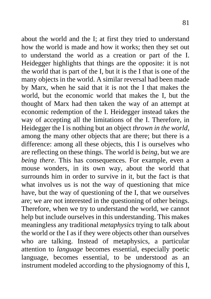about the world and the I; at first they tried to understand how the world is made and how it works; then they set out to understand the world as a creation or part of the I. Heidegger highlights that things are the opposite: it is not the world that is part of the I, but it is the I that is one of the many objects in the world. A similar reversal had been made by Marx, when he said that it is not the I that makes the world, but the economic world that makes the I, but the thought of Marx had then taken the way of an attempt at economic redemption of the I. Heidegger instead takes the way of accepting all the limitations of the I. Therefore, in Heidegger the I is nothing but an object *thrown in the world*, among the many other objects that are there; but there is a difference: among all these objects, this I is ourselves who are reflecting on these things. The world is *being*, but we are *being there*. This has consequences. For example, even a mouse wonders, in its own way, about the world that surrounds him in order to survive in it, but the fact is that what involves us is not the way of questioning that mice have, but the way of questioning of the I, that we ourselves are; we are not interested in the questioning of other beings. Therefore, when we try to understand the world, we cannot help but include ourselves in this understanding. This makes meaningless any traditional *metaphysics* trying to talk about the world or the I as if they were objects other than ourselves who are talking. Instead of metaphysics, a particular attention to *language* becomes essential, especially poetic language, becomes essential, to be understood as an instrument modeled according to the physiognomy of this I,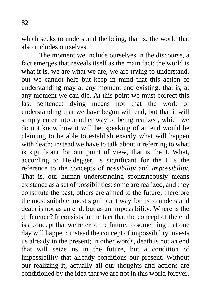which seeks to understand the being, that is, the world that also includes ourselves.

The moment we include ourselves in the discourse, a fact emerges that reveals itself as the main fact: the world is what it is, we are what we are, we are trying to understand, but we cannot help but keep in mind that this action of understanding may at any moment end existing, that is, at any moment we can die. At this point we must correct this last sentence: dying means not that the work of understanding that we have begun will end, but that it will simply enter into another way of being realized, which we do not know how it will be; speaking of an end would be claiming to be able to establish exactly what will happen with death; instead we have to talk about it referring to what is significant for our point of view, that is the I. What, according to Heidegger, is significant for the I is the reference to the concepts of *possibility* and *impossibility*. That is, our human understanding spontaneously means existence as a set of possibilities: some are realized, and they constitute the past, others are aimed to the future; therefore the most suitable, most significant way for us to understand death is not as an end, but as an impossibility. Where is the difference? It consists in the fact that the concept of the end is a concept that we refer to the future, to something that one day will happen; instead the concept of impossibility invests us already in the present; in other words, death is not an end that will seize us in the future, but a condition of impossibility that already conditions our present. Without our realizing it, actually all our thoughts and actions are conditioned by the idea that we are not in this world forever.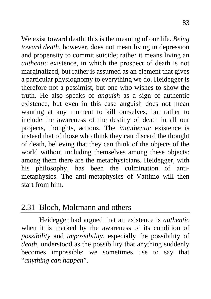We exist toward death: this is the meaning of our life. *Being toward death*, however, does not mean living in depression and propensity to commit suicide; rather it means living an *authentic* existence, in which the prospect of death is not marginalized, but rather is assumed as an element that gives a particular physiognomy to everything we do. Heidegger is therefore not a pessimist, but one who wishes to show the truth. He also speaks of *anguish* as a sign of authentic existence, but even in this case anguish does not mean wanting at any moment to kill ourselves, but rather to include the awareness of the destiny of death in all our projects, thoughts, actions. The *inauthentic* existence is instead that of those who think they can discard the thought of death, believing that they can think of the objects of the world without including themselves among these objects: among them there are the metaphysicians. Heidegger, with his philosophy, has been the culmination of antimetaphysics. The anti-metaphysics of Vattimo will then start from him.

## 2.31 Bloch, Moltmann and others

Heidegger had argued that an existence is *authentic* when it is marked by the awareness of its condition of *possibility* and *impossibility*, especially the possibility of *death*, understood as the possibility that anything suddenly becomes impossible; we sometimes use to say that "*anything can happen*".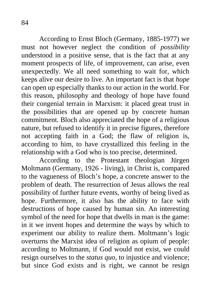According to Ernst Bloch (Germany, 1885-1977) we must not however neglect the condition of *possibility* understood in a positive sense, that is the fact that at any moment prospects of life, of improvement, can arise, even unexpectedly. We all need something to wait for, which keeps alive our desire to live. An important fact is that *hope* can open up especially thanks to our action in the world. For this reason, philosophy and theology of hope have found their congenial terrain in Marxism: it placed great trust in the possibilities that are opened up by concrete human commitment. Bloch also appreciated the hope of a religious nature, but refused to identify it in precise figures, therefore not accepting faith in a God; the flaw of religion is, according to him, to have crystallized this feeling in the relationship with a God who is too precise, determined.

According to the Protestant theologian Jürgen Moltmann (Germany, 1926 - living), in Christ is, compared to the vagueness of Bloch's hope, a concrete answer to the problem of death. The resurrection of Jesus allows the real possibility of further future events, worthy of being lived as hope. Furthermore, it also has the ability to face with destructions of hope caused by human sin. An interesting symbol of the need for hope that dwells in man is the game: in it we invent hopes and determine the ways by which to experiment our ability to realize them. Moltmann's logic overturns the Marxist idea of religion as opium of people: according to Moltmann, if God would not exist, we could resign ourselves to the *status quo*, to injustice and violence; but since God exists and is right, we cannot be resign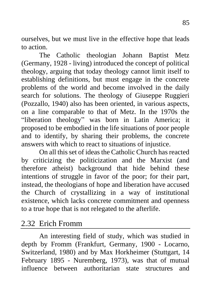ourselves, but we must live in the effective hope that leads to action.

The Catholic theologian Johann Baptist Metz (Germany, 1928 - living) introduced the concept of political theology, arguing that today theology cannot limit itself to establishing definitions, but must engage in the concrete problems of the world and become involved in the daily search for solutions. The theology of Giuseppe Ruggieri (Pozzallo, 1940) also has been oriented, in various aspects, on a line comparable to that of Metz. In the 1970s the "liberation theology" was born in Latin America; it proposed to be embodied in the life situations of poor people and to identify, by sharing their problems, the concrete answers with which to react to situations of injustice.

On all this set of ideas the Catholic Church has reacted by criticizing the politicization and the Marxist (and therefore atheist) background that hide behind these intentions of struggle in favor of the poor; for their part, instead, the theologians of hope and liberation have accused the Church of crystallizing in a way of institutional existence, which lacks concrete commitment and openness to a true hope that is not relegated to the afterlife.

## 2.32 Erich Fromm

An interesting field of study, which was studied in depth by Fromm (Frankfurt, Germany, 1900 - Locarno, Switzerland, 1980) and by Max Horkheimer (Stuttgart, 14 February 1895 - Nuremberg, 1973), was that of mutual influence between authoritarian state structures and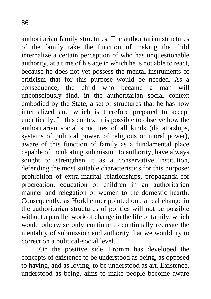authoritarian family structures. The authoritarian structures of the family take the function of making the child internalize a certain perception of who has unquestionable authority, at a time of his age in which he is not able to react, because he does not yet possess the mental instruments of criticism that for this purpose would be needed. As a consequence, the child who became a man will unconsciously find, in the authoritarian social context embodied by the State, a set of structures that he has now internalized and which is therefore prepared to accept uncritically. In this context it is possible to observe how the authoritarian social structures of all kinds (dictatorships, systems of political power, of religious or moral power), aware of this function of family as a fundamental place capable of inculcating submission to authority, have always sought to strengthen it as a conservative institution, defending the most suitable characteristics for this purpose: prohibition of extra-marital relationships, propaganda for procreation, education of children in an authoritarian manner and relegation of women to the domestic hearth. Consequently, as Horkheimer pointed out, a real change in the authoritarian structures of politics will not be possible without a parallel work of change in the life of family, which would otherwise only continue to continually recreate the mentality of submission and authority that we would try to correct on a political-social level.

On the positive side, Fromm has developed the concepts of existence to be understood as being, as opposed to having, and as loving, to be understood as art. Existence, understood as being, aims to make people become aware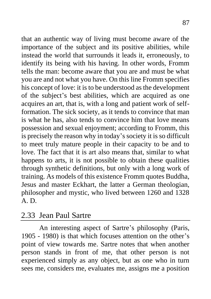that an authentic way of living must become aware of the importance of the subject and its positive abilities, while instead the world that surrounds it leads it, erroneously, to identify its being with his having. In other words, Fromm tells the man: become aware that you are and must be what you are and not what you have. On this line Fromm specifies his concept of love: it is to be understood as the development of the subject's best abilities, which are acquired as one acquires an art, that is, with a long and patient work of selfformation. The sick society, as it tends to convince that man is what he has, also tends to convince him that love means possession and sexual enjoyment; according to Fromm, this is precisely the reason why in today's society it is so difficult to meet truly mature people in their capacity to be and to love. The fact that it is art also means that, similar to what happens to arts, it is not possible to obtain these qualities through synthetic definitions, but only with a long work of training. As models of this existence Fromm quotes Buddha, Jesus and master Eckhart, the latter a German theologian, philosopher and mystic, who lived between 1260 and 1328 A. D.

## 2.33 Jean Paul Sartre

An interesting aspect of Sartre's philosophy (Paris, 1905 - 1980) is that which focuses attention on the other's point of view towards me. Sartre notes that when another person stands in front of me, that other person is not experienced simply as any object, but as one who in turn sees me, considers me, evaluates me, assigns me a position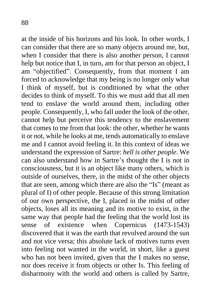at the inside of his horizons and his look. In other words, I can consider that there are so many objects around me, but, when I consider that there is also another person, I cannot help but notice that I, in turn, am for that person an object, I am "objectified". Consequently, from that moment I am forced to acknowledge that my being is no longer only what I think of myself, but is conditioned by what the other decides to think of myself. To this we must add that all men tend to enslave the world around them, including other people. Consequently, I, who fall under the look of the other, cannot help but perceive this tendency to the enslavement that comes to me from that look: the other, whether he wants it or not, while he looks at me, tends automatically to enslave me and I cannot avoid feeling it. In this context of ideas we understand the expression of Sartre: *hell is other people*. We can also understand how in Sartre's thought the I is not in consciousness, but it is an object like many others, which is outside of ourselves, there, in the midst of the other objects that are seen, among which there are also the "Is" (meant as plural of I) of other people. Because of this strong limitation of our own perspective, the I, placed in the midst of other objects, loses all its meaning and its motive to exist, in the same way that people had the feeling that the world lost its sense of existence when Copernicus (1473-1543) discovered that it was the earth that revolved around the sun and not vice versa; this absolute lack of motives turns even into feeling not wanted in the world, in short, like a guest who has not been invited, given that the I makes no sense, nor does receive it from objects or other Is. This feeling of disharmony with the world and others is called by Sartre,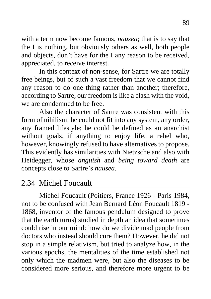with a term now become famous, *nausea*; that is to say that the I is nothing, but obviously others as well, both people and objects, don't have for the I any reason to be received, appreciated, to receive interest.

In this context of non-sense, for Sartre we are totally free beings, but of such a vast freedom that we cannot find any reason to do one thing rather than another; therefore, according to Sartre, our freedom is like a clash with the void, we are condemned to be free.

Also the character of Sartre was consistent with this form of nihilism: he could not fit into any system, any order, any framed lifestyle; he could be defined as an anarchist without goals, if anything to enjoy life, a rebel who, however, knowingly refused to have alternatives to propose. This evidently has similarities with Nietzsche and also with Heidegger, whose *anguish* and *being toward death* are concepts close to Sartre's *nausea*.

# 2.34 Michel Foucault

Michel Foucault (Poitiers, France 1926 - Paris 1984, not to be confused with Jean Bernard Léon Foucault 1819 - 1868, inventor of the famous pendulum designed to prove that the earth turns) studied in depth an idea that sometimes could rise in our mind: how do we divide mad people from doctors who instead should cure them? However, he did not stop in a simple relativism, but tried to analyze how, in the various epochs, the mentalities of the time established not only which the madmen were, but also the diseases to be considered more serious, and therefore more urgent to be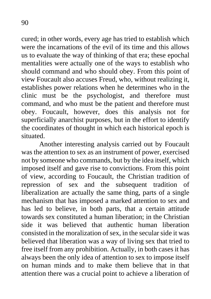cured; in other words, every age has tried to establish which were the incarnations of the evil of its time and this allows us to evaluate the way of thinking of that era; these epochal mentalities were actually one of the ways to establish who should command and who should obey. From this point of view Foucault also accuses Freud, who, without realizing it, establishes power relations when he determines who in the clinic must be the psychologist, and therefore must command, and who must be the patient and therefore must obey. Foucault, however, does this analysis not for superficially anarchist purposes, but in the effort to identify the coordinates of thought in which each historical epoch is situated.

Another interesting analysis carried out by Foucault was the attention to sex as an instrument of power, exercised not by someone who commands, but by the idea itself, which imposed itself and gave rise to convictions. From this point of view, according to Foucault, the Christian tradition of repression of sex and the subsequent tradition of liberalization are actually the same thing, parts of a single mechanism that has imposed a marked attention to sex and has led to believe, in both parts, that a certain attitude towards sex constituted a human liberation; in the Christian side it was believed that authentic human liberation consisted in the moralization of sex, in the secular side it was believed that liberation was a way of living sex that tried to free itself from any prohibition. Actually, in both cases it has always been the only idea of attention to sex to impose itself on human minds and to make them believe that in that attention there was a crucial point to achieve a liberation of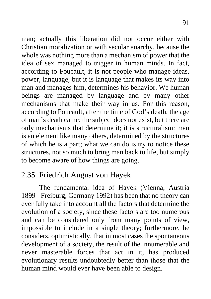man; actually this liberation did not occur either with Christian moralization or with secular anarchy, because the whole was nothing more than a mechanism of power that the idea of sex managed to trigger in human minds. In fact, according to Foucault, it is not people who manage ideas, power, language, but it is language that makes its way into man and manages him, determines his behavior. We human beings are managed by language and by many other mechanisms that make their way in us. For this reason, according to Foucault, after the time of God's death, the age of man's death came: the subject does not exist, but there are only mechanisms that determine it; it is structuralism: man is an element like many others, determined by the structures of which he is a part; what we can do is try to notice these structures, not so much to bring man back to life, but simply to become aware of how things are going.

## 2.35 Friedrich August von Hayek

The fundamental idea of Hayek (Vienna, Austria 1899 - Freiburg, Germany 1992) has been that no theory can ever fully take into account all the factors that determine the evolution of a society, since these factors are too numerous and can be considered only from many points of view, impossible to include in a single theory; furthermore, he considers, optimistically, that in most cases the spontaneous development of a society, the result of the innumerable and never masterable forces that act in it, has produced evolutionary results undoubtedly better than those that the human mind would ever have been able to design.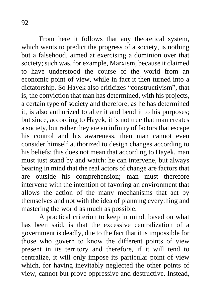From here it follows that any theoretical system, which wants to predict the progress of a society, is nothing but a falsehood, aimed at exercising a dominion over that society; such was, for example, Marxism, because it claimed to have understood the course of the world from an economic point of view, while in fact it then turned into a dictatorship. So Hayek also criticizes "constructivism", that is, the conviction that man has determined, with his projects, a certain type of society and therefore, as he has determined it, is also authorized to alter it and bend it to his purposes; but since, according to Hayek, it is not true that man creates a society, but rather they are an infinity of factors that escape his control and his awareness, then man cannot even consider himself authorized to design changes according to his beliefs; this does not mean that according to Hayek, man must just stand by and watch: he can intervene, but always bearing in mind that the real actors of change are factors that are outside his comprehension; man must therefore intervene with the intention of favoring an environment that allows the action of the many mechanisms that act by themselves and not with the idea of planning everything and mastering the world as much as possible.

A practical criterion to keep in mind, based on what has been said, is that the excessive centralization of a government is deadly, due to the fact that it is impossible for those who govern to know the different points of view present in its territory and therefore, if it will tend to centralize, it will only impose its particular point of view which, for having inevitably neglected the other points of view, cannot but prove oppressive and destructive. Instead,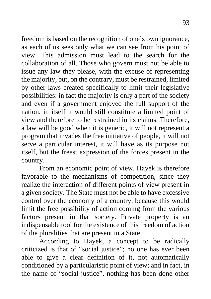freedom is based on the recognition of one's own ignorance, as each of us sees only what we can see from his point of view. This admission must lead to the search for the collaboration of all. Those who govern must not be able to issue any law they please, with the excuse of representing the majority, but, on the contrary, must be restrained, limited by other laws created specifically to limit their legislative possibilities: in fact the majority is only a part of the society and even if a government enjoyed the full support of the nation, in itself it would still constitute a limited point of view and therefore to be restrained in its claims. Therefore, a law will be good when it is generic, it will not represent a program that invades the free initiative of people, it will not serve a particular interest, it will have as its purpose not itself, but the freest expression of the forces present in the country.

From an economic point of view, Hayek is therefore favorable to the mechanisms of competition, since they realize the interaction of different points of view present in a given society. The State must not be able to have excessive control over the economy of a country, because this would limit the free possibility of action coming from the various factors present in that society. Private property is an indispensable tool for the existence of this freedom of action of the pluralities that are present in a State.

According to Hayek, a concept to be radically criticized is that of "social justice"; no one has ever been able to give a clear definition of it, not automatically conditioned by a particularistic point of view; and in fact, in the name of "social justice", nothing has been done other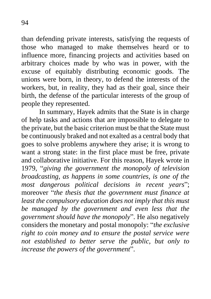than defending private interests, satisfying the requests of those who managed to make themselves heard or to influence more, financing projects and activities based on arbitrary choices made by who was in power, with the excuse of equitably distributing economic goods. The unions were born, in theory, to defend the interests of the workers, but, in reality, they had as their goal, since their birth, the defense of the particular interests of the group of people they represented.

In summary, Hayek admits that the State is in charge of help tasks and actions that are impossible to delegate to the private, but the basic criterion must be that the State must be continuously braked and not exalted as a central body that goes to solve problems anywhere they arise; it is wrong to want a strong state: in the first place must be free, private and collaborative initiative. For this reason, Hayek wrote in 1979, "*giving the government the monopoly of television broadcasting, as happens in some countries, is one of the most dangerous political decisions in recent years*"; moreover "*the thesis that the government must finance at least the compulsory education does not imply that this must be managed by the government and even less that the government should have the monopoly*". He also negatively considers the monetary and postal monopoly: "*the exclusive right to coin money and to ensure the postal service were not established to better serve the public, but only to increase the powers of the government*".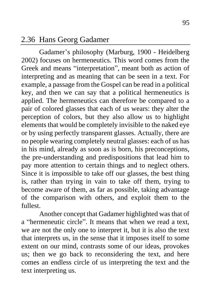### 2.36 Hans Georg Gadamer

Gadamer's philosophy (Marburg, 1900 - Heidelberg 2002) focuses on hermeneutics. This word comes from the Greek and means "interpretation", meant both as action of interpreting and as meaning that can be seen in a text. For example, a passage from the Gospel can be read in a political key, and then we can say that a political hermeneutics is applied. The hermeneutics can therefore be compared to a pair of colored glasses that each of us wears: they alter the perception of colors, but they also allow us to highlight elements that would be completely invisible to the naked eye or by using perfectly transparent glasses. Actually, there are no people wearing completely neutral glasses: each of us has in his mind, already as soon as is born, his preconceptions, the pre-understanding and predispositions that lead him to pay more attention to certain things and to neglect others. Since it is impossible to take off our glasses, the best thing is, rather than trying in vain to take off them, trying to become aware of them, as far as possible, taking advantage of the comparison with others, and exploit them to the fullest.

Another concept that Gadamer highlighted was that of a "hermeneutic circle". It means that when we read a text, we are not the only one to interpret it, but it is also the text that interprets us, in the sense that it imposes itself to some extent on our mind, contrasts some of our ideas, provokes us; then we go back to reconsidering the text, and here comes an endless circle of us interpreting the text and the text interpreting us.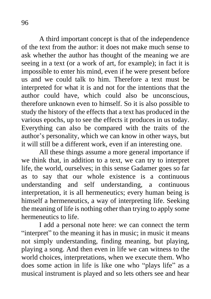A third important concept is that of the independence of the text from the author: it does not make much sense to ask whether the author has thought of the meaning we are seeing in a text (or a work of art, for example); in fact it is impossible to enter his mind, even if he were present before us and we could talk to him. Therefore a text must be interpreted for what it is and not for the intentions that the author could have, which could also be unconscious, therefore unknown even to himself. So it is also possible to study the history of the effects that a text has produced in the various epochs, up to see the effects it produces in us today. Everything can also be compared with the traits of the author's personality, which we can know in other ways, but it will still be a different work, even if an interesting one.

All these things assume a more general importance if we think that, in addition to a text, we can try to interpret life, the world, ourselves; in this sense Gadamer goes so far as to say that our whole existence is a continuous understanding and self understanding, a continuous interpretation, it is all hermeneutics; every human being is himself a hermeneutics, a way of interpreting life. Seeking the meaning of life is nothing other than trying to apply some hermeneutics to life.

I add a personal note here: we can connect the term "interpret" to the meaning it has in music; in music it means not simply understanding, finding meaning, but playing, playing a song. And then even in life we can witness to the world choices, interpretations, when we execute them. Who does some action in life is like one who "plays life" as a musical instrument is played and so lets others see and hear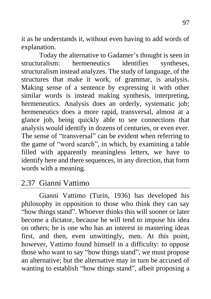it as he understands it, without even having to add words of explanation.

Today the alternative to Gadamer's thought is seen in structuralism: hermeneutics identifies syntheses, structuralism instead analyzes. The study of language, of the structures that make it work, of grammar, is analysis. Making sense of a sentence by expressing it with other similar words is instead making synthesis, interpreting, hermeneutics. Analysis does an orderly, systematic job; hermeneutics does a more rapid, transversal, almost at a glance job, being quickly able to see connections that analysis would identify in dozens of centuries, or even ever. The sense of "transversal" can be evident when referring to the game of "word search", in which, by examining a table filled with apparently meaningless letters, we have to identify here and there sequences, in any direction, that form words with a meaning.

# 2.37 Gianni Vattimo

Gianni Vattimo (Turin, 1936) has developed his philosophy in opposition to those who think they can say "how things stand". Whoever thinks this will sooner or later become a dictator, because he will tend to impose his idea on others; he is one who has an interest in mastering ideas first, and then, even unwittingly, men. At this point, however, Vattimo found himself in a difficulty: to oppose those who want to say "how things stand", we must propose an alternative; but the alternative may in turn be accused of wanting to establish "how things stand", albeit proposing a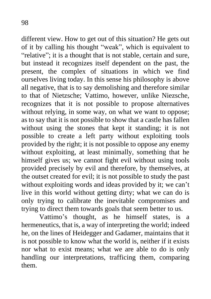different view. How to get out of this situation? He gets out of it by calling his thought "weak", which is equivalent to "relative"; it is a thought that is not stable, certain and sure, but instead it recognizes itself dependent on the past, the present, the complex of situations in which we find ourselves living today. In this sense his philosophy is above all negative, that is to say demolishing and therefore similar to that of Nietzsche; Vattimo, however, unlike Niezsche, recognizes that it is not possible to propose alternatives without relying, in some way, on what we want to oppose; as to say that it is not possible to show that a castle has fallen without using the stones that kept it standing; it is not possible to create a left party without exploiting tools provided by the right; it is not possible to oppose any enemy without exploiting, at least minimally, something that he himself gives us; we cannot fight evil without using tools provided precisely by evil and therefore, by themselves, at the outset created for evil; it is not possible to study the past without exploiting words and ideas provided by it; we can't live in this world without getting dirty; what we can do is only trying to calibrate the inevitable compromises and trying to direct them towards goals that seem better to us.

Vattimo's thought, as he himself states, is a hermeneutics, that is, a way of interpreting the world; indeed he, on the lines of Heidegger and Gadamer, maintains that it is not possible to know what the world is, neither if it exists nor what to exist means; what we are able to do is only handling our interpretations, trafficing them, comparing them.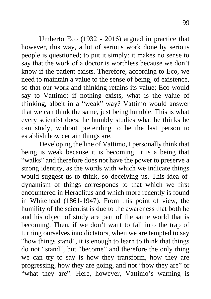Umberto Eco (1932 - 2016) argued in practice that however, this way, a lot of serious work done by serious people is questioned; to put it simply: it makes no sense to say that the work of a doctor is worthless because we don't know if the patient exists. Therefore, according to Eco, we need to maintain a value to the sense of being, of existence, so that our work and thinking retains its value; Eco would say to Vattimo: if nothing exists, what is the value of thinking, albeit in a "weak" way? Vattimo would answer that we can think the same, just being humble. This is what every scientist does: he humbly studies what he thinks he can study, without pretending to be the last person to establish how certain things are.

Developing the line of Vattimo, I personally think that being is weak because it is becoming, it is a being that "walks" and therefore does not have the power to preserve a strong identity, as the words with which we indicate things would suggest us to think, so deceiving us. This idea of dynamism of things corresponds to that which we first encountered in Heraclitus and which more recently is found in Whitehead (1861-1947). From this point of view, the humility of the scientist is due to the awareness that both he and his object of study are part of the same world that is becoming. Then, if we don't want to fall into the trap of turning ourselves into dictators, when we are tempted to say "how things stand", it is enough to learn to think that things do not "stand", but "become" and therefore the only thing we can try to say is how they transform, how they are progressing, how they are going, and not "how they are" or "what they are". Here, however, Vattimo's warning is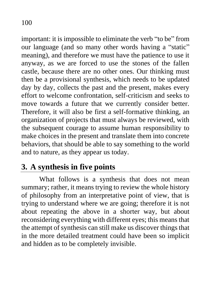important: it is impossible to eliminate the verb "to be" from our language (and so many other words having a "static" meaning), and therefore we must have the patience to use it anyway, as we are forced to use the stones of the fallen castle, because there are no other ones. Our thinking must then be a provisional synthesis, which needs to be updated day by day, collects the past and the present, makes every effort to welcome confrontation, self-criticism and seeks to move towards a future that we currently consider better. Therefore, it will also be first a self-formative thinking, an organization of projects that must always be reviewed, with the subsequent courage to assume human responsibility to make choices in the present and translate them into concrete behaviors, that should be able to say something to the world and to nature, as they appear us today.

# **3. A synthesis in five points**

What follows is a synthesis that does not mean summary; rather, it means trying to review the whole history of philosophy from an interpretative point of view, that is trying to understand where we are going; therefore it is not about repeating the above in a shorter way, but about reconsidering everything with different eyes; this means that the attempt of synthesis can still make us discover things that in the more detailed treatment could have been so implicit and hidden as to be completely invisible.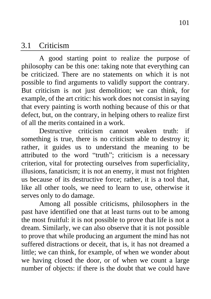#### 3.1 Criticism

A good starting point to realize the purpose of philosophy can be this one: taking note that everything can be criticized. There are no statements on which it is not possible to find arguments to validly support the contrary. But criticism is not just demolition; we can think, for example, of the art critic: his work does not consist in saying that every painting is worth nothing because of this or that defect, but, on the contrary, in helping others to realize first of all the merits contained in a work.

Destructive criticism cannot weaken truth: if something is true, there is no criticism able to destroy it; rather, it guides us to understand the meaning to be attributed to the word "truth"; criticism is a necessary criterion, vital for protecting ourselves from superficiality, illusions, fanaticism; it is not an enemy, it must not frighten us because of its destructive force; rather, it is a tool that, like all other tools, we need to learn to use, otherwise it serves only to do damage.

Among all possible criticisms, philosophers in the past have identified one that at least turns out to be among the most fruitful: it is not possible to prove that life is not a dream. Similarly, we can also observe that it is not possible to prove that while producing an argument the mind has not suffered distractions or deceit, that is, it has not dreamed a little; we can think, for example, of when we wonder about we having closed the door, or of when we count a large number of objects: if there is the doubt that we could have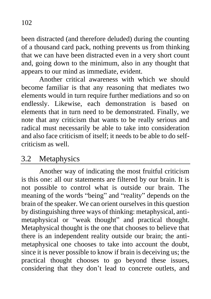been distracted (and therefore deluded) during the counting of a thousand card pack, nothing prevents us from thinking that we can have been distracted even in a very short count and, going down to the minimum, also in any thought that appears to our mind as immediate, evident.

Another critical awareness with which we should become familiar is that any reasoning that mediates two elements would in turn require further mediations and so on endlessly. Likewise, each demonstration is based on elements that in turn need to be demonstrated. Finally, we note that any criticism that wants to be really serious and radical must necessarily be able to take into consideration and also face criticism of itself; it needs to be able to do selfcriticism as well.

## 3.2 Metaphysics

Another way of indicating the most fruitful criticism is this one: all our statements are filtered by our brain. It is not possible to control what is outside our brain. The meaning of the words "being" and "reality" depends on the brain of the speaker. We can orient ourselves in this question by distinguishing three ways of thinking: metaphysical, antimetaphysical or "weak thought" and practical thought. Metaphysical thought is the one that chooses to believe that there is an independent reality outside our brain; the antimetaphysical one chooses to take into account the doubt, since it is never possible to know if brain is deceiving us; the practical thought chooses to go beyond these issues, considering that they don't lead to concrete outlets, and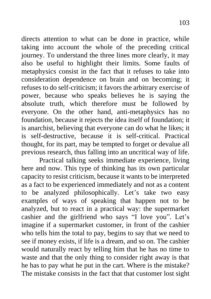directs attention to what can be done in practice, while taking into account the whole of the preceding critical journey. To understand the three lines more clearly, it may also be useful to highlight their limits. Some faults of metaphysics consist in the fact that it refuses to take into consideration dependence on brain and on becoming; it refuses to do self-criticism; it favors the arbitrary exercise of power, because who speaks believes he is saying the absolute truth, which therefore must be followed by everyone. On the other hand, anti-metaphysics has no foundation, because it rejects the idea itself of foundation; it is anarchist, believing that everyone can do what he likes; it is self-destructive, because it is self-critical. Practical thought, for its part, may be tempted to forget or devalue all previous research, thus falling into an uncritical way of life.

Practical talking seeks immediate experience, living here and now. This type of thinking has its own particular capacity to resist criticism, because it wants to be interpreted as a fact to be experienced immediately and not as a content to be analyzed philosophically. Let's take two easy examples of ways of speaking that happen not to be analyzed, but to react in a practical way: the supermarket cashier and the girlfriend who says "I love you". Let's imagine if a supermarket customer, in front of the cashier who tells him the total to pay, begins to say that we need to see if money exists, if life is a dream, and so on. The cashier would naturally react by telling him that he has no time to waste and that the only thing to consider right away is that he has to pay what he put in the cart. Where is the mistake? The mistake consists in the fact that that customer lost sight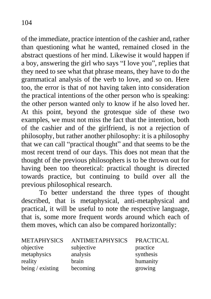of the immediate, practice intention of the cashier and, rather than questioning what he wanted, remained closed in the abstract questions of her mind. Likewise it would happen if a boy, answering the girl who says "I love you", replies that they need to see what that phrase means, they have to do the grammatical analysis of the verb to love, and so on. Here too, the error is that of not having taken into consideration the practical intentions of the other person who is speaking: the other person wanted only to know if he also loved her. At this point, beyond the grotesque side of these two examples, we must not miss the fact that the intention, both of the cashier and of the girlfriend, is not a rejection of philosophy, but rather another philosophy: it is a philosophy that we can call "practical thought" and that seems to be the most recent trend of our days. This does not mean that the thought of the previous philosophers is to be thrown out for having been too theoretical: practical thought is directed towards practice, but continuing to build over all the previous philosophical research.

To better understand the three types of thought described, that is metaphysical, anti-metaphysical and practical, it will be useful to note the respective language, that is, some more frequent words around which each of them moves, which can also be compared horizontally:

| <b>METAPHYSICS</b> | <b>ANTIMETAPHYSICS</b> | <b>PRACTICAL</b> |
|--------------------|------------------------|------------------|
| objective          | subjective             | practice         |
| metaphysics        | analysis               | synthesis        |
| reality            | brain                  | humanity         |
| being / existing   | becoming               | growing          |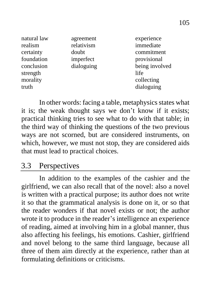| natural law<br>realism<br>certainty<br>foundation<br>conclusion<br>strength<br>morality | agreement<br>relativism<br>doubt<br>imperfect<br>dialoguing | experience<br>immediate<br>commitment<br>provisional<br>being involved<br>life<br>collecting |
|-----------------------------------------------------------------------------------------|-------------------------------------------------------------|----------------------------------------------------------------------------------------------|
| truth                                                                                   |                                                             | dialoguing                                                                                   |

In other words: facing a table, metaphysics states what it is; the weak thought says we don't know if it exists; practical thinking tries to see what to do with that table; in the third way of thinking the questions of the two previous ways are not scorned, but are considered instruments, on which, however, we must not stop, they are considered aids that must lead to practical choices.

### 3.3 Perspectives

In addition to the examples of the cashier and the girlfriend, we can also recall that of the novel: also a novel is written with a practical purpose; its author does not write it so that the grammatical analysis is done on it, or so that the reader wonders if that novel exists or not; the author wrote it to produce in the reader's intelligence an experience of reading, aimed at involving him in a global manner, thus also affecting his feelings, his emotions. Cashier, girlfriend and novel belong to the same third language, because all three of them aim directly at the experience, rather than at formulating definitions or criticisms.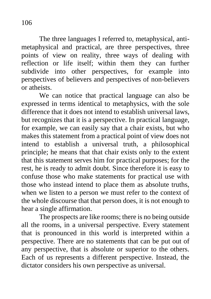The three languages I referred to, metaphysical, antimetaphysical and practical, are three perspectives, three points of view on reality, three ways of dealing with reflection or life itself; within them they can further subdivide into other perspectives, for example into perspectives of believers and perspectives of non-believers or atheists.

We can notice that practical language can also be expressed in terms identical to metaphysics, with the sole difference that it does not intend to establish universal laws, but recognizes that it is a perspective. In practical language, for example, we can easily say that a chair exists, but who makes this statement from a practical point of view does not intend to establish a universal truth, a philosophical principle; he means that that chair exists only to the extent that this statement serves him for practical purposes; for the rest, he is ready to admit doubt. Since therefore it is easy to confuse those who make statements for practical use with those who instead intend to place them as absolute truths, when we listen to a person we must refer to the context of the whole discourse that that person does, it is not enough to hear a single affirmation.

The prospects are like rooms; there is no being outside all the rooms, in a universal perspective. Every statement that is pronounced in this world is interpreted within a perspective. There are no statements that can be put out of any perspective, that is absolute or superior to the others. Each of us represents a different perspective. Instead, the dictator considers his own perspective as universal.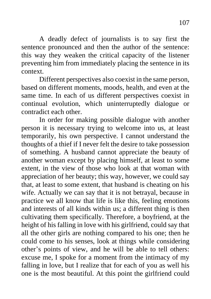A deadly defect of journalists is to say first the sentence pronounced and then the author of the sentence: this way they weaken the critical capacity of the listener preventing him from immediately placing the sentence in its context.

Different perspectives also coexist in the same person, based on different moments, moods, health, and even at the same time. In each of us different perspectives coexist in continual evolution, which uninterruptedly dialogue or contradict each other.

In order for making possible dialogue with another person it is necessary trying to welcome into us, at least temporarily, his own perspective. I cannot understand the thoughts of a thief if I never felt the desire to take possession of something. A husband cannot appreciate the beauty of another woman except by placing himself, at least to some extent, in the view of those who look at that woman with appreciation of her beauty; this way, however, we could say that, at least to some extent, that husband is cheating on his wife. Actually we can say that it is not betrayal, because in practice we all know that life is like this, feeling emotions and interests of all kinds within us; a different thing is then cultivating them specifically. Therefore, a boyfriend, at the height of his falling in love with his girlfriend, could say that all the other girls are nothing compared to his one; then he could come to his senses, look at things while considering other's points of view, and he will be able to tell others: excuse me, I spoke for a moment from the intimacy of my falling in love, but I realize that for each of you as well his one is the most beautiful. At this point the girlfriend could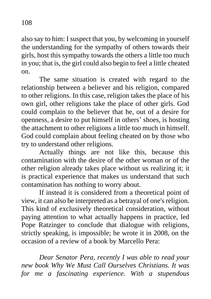also say to him: I suspect that you, by welcoming in yourself the understanding for the sympathy of others towards their girls, host this sympathy towards the others a little too much in you; that is, the girl could also begin to feel a little cheated on.

The same situation is created with regard to the relationship between a believer and his religion, compared to other religions. In this case, religion takes the place of his own girl, other religions take the place of other girls. God could complain to the believer that he, out of a desire for openness, a desire to put himself in others' shoes, is hosting the attachment to other religions a little too much in himself. God could complain about feeling cheated on by those who try to understand other religions.

Actually things are not like this, because this contamination with the desire of the other woman or of the other religion already takes place without us realizing it; it is practical experience that makes us understand that such contamination has nothing to worry about.

If instead it is considered from a theoretical point of view, it can also be interpreted as a betrayal of one's religion. This kind of exclusively theoretical consideration, without paying attention to what actually happens in practice, led Pope Ratzinger to conclude that dialogue with religions, strictly speaking, is impossible; he wrote it in 2008, on the occasion of a review of a book by Marcello Pera:

*Dear Senator Pera, recently I was able to read your new book Why We Must Call Ourselves Christians. It was for me a fascinating experience. With a stupendous*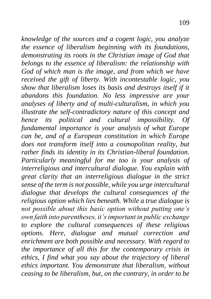*knowledge of the sources and a cogent logic, you analyze the essence of liberalism beginning with its foundations, demonstrating its roots in the Christian image of God that belongs to the essence of liberalism: the relationship with God of which man is the image, and from which we have received the gift of liberty. With incontestable logic, you show that liberalism loses its basis and destroys itself if it abandons this foundation. No less impressive are your analyses of liberty and of multi-culturalism, in which you illustrate the self-contradictory nature of this concept and hence its political and cultural impossibility. Of fundamental importance is your analysis of what Europe can be, and of a European constitution in which Europe does not transform itself into a cosmopolitan reality, but rather finds its identity in its Christian-liberal foundation. Particularly meaningful for me too is your analysis of interreligious and intercultural dialogue. You explain with great clarity that an interreligious dialogue in the strict sense of the term is not possible, while you urge intercultural dialogue that develops the cultural consequences of the religious option which lies beneath. While a true dialogue is not possible about this basic option without putting one's own faith into parentheses, it's important in public exchange to explore the cultural consequences of these religious options. Here, dialogue and mutual correction and enrichment are both possible and necessary. With regard to the importance of all this for the contemporary crisis in ethics, I find what you say about the trajectory of liberal ethics important. You demonstrate that liberalism, without ceasing to be liberalism, but, on the contrary, in order to be*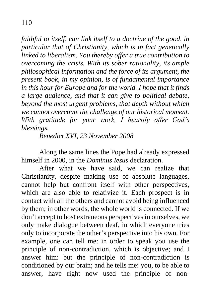*faithful to itself, can link itself to a doctrine of the good, in particular that of Christianity, which is in fact genetically linked to liberalism. You thereby offer a true contribution to overcoming the crisis. With its sober rationality, its ample philosophical information and the force of its argument, the present book, in my opinion, is of fundamental importance in this hour for Europe and for the world. I hope that it finds a large audience, and that it can give to political debate, beyond the most urgent problems, that depth without which we cannot overcome the challenge of our historical moment. With gratitude for your work, I heartily offer God's blessings.*

*Benedict XVI, 23 November 2008*

Along the same lines the Pope had already expressed himself in 2000, in the *Dominus Iesus* declaration.

After what we have said, we can realize that Christianity, despite making use of absolute languages, cannot help but confront itself with other perspectives, which are also able to relativize it. Each prospect is in contact with all the others and cannot avoid being influenced by them; in other words, the whole world is connected. If we don't accept to host extraneous perspectives in ourselves, we only make dialogue between deaf, in which everyone tries only to incorporate the other's perspective into his own. For example, one can tell me: in order to speak you use the principle of non-contradiction, which is objective; and I answer him: but the principle of non-contradiction is conditioned by our brain; and he tells me: you, to be able to answer, have right now used the principle of non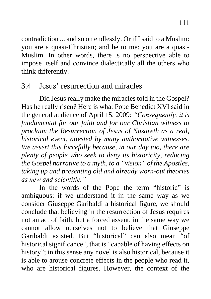contradiction ... and so on endlessly. Or if I said to a Muslim: you are a quasi-Christian; and he to me: you are a quasi-Muslim. In other words, there is no perspective able to impose itself and convince dialectically all the others who think differently.

# 3.4 Jesus' resurrection and miracles

Did Jesus really make the miracles told in the Gospel? Has he really risen? Here is what Pope Benedict XVI said in the general audience of April 15, 2009: *"Consequently, it is fundamental for our faith and for our Christian witness to proclaim the Resurrection of Jesus of Nazareth as a real, historical event, attested by many authoritative witnesses. We assert this forcefully because, in our day too, there are plenty of people who seek to deny its historicity, reducing the Gospel narrative to a myth, to a "vision" of the Apostles, taking up and presenting old and already worn-out theories as new and scientific."*

In the words of the Pope the term "historic" is ambiguous: if we understand it in the same way as we consider Giuseppe Garibaldi a historical figure, we should conclude that believing in the resurrection of Jesus requires not an act of faith, but a forced assent, in the same way we cannot allow ourselves not to believe that Giuseppe Garibaldi existed. But "historical" can also mean "of historical significance", that is "capable of having effects on history"; in this sense any novel is also historical, because it is able to arouse concrete effects in the people who read it, who are historical figures. However, the context of the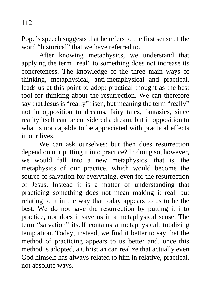Pope's speech suggests that he refers to the first sense of the word "historical" that we have referred to.

After knowing metaphysics, we understand that applying the term "real" to something does not increase its concreteness. The knowledge of the three main ways of thinking, metaphysical, anti-metaphysical and practical, leads us at this point to adopt practical thought as the best tool for thinking about the resurrection. We can therefore say that Jesus is "really" risen, but meaning the term "really" not in opposition to dreams, fairy tales, fantasies, since reality itself can be considered a dream, but in opposition to what is not capable to be appreciated with practical effects in our lives.

We can ask ourselves: but then does resurrection depend on our putting it into practice? In doing so, however, we would fall into a new metaphysics, that is, the metaphysics of our practice, which would become the source of salvation for everything, even for the resurrection of Jesus. Instead it is a matter of understanding that practicing something does not mean making it real, but relating to it in the way that today appears to us to be the best. We do not save the resurrection by putting it into practice, nor does it save us in a metaphysical sense. The term "salvation" itself contains a metaphysical, totalizing temptation. Today, instead, we find it better to say that the method of practicing appears to us better and, once this method is adopted, a Christian can realize that actually even God himself has always related to him in relative, practical, not absolute ways.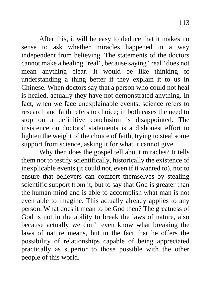After this, it will be easy to deduce that it makes no sense to ask whether miracles happened in a way independent from believing. The statements of the doctors cannot make a healing "real", because saying "real" does not mean anything clear. It would be like thinking of understanding a thing better if they explain it to us in Chinese. When doctors say that a person who could not heal is healed, actually they have not demonstrated anything. In fact, when we face unexplainable events, science refers to research and faith refers to choice; in both cases the need to stop on a definitive conclusion is disappointed. The insistence on doctors' statements is a dishonest effort to lighten the weight of the choice of faith, trying to steal some support from science, asking it for what it cannot give.

Why then does the gospel tell about miracles? It tells them not to testify scientifically, historically the existence of inexplicable events (it could not, even if it wanted to), nor to ensure that believers can comfort themselves by stealing scientific support from it, but to say that God is greater than the human mind and is able to accomplish what man is not even able to imagine. This actually already applies to any person. What does it mean to be God then? The greatness of God is not in the ability to break the laws of nature, also because actually we don't even know what breaking the laws of nature means, but in the fact that he offers the possibility of relationships capable of being appreciated practically as superior to those possible with the other people of this world.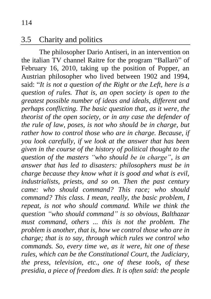### 3.5 Charity and politics

The philosopher Dario Antiseri, in an intervention on the italian TV channel Raitre for the program "Ballarò" of February 16, 2010, taking up the position of Popper, an Austrian philosopher who lived between 1902 and 1994, said: "*It is not a question of the Right or the Left, here is a question of rules. That is, an open society is open to the greatest possible number of ideas and ideals, different and perhaps conflicting. The basic question that, as it were, the theorist of the open society, or in any case the defender of the rule of law, poses, is not who should be in charge, but rather how to control those who are in charge. Because, if you look carefully, if we look at the answer that has been given in the course of the history of political thought to the question of the masters "who should be in charge", is an answer that has led to disasters: philosophers must be in charge because they know what it is good and what is evil, industrialists, priests, and so on. Then the past century came: who should command? This race; who should command? This class. I mean, really, the basic problem, I repeat, is not who should command. While we think the question "who should command" is so obvious, Balthazar must command, others ... this is not the problem. The problem is another, that is, how we control those who are in charge; that is to say, through which rules we control who commands. So, every time we, as it were, hit one of these rules, which can be the Constitutional Court, the Judiciary, the press, television, etc., one of these tools, of these presidia, a piece of freedom dies. It is often said: the people*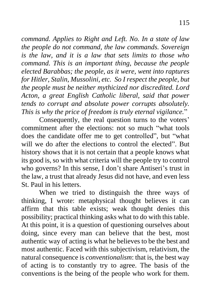*command. Applies to Right and Left. No. In a state of law the people do not command, the law commands. Sovereign is the law, and it is a law that sets limits to those who command. This is an important thing, because the people elected Barabbas; the people, as it were, went into raptures for Hitler, Stalin, Mussolini, etc. So I respect the people, but the people must be neither mythicized nor discredited. Lord Acton, a great English Catholic liberal, said that power tends to corrupt and absolute power corrupts absolutely. This is why the price of freedom is truly eternal vigilance.*"

Consequently, the real question turns to the voters' commitment after the elections: not so much "what tools does the candidate offer me to get controlled", but "what will we do after the elections to control the elected". But history shows that it is not certain that a people knows what its good is, so with what criteria will the people try to control who governs? In this sense, I don't share Antiseri's trust in the law, a trust that already Jesus did not have, and even less St. Paul in his letters.

When we tried to distinguish the three ways of thinking, I wrote: metaphysical thought believes it can affirm that this table exists; weak thought denies this possibility; practical thinking asks what to do with this table. At this point, it is a question of questioning ourselves about doing, since every man can believe that the best, most authentic way of acting is what he believes to be the best and most authentic. Faced with this subjectivism, relativism, the natural consequence is *conventionalism*: that is, the best way of acting is to constantly try to agree. The basis of the conventions is the being of the people who work for them.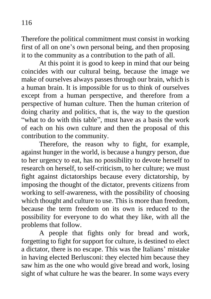Therefore the political commitment must consist in working first of all on one's own personal being, and then proposing it to the community as a contribution to the path of all.

At this point it is good to keep in mind that our being coincides with our cultural being, because the image we make of ourselves always passes through our brain, which is a human brain. It is impossible for us to think of ourselves except from a human perspective, and therefore from a perspective of human culture. Then the human criterion of doing charity and politics, that is, the way to the question "what to do with this table", must have as a basis the work of each on his own culture and then the proposal of this contribution to the community.

Therefore, the reason why to fight, for example, against hunger in the world, is because a hungry person, due to her urgency to eat, has no possibility to devote herself to research on herself, to self-criticism, to her culture; we must fight against dictatorships because every dictatorship, by imposing the thought of the dictator, prevents citizens from working to self-awareness, with the possibility of choosing which thought and culture to use. This is more than freedom, because the term freedom on its own is reduced to the possibility for everyone to do what they like, with all the problems that follow.

A people that fights only for bread and work, forgetting to fight for support for culture, is destined to elect a dictator, there is no escape. This was the Italians' mistake in having elected Berlusconi: they elected him because they saw him as the one who would give bread and work, losing sight of what culture he was the bearer. In some ways every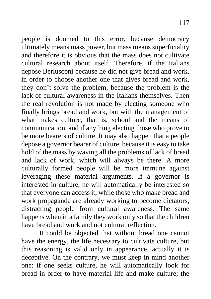people is doomed to this error, because democracy ultimately means mass power, but mass means superficiality and therefore it is obvious that the mass does not cultivate cultural research about itself. Therefore, if the Italians depose Berlusconi because he did not give bread and work, in order to choose another one that gives bread and work, they don't solve the problem, because the problem is the lack of cultural awareness in the Italians themselves. Then the real revolution is not made by electing someone who finally brings bread and work, but with the management of what makes culture, that is, school and the means of communication, and if anything electing those who prove to be more bearers of culture. It may also happen that a people depose a governor bearer of culture, because it is easy to take hold of the mass by waving all the problems of lack of bread and lack of work, which will always be there. A more culturally formed people will be more immune against leveraging these material arguments. If a governor is interested in culture, he will automatically be interested so that everyone can access it, while those who make bread and work propaganda are already working to become dictators, distracting people from cultural awareness. The same happens when in a family they work only so that the children have bread and work and not cultural reflection.

It could be objected that without bread one cannot have the energy, the life necessary to cultivate culture, but this reasoning is valid only in appearance, actually it is deceptive. On the contrary, we must keep in mind another one: if one seeks culture, he will automatically look for bread in order to have material life and make culture; the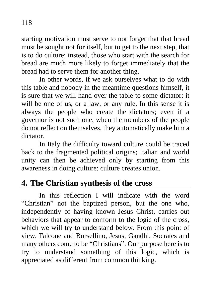starting motivation must serve to not forget that that bread must be sought not for itself, but to get to the next step, that is to do culture; instead, those who start with the search for bread are much more likely to forget immediately that the bread had to serve them for another thing.

In other words, if we ask ourselves what to do with this table and nobody in the meantime questions himself, it is sure that we will hand over the table to some dictator: it will be one of us, or a law, or any rule. In this sense it is always the people who create the dictators; even if a governor is not such one, when the members of the people do not reflect on themselves, they automatically make him a dictator.

In Italy the difficulty toward culture could be traced back to the fragmented political origins; Italian and world unity can then be achieved only by starting from this awareness in doing culture: culture creates union.

# **4. The Christian synthesis of the cross**

In this reflection I will indicate with the word "Christian" not the baptized person, but the one who, independently of having known Jesus Christ, carries out behaviors that appear to conform to the logic of the cross, which we will try to understand below. From this point of view, Falcone and Borsellino, Jesus, Gandhi, Socrates and many others come to be "Christians". Our purpose here is to try to understand something of this logic, which is appreciated as different from common thinking.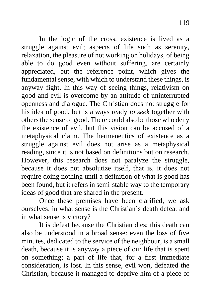In the logic of the cross, existence is lived as a struggle against evil; aspects of life such as serenity, relaxation, the pleasure of not working on holidays, of being able to do good even without suffering, are certainly appreciated, but the reference point, which gives the fundamental sense, with which to understand these things, is anyway fight. In this way of seeing things, relativism on good and evil is overcome by an attitude of uninterrupted openness and dialogue. The Christian does not struggle for his idea of good, but is always ready *to seek* together with others the sense of good. There could also be those who deny the existence of evil, but this vision can be accused of a metaphysical claim. The hermeneutics of existence as a struggle against evil does not arise as a metaphysical reading, since it is not based on definitions but on research. However, this research does not paralyze the struggle, because it does not absolutize itself, that is, it does not require doing nothing until a definition of what is good has been found, but it refers in semi-stable way to the temporary ideas of good that are shared in the present.

Once these premises have been clarified, we ask ourselves: in what sense is the Christian's death defeat and in what sense is victory?

It is defeat because the Christian dies; this death can also be understood in a broad sense: even the loss of five minutes, dedicated to the service of the neighbour, is a small death, because it is anyway a piece of our life that is spent on something; a part of life that, for a first immediate consideration, is lost. In this sense, evil won, defeated the Christian, because it managed to deprive him of a piece of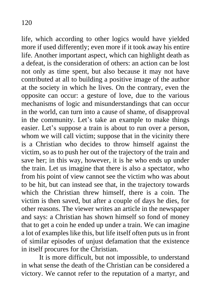life, which according to other logics would have yielded more if used differently; even more if it took away his entire life. Another important aspect, which can highlight death as a defeat, is the consideration of others: an action can be lost not only as time spent, but also because it may not have contributed at all to building a positive image of the author at the society in which he lives. On the contrary, even the opposite can occur: a gesture of love, due to the various mechanisms of logic and misunderstandings that can occur in the world, can turn into a cause of shame, of disapproval in the community. Let's take an example to make things easier. Let's suppose a train is about to run over a person, whom we will call victim; suppose that in the vicinity there is a Christian who decides to throw himself against the victim, so as to push her out of the trajectory of the train and save her; in this way, however, it is he who ends up under the train. Let us imagine that there is also a spectator, who from his point of view cannot see the victim who was about to be hit, but can instead see that, in the trajectory towards which the Christian threw himself, there is a coin. The victim is then saved, but after a couple of days he dies, for other reasons. The viewer writes an article in the newspaper and says: a Christian has shown himself so fond of money that to get a coin he ended up under a train. We can imagine a lot of examples like this, but life itself often puts us in front of similar episodes of unjust defamation that the existence in itself procures for the Christian.

It is more difficult, but not impossible, to understand in what sense the death of the Christian can be considered a victory. We cannot refer to the reputation of a martyr, and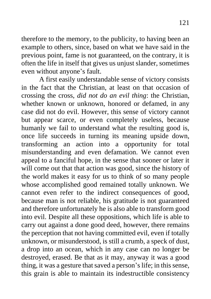therefore to the memory, to the publicity, to having been an example to others, since, based on what we have said in the previous point, fame is not guaranteed, on the contrary, it is often the life in itself that gives us unjust slander, sometimes even without anyone's fault.

A first easily understandable sense of victory consists in the fact that the Christian, at least on that occasion of crossing the cross, *did not do an evil thing*: the Christian, whether known or unknown, honored or defamed, in any case did not do evil. However, this sense of victory cannot but appear scarce, or even completely useless, because humanly we fail to understand what the resulting good is, once life succeeds in turning its meaning upside down, transforming an action into a opportunity for total misunderstanding and even defamation. We cannot even appeal to a fanciful hope, in the sense that sooner or later it will come out that that action was good, since the history of the world makes it easy for us to think of so many people whose accomplished good remained totally unknown. We cannot even refer to the indirect consequences of good, because man is not reliable, his gratitude is not guaranteed and therefore unfortunately he is also able to transform good into evil. Despite all these oppositions, which life is able to carry out against a done good deed, however, there remains the perception that not having committed evil, even if totally unknown, or misunderstood, is still a crumb, a speck of dust, a drop into an ocean, which in any case can no longer be destroyed, erased. Be that as it may, anyway it was a good thing, it was a gesture that saved a person's life; in this sense, this grain is able to maintain its indestructible consistency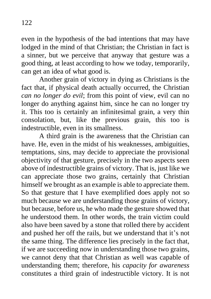even in the hypothesis of the bad intentions that may have lodged in the mind of that Christian; the Christian in fact is a sinner, but we perceive that anyway that gesture was a good thing, at least according to how we today, temporarily, can get an idea of what good is.

Another grain of victory in dying as Christians is the fact that, if physical death actually occurred, the Christian *can no longer do evil*; from this point of view, evil can no longer do anything against him, since he can no longer try it. This too is certainly an infinitesimal grain, a very thin consolation, but, like the previous grain, this too is indestructible, even in its smallness.

A third grain is the awareness that the Christian can have. He, even in the midst of his weaknesses, ambiguities, temptations, sins, may decide to appreciate the provisional objectivity of that gesture, precisely in the two aspects seen above of indestructible grains of victory. That is, just like we can appreciate those two grains, certainly that Christian himself we brought as an example is able to appreciate them. So that gesture that I have exemplified does apply not so much because we are understanding those grains of victory, but because, before us, he who made the gesture showed that he understood them. In other words, the train victim could also have been saved by a stone that rolled there by accident and pushed her off the rails, but we understand that it's not the same thing. The difference lies precisely in the fact that, if we are succeeding now in understanding those two grains, we cannot deny that that Christian as well was capable of understanding them; therefore, his *capacity for awareness* constitutes a third grain of indestructible victory. It is not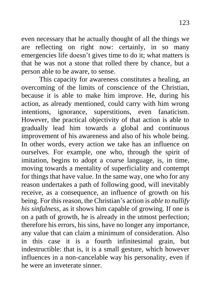even necessary that he actually thought of all the things we are reflecting on right now: certainly, in so many emergencies life doesn't gives time to do it; what matters is that he was not a stone that rolled there by chance, but a person able to be aware, to sense.

This capacity for awareness constitutes a healing, an overcoming of the limits of conscience of the Christian, because it is able to make him improve. He, during his action, as already mentioned, could carry with him wrong intentions, ignorance, superstitions, even fanaticism. However, the practical objectivity of that action is able to gradually lead him towards a global and continuous improvement of his awareness and also of his whole being. In other words, every action we take has an influence on ourselves. For example, one who, through the spirit of imitation, begins to adopt a coarse language, is, in time, moving towards a mentality of superficiality and contempt for things that have value. In the same way, one who for any reason undertakes a path of following good, will inevitably receive, as a consequence, an influence of growth on his being. For this reason, the Christian's action is *able to nullify his sinfulness*, as it shows him capable of growing. If one is on a path of growth, he is already in the utmost perfection; therefore his errors, his sins, have no longer any importance, any value that can claim a minimum of consideration. Also in this case it is a fourth infinitesimal grain, but indestructible: that is, it is a small gesture, which however influences in a non-cancelable way his personality, even if he were an inveterate sinner.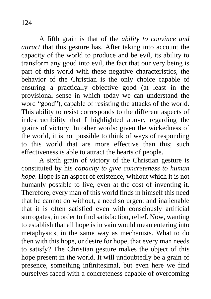A fifth grain is that of the *ability to convince and attract* that this gesture has. After taking into account the capacity of the world to produce and be evil, its ability to transform any good into evil, the fact that our very being is part of this world with these negative characteristics, the behavior of the Christian is the only choice capable of ensuring a practically objective good (at least in the provisional sense in which today we can understand the word "good"), capable of resisting the attacks of the world. This ability to resist corresponds to the different aspects of indestructibility that I highlighted above, regarding the grains of victory. In other words: given the wickedness of the world, it is not possible to think of ways of responding to this world that are more effective than this; such effectiveness is able to attract the hearts of people.

A sixth grain of victory of the Christian gesture is constituted by his *capacity to give concreteness to human hope*. Hope is an aspect of existence, without which it is not humanly possible to live, even at the cost of inventing it. Therefore, every man of this world finds in himself this need that he cannot do without, a need so urgent and inalienable that it is often satisfied even with consciously artificial surrogates, in order to find satisfaction, relief. Now, wanting to establish that all hope is in vain would mean entering into metaphysics, in the same way as mechanists. What to do then with this hope, or desire for hope, that every man needs to satisfy? The Christian gesture makes the object of this hope present in the world. It will undoubtedly be a grain of presence, something infinitesimal, but even here we find ourselves faced with a concreteness capable of overcoming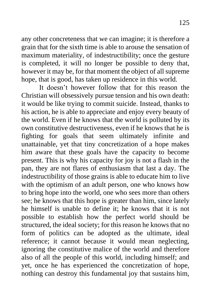any other concreteness that we can imagine; it is therefore a grain that for the sixth time is able to arouse the sensation of maximum materiality, of indestructibility; once the gesture is completed, it will no longer be possible to deny that, however it may be, for that moment the object of all supreme hope, that is good, has taken up residence in this world.

It doesn't however follow that for this reason the Christian will obsessively pursue tension and his own death: it would be like trying to commit suicide. Instead, thanks to his action, he is able to appreciate and enjoy every beauty of the world. Even if he knows that the world is polluted by its own constitutive destructiveness, even if he knows that he is fighting for goals that seem ultimately infinite and unattainable, yet that tiny concretization of a hope makes him aware that these goals have the capacity to become present. This is why his capacity for joy is not a flash in the pan, they are not flares of enthusiasm that last a day. The indestructibility of those grains is able to educate him to live with the optimism of an adult person, one who knows how to bring hope into the world, one who sees more than others see; he knows that this hope is greater than him, since lately he himself is unable to define it; he knows that it is not possible to establish how the perfect world should be structured, the ideal society; for this reason he knows that no form of politics can be adopted as the ultimate, ideal reference; it cannot because it would mean neglecting, ignoring the constitutive malice of the world and therefore also of all the people of this world, including himself; and yet, once he has experienced the concretization of hope, nothing can destroy this fundamental joy that sustains him,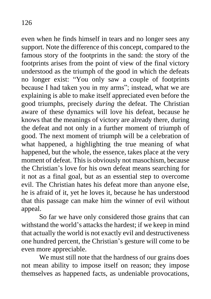even when he finds himself in tears and no longer sees any support. Note the difference of this concept, compared to the famous story of the footprints in the sand: the story of the footprints arises from the point of view of the final victory understood as the triumph of the good in which the defeats no longer exist: "You only saw a couple of footprints because I had taken you in my arms"; instead, what we are explaining is able to make itself appreciated even before the good triumphs, precisely *during* the defeat. The Christian aware of these dynamics will love his defeat, because he knows that the meanings of victory are already there, during the defeat and not only in a further moment of triumph of good. The next moment of triumph will be a celebration of what happened, a highlighting the true meaning of what happened, but the whole, the essence, takes place at the very moment of defeat. This is obviously not masochism, because the Christian's love for his own defeat means searching for it not as a final goal, but as an essential step to overcome evil. The Christian hates his defeat more than anyone else, he is afraid of it, yet he loves it, because he has understood that this passage can make him the winner of evil without appeal.

So far we have only considered those grains that can withstand the world's attacks the hardest; if we keep in mind that actually the world is not exactly evil and destructiveness one hundred percent, the Christian's gesture will come to be even more appreciable.

We must still note that the hardness of our grains does not mean ability to impose itself on reason; they impose themselves as happened facts, as undeniable provocations,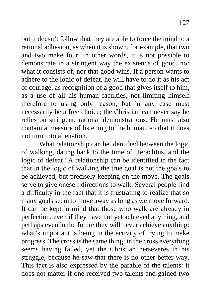but it doesn't follow that they are able to force the mind to a rational adhesion, as when it is shown, for example, that two and two make four. In other words, it is not possible to demonstrate in a stringent way the existence of good, nor what it consists of, nor that good wins. If a person wants to adhere to the logic of defeat, he will have to do it as his act of courage, as recognition of a good that gives itself to him, as a use of all his human faculties, not limiting himself therefore to using only reason, but in any case must necessarily be a free choice; the Christian can never say he relies on stringent, rational demonstrations. He must also contain a measure of listening to the human, so that it does not turn into alienation.

What relationship can be identified between the logic of walking, dating back to the time of Heraclitus, and the logic of defeat? A relationship can be identified in the fact that in the logic of walking the true goal is not the goals to be achieved, but precisely keeping on the move. The goals serve to give oneself directions to walk. Several people find a difficulty in the fact that it is frustrating to realize that so many goals seem to move away as long as we move forward. It can be kept in mind that those who walk are already in perfection, even if they have not yet achieved anything, and perhaps even in the future they will never achieve anything: what's important is being in the activity of trying to make progress. The cross is the same thing: in the cross everything seems having failed, yet the Christian perseveres in his struggle, because he saw that there is no other better way. This fact is also expressed by the parable of the talents: it does not matter if one received two talents and gained two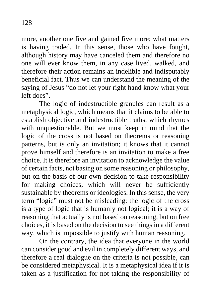more, another one five and gained five more; what matters is having traded. In this sense, those who have fought, although history may have canceled them and therefore no one will ever know them, in any case lived, walked, and therefore their action remains an indelible and indisputably beneficial fact. Thus we can understand the meaning of the saying of Jesus "do not let your right hand know what your left does".

The logic of indestructible granules can result as a metaphysical logic, which means that it claims to be able to establish objective and indestructible truths, which rhymes with unquestionable. But we must keep in mind that the logic of the cross is not based on theorems or reasoning patterns, but is only an invitation; it knows that it cannot prove himself and therefore is an invitation to make a free choice. It is therefore an invitation to acknowledge the value of certain facts, not basing on some reasoning or philosophy, but on the basis of our own decision to take responsibility for making choices, which will never be sufficiently sustainable by theorems or ideologies. In this sense, the very term "logic" must not be misleading: the logic of the cross is a type of logic that is humanly not logical; it is a way of reasoning that actually is not based on reasoning, but on free choices, it is based on the decision to see things in a different way, which is impossible to justify with human reasoning.

On the contrary, the idea that everyone in the world can consider good and evil in completely different ways, and therefore a real dialogue on the criteria is not possible, can be considered metaphysical. It is a metaphysical idea if it is taken as a justification for not taking the responsibility of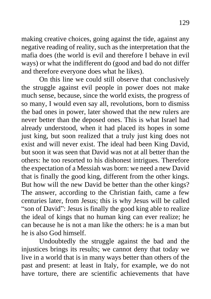making creative choices, going against the tide, against any negative reading of reality, such as the interpretation that the mafia does (the world is evil and therefore I behave in evil ways) or what the indifferent do (good and bad do not differ and therefore everyone does what he likes).

On this line we could still observe that conclusively the struggle against evil people in power does not make much sense, because, since the world exists, the progress of so many, I would even say all, revolutions, born to dismiss the bad ones in power, later showed that the new rulers are never better than the deposed ones. This is what Israel had already understood, when it had placed its hopes in some just king, but soon realized that a truly just king does not exist and will never exist. The ideal had been King David, but soon it was seen that David was not at all better than the others: he too resorted to his dishonest intrigues. Therefore the expectation of a Messiah was born: we need a new David that is finally the good king, different from the other kings. But how will the new David be better than the other kings? The answer, according to the Christian faith, came a few centuries later, from Jesus; this is why Jesus will be called "son of David": Jesus is finally the good king able to realize the ideal of kings that no human king can ever realize; he can because he is not a man like the others: he is a man but he is also God himself.

Undoubtedly the struggle against the bad and the injustices brings its results; we cannot deny that today we live in a world that is in many ways better than others of the past and present: at least in Italy, for example, we do not have torture, there are scientific achievements that have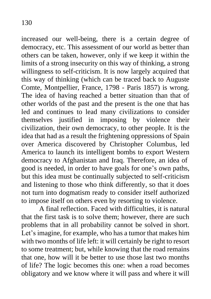increased our well-being, there is a certain degree of democracy, etc. This assessment of our world as better than others can be taken, however, only if we keep it within the limits of a strong insecurity on this way of thinking, a strong willingness to self-criticism. It is now largely acquired that this way of thinking (which can be traced back to Auguste Comte, Montpellier, France, 1798 - Paris 1857) is wrong. The idea of having reached a better situation than that of other worlds of the past and the present is the one that has led and continues to lead many civilizations to consider themselves justified in imposing by violence their civilization, their own democracy, to other people. It is the idea that had as a result the frightening oppressions of Spain over America discovered by Christopher Columbus, led America to launch its intelligent bombs to export Western democracy to Afghanistan and Iraq. Therefore, an idea of good is needed, in order to have goals for one's own paths, but this idea must be continually subjected to self-criticism and listening to those who think differently, so that it does not turn into dogmatism ready to consider itself authorized to impose itself on others even by resorting to violence.

A final reflection. Faced with difficulties, it is natural that the first task is to solve them; however, there are such problems that in all probability cannot be solved in short. Let's imagine, for example, who has a tumor that makes him with two months of life left: it will certainly be right to resort to some treatment; but, while knowing that the road remains that one, how will it be better to use those last two months of life? The logic becomes this one: when a road becomes obligatory and we know where it will pass and where it will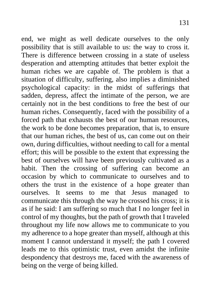end, we might as well dedicate ourselves to the only possibility that is still available to us: the way to cross it. There is difference between crossing in a state of useless desperation and attempting attitudes that better exploit the human riches we are capable of. The problem is that a situation of difficulty, suffering, also implies a diminished psychological capacity: in the midst of sufferings that sadden, depress, affect the intimate of the person, we are certainly not in the best conditions to free the best of our human riches. Consequently, faced with the possibility of a forced path that exhausts the best of our human resources, the work to be done becomes preparation, that is, to ensure that our human riches, the best of us, can come out on their own, during difficulties, without needing to call for a mental effort; this will be possible to the extent that expressing the best of ourselves will have been previously cultivated as a habit. Then the crossing of suffering can become an occasion by which to communicate to ourselves and to others the trust in the existence of a hope greater than ourselves. It seems to me that Jesus managed to communicate this through the way he crossed his cross; it is as if he said: I am suffering so much that I no longer feel in control of my thoughts, but the path of growth that I traveled throughout my life now allows me to communicate to you my adherence to a hope greater than myself, although at this moment I cannot understand it myself; the path I covered leads me to this optimistic trust, even amidst the infinite despondency that destroys me, faced with the awareness of being on the verge of being killed.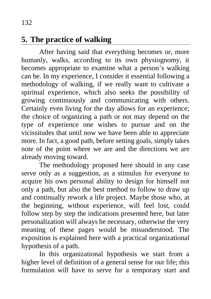## **5. The practice of walking**

After having said that everything becomes or, more humanly, walks, according to its own physiognomy, it becomes appropriate to examine what a person's walking can be. In my experience, I consider it essential following a methodology of walking, if we really want to cultivate a spiritual experience, which also seeks the possibility of growing continuously and communicating with others. Certainly even living for the day allows for an experience; the choice of organizing a path or not may depend on the type of experience one wishes to pursue and on the vicissitudes that until now we have been able to appreciate more. In fact, a good path, before setting goals, simply takes note of the point where we are and the directions we are already moving toward.

The methodology proposed here should in any case serve only as a suggestion, as a stimulus for everyone to acquire his own personal ability to design for himself not only a path, but also the best method to follow to draw up and continually rework a life project. Maybe those who, at the beginning, without experience, will feel lost, could follow step by step the indications presented here, but later personalization will always be necessary, otherwise the very meaning of these pages would be misunderstood. The exposition is explained here with a practical organizational hypothesis of a path.

In this organizational hypothesis we start from a higher level of definition of a general sense for our life; this formulation will have to serve for a temporary start and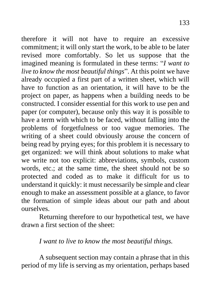therefore it will not have to require an excessive commitment; it will only start the work, to be able to be later revised more comfortably. So let us suppose that the imagined meaning is formulated in these terms: "*I want to live to know the most beautiful things*". At this point we have already occupied a first part of a written sheet, which will have to function as an orientation, it will have to be the project on paper, as happens when a building needs to be constructed. I consider essential for this work to use pen and paper (or computer), because only this way it is possible to have a term with which to be faced, without falling into the problems of forgetfulness or too vague memories. The writing of a sheet could obviously arouse the concern of being read by prying eyes; for this problem it is necessary to get organized: we will think about solutions to make what we write not too explicit: abbreviations, symbols, custom words, etc.; at the same time, the sheet should not be so protected and coded as to make it difficult for us to understand it quickly: it must necessarily be simple and clear enough to make an assessment possible at a glance, to favor the formation of simple ideas about our path and about ourselves.

Returning therefore to our hypothetical test, we have drawn a first section of the sheet:

#### *I want to live to know the most beautiful things.*

A subsequent section may contain a phrase that in this period of my life is serving as my orientation, perhaps based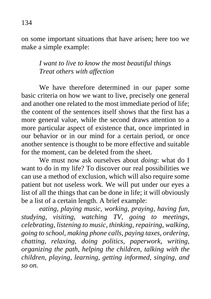on some important situations that have arisen; here too we make a simple example:

#### *I want to live to know the most beautiful things Treat others with affection*

We have therefore determined in our paper some basic criteria on how we want to live, precisely one general and another one related to the most immediate period of life; the content of the sentences itself shows that the first has a more general value, while the second draws attention to a more particular aspect of existence that, once imprinted in our behavior or in our mind for a certain period, or once another sentence is thought to be more effective and suitable for the moment, can be deleted from the sheet.

We must now ask ourselves about *doing*: what do I want to do in my life? To discover our real possibilities we can use a method of exclusion, which will also require some patient but not useless work. We will put under our eyes a list of all the things that can be done in life; it will obviously be a list of a certain length. A brief example:

*eating, playing music, working, praying, having fun, studying, visiting, watching TV, going to meetings, celebrating, listening to music, thinking, repairing, walking, going to school, making phone calls, paying taxes, ordering, chatting, relaxing, doing politics, paperwork, writing, organizing the path, helping the children, talking with the children, playing, learning, getting informed, singing, and so on.*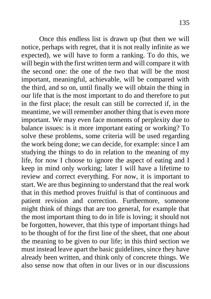Once this endless list is drawn up (but then we will notice, perhaps with regret, that it is not really infinite as we expected), we will have to form a ranking. To do this, we will begin with the first written term and will compare it with the second one: the one of the two that will be the most important, meaningful, achievable, will be compared with the third, and so on, until finally we will obtain the thing in our life that is the most important to do and therefore to put in the first place; the result can still be corrected if, in the meantime, we will remember another thing that is even more important. We may even face moments of perplexity due to balance issues: is it more important eating or working? To solve these problems, some criteria will be used regarding the work being done; we can decide, for example: since I am studying the things to do in relation to the meaning of my life, for now I choose to ignore the aspect of eating and I keep in mind only working; later I will have a lifetime to review and correct everything. For now, it is important to start. We are thus beginning to understand that the real work that in this method proves fruitful is that of continuous and patient revision and correction. Furthermore, someone might think of things that are too general, for example that the most important thing to do in life is loving; it should not be forgotten, however, that this type of important things had to be thought of for the first line of the sheet, that one about the meaning to be given to our life; in this third section we must instead leave apart the basic guidelines, since they have already been written, and think only of concrete things. We also sense now that often in our lives or in our discussions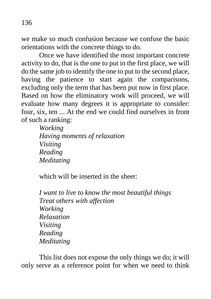136

we make so much confusion because we confuse the basic orientations with the concrete things to do.

Once we have identified the most important concrete activity to do, that is the one to put in the first place, we will do the same job to identify the one to put to the second place, having the patience to start again the comparisons, excluding only the term that has been put now in first place. Based on how the eliminatory work will proceed, we will evaluate how many degrees it is appropriate to consider: four, six, ten ... At the end we could find ourselves in front of such a ranking:

> *Working Having moments of relaxation Visiting Reading Meditating*

which will be inserted in the sheet:

*I want to live to know the most beautiful things Treat others with affection Working Relaxation Visiting Reading Meditating*

This list does not expose the only things we do; it will only serve as a reference point for when we need to think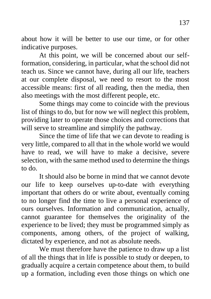about how it will be better to use our time, or for other indicative purposes.

At this point, we will be concerned about our selfformation, considering, in particular, what the school did not teach us. Since we cannot have, during all our life, teachers at our complete disposal, we need to resort to the most accessible means: first of all reading, then the media, then also meetings with the most different people, etc.

Some things may come to coincide with the previous list of things to do, but for now we will neglect this problem, providing later to operate those choices and corrections that will serve to streamline and simplify the pathway.

Since the time of life that we can devote to reading is very little, compared to all that in the whole world we would have to read, we will have to make a decisive, severe selection, with the same method used to determine the things to do.

It should also be borne in mind that we cannot devote our life to keep ourselves up-to-date with everything important that others do or write about, eventually coming to no longer find the time to live a personal experience of ours ourselves. Information and communication, actually, cannot guarantee for themselves the originality of the experience to be lived; they must be programmed simply as components, among others, of the project of walking, dictated by experience, and not as absolute needs.

We must therefore have the patience to draw up a list of all the things that in life is possible to study or deepen, to gradually acquire a certain competence about them, to build up a formation, including even those things on which one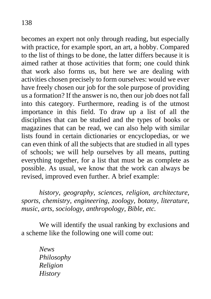becomes an expert not only through reading, but especially with practice, for example sport, an art, a hobby. Compared to the list of things to be done, the latter differs because it is aimed rather at those activities that form; one could think that work also forms us, but here we are dealing with activities chosen precisely to form ourselves: would we ever have freely chosen our job for the sole purpose of providing us a formation? If the answer is no, then our job does not fall into this category. Furthermore, reading is of the utmost importance in this field. To draw up a list of all the disciplines that can be studied and the types of books or magazines that can be read, we can also help with similar lists found in certain dictionaries or encyclopedias, or we can even think of all the subjects that are studied in all types of schools; we will help ourselves by all means, putting everything together, for a list that must be as complete as possible. As usual, we know that the work can always be revised, improved even further. A brief example:

*history, geography, sciences, religion, architecture, sports, chemistry, engineering, zoology, botany, literature, music, arts, sociology, anthropology, Bible, etc.*

We will identify the usual ranking by exclusions and a scheme like the following one will come out:

> *News Philosophy Religion History*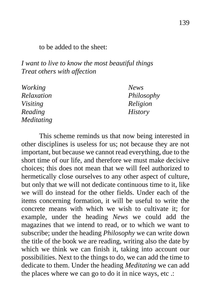to be added to the sheet:

*I want to live to know the most beautiful things Treat others with affection*

| <i>Working</i>    | <b>News</b>    |
|-------------------|----------------|
| Relaxation        | Philosophy     |
| <i>Visiting</i>   | Religion       |
| Reading           | <b>History</b> |
| <b>Meditating</b> |                |

This scheme reminds us that now being interested in other disciplines is useless for us; not because they are not important, but because we cannot read everything, due to the short time of our life, and therefore we must make decisive choices; this does not mean that we will feel authorized to hermetically close ourselves to any other aspect of culture, but only that we will not dedicate continuous time to it, like we will do instead for the other fields. Under each of the items concerning formation, it will be useful to write the concrete means with which we wish to cultivate it; for example, under the heading *News* we could add the magazines that we intend to read, or to which we want to subscribe; under the heading *Philosophy* we can write down the title of the book we are reading, writing also the date by which we think we can finish it, taking into account our possibilities. Next to the things to do, we can add the time to dedicate to them. Under the heading *Meditating* we can add the places where we can go to do it in nice ways, etc .: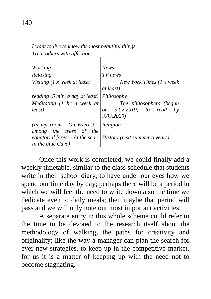| I want to live to know the most beautiful things                          |                                                                  |
|---------------------------------------------------------------------------|------------------------------------------------------------------|
| <i>Treat others with affection</i>                                        |                                                                  |
|                                                                           |                                                                  |
| Working                                                                   | <b>News</b>                                                      |
| Relaxing                                                                  | TV news                                                          |
| Visiting $(1 x$ week at least)                                            | New York Times (1 x week<br>at least)                            |
| reading $(5 \text{ min. } a \text{ day at least})$                        | Philosophy                                                       |
| Meditating $(1 \text{ hr } a \text{ week } at)$<br>least)                 | The philosophers (begun<br>on 3.02.2019; to read<br>3.03.2020)   |
| $(In my room - On Everest - \mathsf{Religion})$<br>among the trees of the |                                                                  |
| In the blue Cave)                                                         | equatorial forest - At the sea -   History (next summer o years) |

Once this work is completed, we could finally add a weekly timetable, similar to the class schedule that students write in their school diary, to have under our eyes how we spend our time day by day; perhaps there will be a period in which we will feel the need to write down also the time we dedicate even to daily meals; then maybe that period will pass and we will only note our most important activities.

A separate entry in this whole scheme could refer to the time to be devoted to the research itself about the methodology of walking, the paths for creativity and originality; like the way a manager can plan the search for ever new strategies, to keep up in the competitive market, for us it is a matter of keeping up with the need not to become stagnating.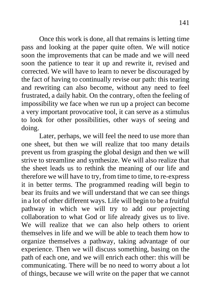Once this work is done, all that remains is letting time pass and looking at the paper quite often. We will notice soon the improvements that can be made and we will need soon the patience to tear it up and rewrite it, revised and corrected. We will have to learn to never be discouraged by the fact of having to continually revise our path: this tearing and rewriting can also become, without any need to feel frustrated, a daily habit. On the contrary, often the feeling of impossibility we face when we run up a project can become a very important provocative tool, it can serve as a stimulus to look for other possibilities, other ways of seeing and doing.

Later, perhaps, we will feel the need to use more than one sheet, but then we will realize that too many details prevent us from grasping the global design and then we will strive to streamline and synthesize. We will also realize that the sheet leads us to rethink the meaning of our life and therefore we will have to try, from time to time, to re-express it in better terms. The programmed reading will begin to bear its fruits and we will understand that we can see things in a lot of other different ways. Life will begin to be a fruitful pathway in which we will try to add our projecting collaboration to what God or life already gives us to live. We will realize that we can also help others to orient themselves in life and we will be able to teach them how to organize themselves a pathway, taking advantage of our experience. Then we will discuss something, basing on the path of each one, and we will enrich each other: this will be communicating. There will be no need to worry about a lot of things, because we will write on the paper that we cannot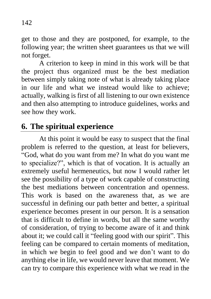get to those and they are postponed, for example, to the following year; the written sheet guarantees us that we will not forget.

A criterion to keep in mind in this work will be that the project thus organized must be the best mediation between simply taking note of what is already taking place in our life and what we instead would like to achieve; actually, walking is first of all listening to our own existence and then also attempting to introduce guidelines, works and see how they work.

### **6. The spiritual experience**

At this point it would be easy to suspect that the final problem is referred to the question, at least for believers, "God, what do you want from me? In what do you want me to specialize?", which is that of vocation. It is actually an extremely useful hermeneutics, but now I would rather let see the possibility of a type of work capable of constructing the best mediations between concentration and openness. This work is based on the awareness that, as we are successful in defining our path better and better, a spiritual experience becomes present in our person. It is a sensation that is difficult to define in words, but all the same worthy of consideration, of trying to become aware of it and think about it; we could call it "feeling good with our spirit". This feeling can be compared to certain moments of meditation, in which we begin to feel good and we don't want to do anything else in life, we would never leave that moment. We can try to compare this experience with what we read in the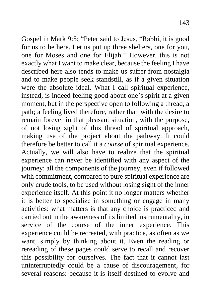Gospel in Mark 9:5: "Peter said to Jesus, "Rabbi, it is good for us to be here. Let us put up three shelters, one for you, one for Moses and one for Elijah." However, this is not exactly what I want to make clear, because the feeling I have described here also tends to make us suffer from nostalgia and to make people seek standstill, as if a given situation were the absolute ideal. What I call spiritual experience, instead, is indeed feeling good about one's spirit at a given moment, but in the perspective open to following a thread, a path; a feeling lived therefore, rather than with the desire to remain forever in that pleasant situation, with the purpose, of not losing sight of this thread of spiritual approach, making use of the project about the pathway. It could therefore be better to call it a *course* of spiritual experience. Actually, we will also have to realize that the spiritual experience can never be identified with any aspect of the journey: all the components of the journey, even if followed with commitment, compared to pure spiritual experience are only crude tools, to be used without losing sight of the inner experience itself. At this point it no longer matters whether it is better to specialize in something or engage in many activities: what matters is that any choice is practiced and carried out in the awareness of its limited instrumentality, in service of the course of the inner experience. This experience could be recreated, with practice, as often as we want, simply by thinking about it. Even the reading or rereading of these pages could serve to recall and recover this possibility for ourselves. The fact that it cannot last uninterruptedly could be a cause of discouragement, for several reasons: because it is itself destined to evolve and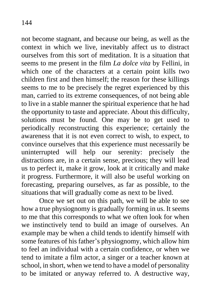not become stagnant, and because our being, as well as the context in which we live, inevitably affect us to distract ourselves from this sort of meditation. It is a situation that seems to me present in the film *La dolce vita* by Fellini, in which one of the characters at a certain point kills two children first and then himself; the reason for these killings seems to me to be precisely the regret experienced by this man, carried to its extreme consequences, of not being able to live in a stable manner the spiritual experience that he had the opportunity to taste and appreciate. About this difficulty, solutions must be found. One may be to get used to periodically reconstructing this experience; certainly the awareness that it is not even correct to wish, to expect, to convince ourselves that this experience must necessarily be uninterrupted will help our serenity: precisely the distractions are, in a certain sense, precious; they will lead us to perfect it, make it grow, look at it critically and make it progress. Furthermore, it will also be useful working on forecasting, preparing ourselves, as far as possible, to the situations that will gradually come as next to be lived.

Once we set out on this path, we will be able to see how a true physiognomy is gradually forming in us. It seems to me that this corresponds to what we often look for when we instinctively tend to build an image of ourselves. An example may be when a child tends to identify himself with some features of his father's physiognomy, which allow him to feel an individual with a certain confidence, or when we tend to imitate a film actor, a singer or a teacher known at school, in short, when we tend to have a model of personality to be imitated or anyway referred to. A destructive way,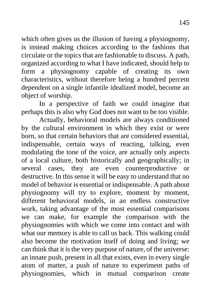which often gives us the illusion of having a physiognomy, is instead making choices according to the fashions that circulate or the topics that are fashionable to discuss. A path, organized according to what I have indicated, should help to form a physiognomy capable of creating its own characteristics, without therefore being a hundred percent dependent on a single infantile idealized model, become an object of worship.

In a perspective of faith we could imagine that perhaps this is also why God does not want to be too visible.

Actually, behavioral models are always conditioned by the cultural environment in which they exist or were born, so that certain behaviors that are considered essential, indispensable, certain ways of reacting, talking, even modulating the tone of the voice, are actually only aspects of a local culture, both historically and geographically; in several cases, they are even counterproductive or destructive. In this sense it will be easy to understand that no model of behavior is essential or indispensable. A path about physiognomy will try to explore, moment by moment, different behavioral models, in an endless constructive work, taking advantage of the most essential comparisons we can make, for example the comparison with the physiognomies with which we come into contact and with what our memory is able to call us back. This walking could also become the motivation itself of doing and living; we can think that it is the very purpose of nature, of the universe: an innate push, present in all that exists, even in every single atom of matter, a push of nature to experiment paths of physiognomies, which in mutual comparison create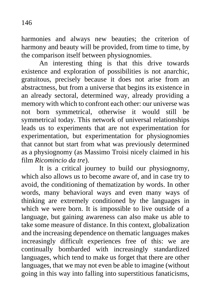harmonies and always new beauties; the criterion of harmony and beauty will be provided, from time to time, by the comparison itself between physiognomies.

An interesting thing is that this drive towards existence and exploration of possibilities is not anarchic, gratuitous, precisely because it does not arise from an abstractness, but from a universe that begins its existence in an already sectoral, determined way, already providing a memory with which to confront each other: our universe was not born symmetrical, otherwise it would still be symmetrical today. This network of universal relationships leads us to experiments that are not experimentation for experimentation, but experimentation for physiognomies that cannot but start from what was previously determined as a physiognomy (as Massimo Troisi nicely claimed in his film *Ricomincio da tre*).

It is a critical journey to build our physiognomy, which also allows us to become aware of, and in case try to avoid, the conditioning of thematization by words. In other words, many behavioral ways and even many ways of thinking are extremely conditioned by the languages in which we were born. It is impossible to live outside of a language, but gaining awareness can also make us able to take some measure of distance. In this context, globalization and the increasing dependence on thematic languages makes increasingly difficult experiences free of this: we are continually bombarded with increasingly standardized languages, which tend to make us forget that there are other languages, that we may not even be able to imagine (without going in this way into falling into superstitious fanaticisms,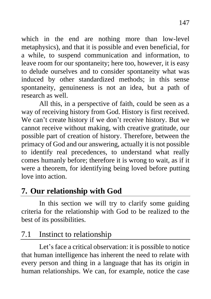which in the end are nothing more than low-level metaphysics), and that it is possible and even beneficial, for a while, to suspend communication and information, to leave room for our spontaneity; here too, however, it is easy to delude ourselves and to consider spontaneity what was induced by other standardized methods; in this sense spontaneity, genuineness is not an idea, but a path of research as well.

All this, in a perspective of faith, could be seen as a way of receiving history from God. History is first received. We can't create history if we don't receive history. But we cannot receive without making, with creative gratitude, our possible part of creation of history. Therefore, between the primacy of God and our answering, actually it is not possible to identify real precedences, to understand what really comes humanly before; therefore it is wrong to wait, as if it were a theorem, for identifying being loved before putting love into action.

# **7. Our relationship with God**

In this section we will try to clarify some guiding criteria for the relationship with God to be realized to the best of its possibilities.

# 7.1 Instinct to relationship

Let's face a critical observation: it is possible to notice that human intelligence has inherent the need to relate with every person and thing in a language that has its origin in human relationships. We can, for example, notice the case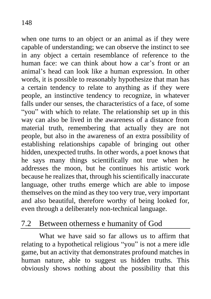when one turns to an object or an animal as if they were capable of understanding; we can observe the instinct to see in any object a certain resemblance of reference to the human face: we can think about how a car's front or an animal's head can look like a human expression. In other words, it is possible to reasonably hypothesize that man has a certain tendency to relate to anything as if they were people, an instinctive tendency to recognize, in whatever falls under our senses, the characteristics of a face, of some "you" with which to relate. The relationship set up in this way can also be lived in the awareness of a distance from material truth, remembering that actually they are not people, but also in the awareness of an extra possibility of establishing relationships capable of bringing out other hidden, unexpected truths. In other words, a poet knows that he says many things scientifically not true when he addresses the moon, but he continues his artistic work because he realizes that, through his scientifically inaccurate language, other truths emerge which are able to impose themselves on the mind as they too very true, very important and also beautiful, therefore worthy of being looked for, even through a deliberately non-technical language.

### 7.2 Between otherness e humanity of God

What we have said so far allows us to affirm that relating to a hypothetical religious "you" is not a mere idle game, but an activity that demonstrates profound matches in human nature, able to suggest us hidden truths. This obviously shows nothing about the possibility that this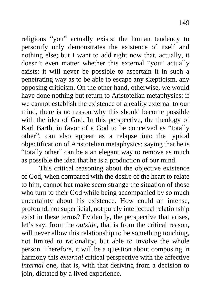religious "you" actually exists: the human tendency to personify only demonstrates the existence of itself and nothing else; but I want to add right now that, actually, it doesn't even matter whether this external "you" actually exists: it will never be possible to ascertain it in such a penetrating way as to be able to escape any skepticism, any opposing criticism. On the other hand, otherwise, we would have done nothing but return to Aristotelian metaphysics: if we cannot establish the existence of a reality external to our mind, there is no reason why this should become possible with the idea of God. In this perspective, the theology of Karl Barth, in favor of a God to be conceived as "totally other", can also appear as a relapse into the typical objectification of Aristotelian metaphysics: saying that he is "totally other" can be a an elegant way to remove as much as possible the idea that he is a production of our mind.

This critical reasoning about the objective existence of God, when compared with the desire of the heart to relate to him, cannot but make seem strange the situation of those who turn to their God while being accompanied by so much uncertainty about his existence. How could an intense, profound, not superficial, not purely intellectual relationship exist in these terms? Evidently, the perspective that arises, let's say, from the *outside*, that is from the critical reason, will never allow this relationship to be something touching, not limited to rationality, but able to involve the whole person. Therefore, it will be a question about composing in harmony this *external* critical perspective with the affective *internal* one, that is, with that deriving from a decision to join, dictated by a lived experience.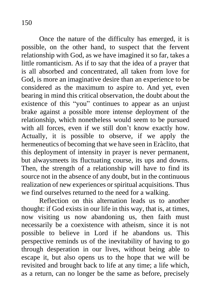Once the nature of the difficulty has emerged, it is possible, on the other hand, to suspect that the fervent relationship with God, as we have imagined it so far, takes a little romanticism. As if to say that the idea of a prayer that is all absorbed and concentrated, all taken from love for God, is more an imaginative desire than an experience to be considered as the maximum to aspire to. And yet, even bearing in mind this critical observation, the doubt about the existence of this "you" continues to appear as an unjust brake against a possible more intense deployment of the relationship, which nonetheless would seem to be pursued with all forces, even if we still don't know exactly how. Actually, it is possible to observe, if we apply the hermeneutics of becoming that we have seen in Eràclito, that this deployment of intensity in prayer is never permanent, but alwaysmeets its fluctuating course, its ups and downs. Then, the strength of a relationship will have to find its source not in the absence of any doubt, but in the continuous realization of new experiences or spiritual acquisitions. Thus we find ourselves returned to the need for a walking.

Reflection on this alternation leads us to another thought: if God exists in our life in this way, that is, at times, now visiting us now abandoning us, then faith must necessarily be a coexistence with atheism, since it is not possible to believe in Lord if he abandons us. This perspective reminds us of the inevitability of having to go through desperation in our lives, without being able to escape it, but also opens us to the hope that we will be revisited and brought back to life at any time; a life which, as a return, can no longer be the same as before, precisely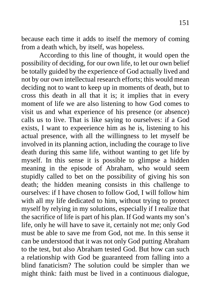because each time it adds to itself the memory of coming from a death which, by itself, was hopeless.

According to this line of thought, it would open the possibility of deciding, for our own life, to let our own belief be totally guided by the experience of God actually lived and not by our own intellectual research efforts; this would mean deciding not to want to keep up in moments of death, but to cross this death in all that it is; it implies that in every moment of life we are also listening to how God comes to visit us and what experience of his presence (or absence) calls us to live. That is like saying to ourselves: if a God exists, I want to expeerience him as he is, listening to his actual presence, with all the willingness to let myself be involved in its planning action, including the courage to live death during this same life, without wanting to get life by myself. In this sense it is possible to glimpse a hidden meaning in the episode of Abraham, who would seem stupidly called to bet on the possibility of giving his son death; the hidden meaning consists in this challenge to ourselves: if I have chosen to follow God, I will follow him with all my life dedicated to him, without trying to protect myself by relying in my solutions, especially if I realize that the sacrifice of life is part of his plan. If God wants my son's life, only he will have to save it, certainly not me; only God must be able to save me from God, not me. In this sense it can be understood that it was not only God putting Abraham to the test, but also Abraham tested God. But how can such a relationship with God be guaranteed from falling into a blind fanaticism? The solution could be simpler than we might think: faith must be lived in a continuous dialogue,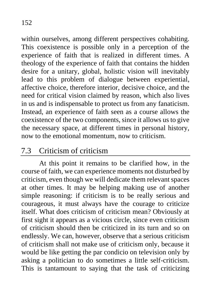within ourselves, among different perspectives cohabiting. This coexistence is possible only in a perception of the experience of faith that is realized in different times. A theology of the experience of faith that contains the hidden desire for a unitary, global, holistic vision will inevitably lead to this problem of dialogue between experiential, affective choice, therefore interior, decisive choice, and the need for critical vision claimed by reason, which also lives in us and is indispensable to protect us from any fanaticism. Instead, an experience of faith seen as a course allows the coexistence of the two components, since it allows us to give the necessary space, at different times in personal history, now to the emotional momentum, now to criticism.

## 7.3 Criticism of criticism

At this point it remains to be clarified how, in the course of faith, we can experience moments not disturbed by criticism, even though we will dedicate them relevant spaces at other times. It may be helping making use of another simple reasoning: if criticism is to be really serious and courageous, it must always have the courage to criticize itself. What does criticism of criticism mean? Obviously at first sight it appears as a vicious circle, since even criticism of criticism should then be criticized in its turn and so on endlessly. We can, however, observe that a serious criticism of criticism shall not make use of criticism only, because it would be like getting the par condicio on television only by asking a politician to do sometimes a little self-criticism. This is tantamount to saying that the task of criticizing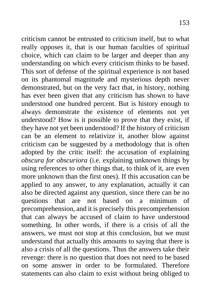criticism cannot be entrusted to criticism itself, but to what really opposes it, that is our human faculties of spiritual choice, which can claim to be larger and deeper than any understanding on which every criticism thinks to be based. This sort of defense of the spiritual experience is not based on its phantomal magnitude and mysterious depth never demonstrated, but on the very fact that, in history, nothing has ever been given that any criticism has shown to have understood one hundred percent. But is history enough to always demonstrate the existence of elements not yet understood? How is it possible to prove that they exist, if they have not yet been understood? If the history of criticism can be an element to relativize it, another blow against criticism can be suggested by a methodology that is often adopted by the critic itself: the accusation of explaining *obscura for obscuriora* (i.e. explaining unknown things by using references to other things that, to think of it, are even more unknown than the first ones). If this accusation can be applied to any answer, to any explanation, actually it can also be directed against any question, since there can be no questions that are not based on a minimum of precomprehension, and it is precisely this precomprehension that can always be accused of claim to have understood something. In other words, if there is a crisis of all the answers, we must not stop at this conclusion, but we must understand that actually this amounts to saying that there is also a crisis of all the questions. Thus the answers take their revenge: there is no question that does not need to be based on some answer in order to be formulated. Therefore statements can also claim to exist without being obliged to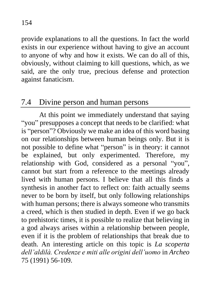provide explanations to all the questions. In fact the world exists in our experience without having to give an account to anyone of why and how it exists. We can do all of this, obviously, without claiming to kill questions, which, as we said, are the only true, precious defense and protection against fanaticism.

#### 7.4 Divine person and human persons

At this point we immediately understand that saying "you" presupposes a concept that needs to be clarified: what is "person"? Obviously we make an idea of this word basing on our relationships between human beings only. But it is not possible to define what "person" is in theory: it cannot be explained, but only experimented. Therefore, my relationship with God, considered as a personal "you", cannot but start from a reference to the meetings already lived with human persons. I believe that all this finds a synthesis in another fact to reflect on: faith actually seems never to be born by itself, but only following relationships with human persons; there is always someone who transmits a creed, which is then studied in depth. Even if we go back to prehistoric times, it is possible to realize that believing in a god always arises within a relationship between people, even if it is the problem of relationships that break due to death. An interesting article on this topic is *La scoperta dell'aldilà. Credenze e miti alle origini dell'uomo* in *Archeo* 75 (1991) 56-109.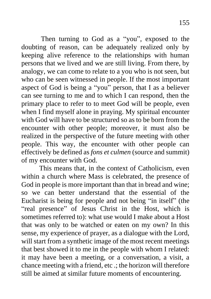Then turning to God as a "you", exposed to the doubting of reason, can be adequately realized only by keeping alive reference to the relationships with human persons that we lived and we are still living. From there, by analogy, we can come to relate to a you who is not seen, but who can be seen witnessed in people. If the most important aspect of God is being a "you" person, that I as a believer can see turning to me and to which I can respond, then the primary place to refer to to meet God will be people, even when I find myself alone in praying. My spiritual encounter with God will have to be structured so as to be born from the encounter with other people; moreover, it must also be realized in the perspective of the future meeting with other people. This way, the encounter with other people can effectively be defined as *fons et culmen* (source and summit) of my encounter with God.

This means that, in the context of Catholicism, even within a church where Mass is celebrated, the presence of God in people is more important than that in bread and wine; so we can better understand that the essential of the Eucharist is being for people and not being "in itself" (the "real presence" of Jesus Christ in the Host, which is sometimes referred to): what use would I make about a Host that was only to be watched or eaten on my own? In this sense, my experience of prayer, as a dialogue with the Lord, will start from a synthetic image of the most recent meetings that best showed it to me in the people with whom I related: it may have been a meeting, or a conversation, a visit, a chance meeting with a friend, etc .; the horizon will therefore still be aimed at similar future moments of encountering.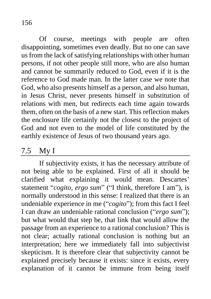Of course, meetings with people are often disappointing, sometimes even deadly. But no one can save us from the lack of satisfying relationships with other human persons, if not other people still more, who are also human and cannot be summarily reduced to God, even if it is the reference to God made man. In the latter case we note that God, who also presents himself as a person, and also human, in Jesus Christ, never presents himself in substitution of relations with men, but redirects each time again towards them, often on the basis of a new start. This reflection makes the enclosure life certainly not the closest to the project of God and not even to the model of life constituted by the earthly existence of Jesus of two thousand years ago.

#### 7.5 My I

If subjectivity exists, it has the necessary attribute of not being able to be explained. First of all it should be clarified what explaining it would mean. Descartes' statement "*cogito, ergo sum*" ("I think, therefore I am"), is normally understood in this sense: I realized that there is an undeniable experience in me ("*cogito*"); from this fact I feel I can draw an undeniable rational conclusion ("*ergo sum*"); but what would that step be, that link that would allow the passage from an experience to a rational conclusion? This is not clear; actually rational conclusion is nothing but an interpretation; here we immediately fall into subjectivist skepticism. It is therefore clear that subjectivity cannot be explained precisely because it exists: since it exists, every explanation of it cannot be immune from being itself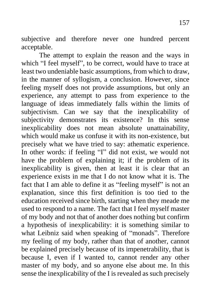subjective and therefore never one hundred percent acceptable.

The attempt to explain the reason and the ways in which "I feel myself", to be correct, would have to trace at least two undeniable basic assumptions, from which to draw, in the manner of syllogism, a conclusion. However, since feeling myself does not provide assumptions, but only an experience, any attempt to pass from experience to the language of ideas immediately falls within the limits of subjectivism. Can we say that the inexplicability of subjectivity demonstrates its existence? In this sense inexplicability does not mean absolute unattainability, which would make us confuse it with its non-existence, but precisely what we have tried to say: athematic experience. In other words: if feeling "I" did not exist, we would not have the problem of explaining it; if the problem of its inexplicability is given, then at least it is clear that an experience exists in me that I do not know what it is. The fact that I am able to define it as "feeling myself" is not an explanation, since this first definition is too tied to the education received since birth, starting when they meade me used to respond to a name. The fact that I feel myself master of my body and not that of another does nothing but confirm a hypothesis of inexplicability: it is something similar to what Leibniz said when speaking of "monads". Therefore my feeling of my body, rather than that of another, cannot be explained precisely because of its impenetrability, that is because I, even if I wanted to, cannot render any other master of my body, and so anyone else about me. In this sense the inexplicability of the I is revealed as such precisely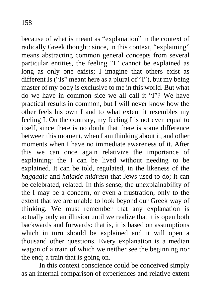because of what is meant as "explanation" in the context of radically Greek thought: since, in this context, "explaining" means abstracting common general concepts from several particular entities, the feeling "I" cannot be explained as long as only one exists; I imagine that others exist as different Is ("Is" meant here as a plural of "I"), but my being master of my body is exclusive to me in this world. But what do we have in common sice we all call it "I"? We have practical results in common, but I will never know how the other feels his own I and to what extent it resembles my feeling I. On the contrary, my feeling I is not even equal to itself, since there is no doubt that there is some difference between this moment, when I am thinking about it, and other moments when I have no immediate awareness of it. After this we can once again relativize the importance of explaining: the I can be lived without needing to be explained. It can be told, regulated, in the likeness of the *haggadic* and *halakic midrash* that Jews used to do; it can be celebrated, related. In this sense, the unexplainability of the I may be a concern, or even a frustration, only to the extent that we are unable to look beyond our Greek way of thinking. We must remember that any explanation is actually only an illusion until we realize that it is open both backwards and forwards: that is, it is based on assumptions which in turn should be explained and it will open a thousand other questions. Every explanation is a median wagon of a train of which we neither see the beginning nor the end; a train that is going on.

In this context conscience could be conceived simply as an internal comparison of experiences and relative extent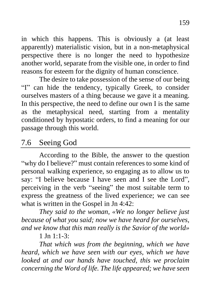in which this happens. This is obviously a (at least apparently) materialistic vision, but in a non-metaphysical perspective there is no longer the need to hypothesize another world, separate from the visible one, in order to find reasons for esteem for the dignity of human conscience.

The desire to take possession of the sense of our being "I" can hide the tendency, typically Greek, to consider ourselves masters of a thing because we gave it a meaning. In this perspective, the need to define our own I is the same as the metaphysical need, starting from a mentality conditioned by hypostatic orders, to find a meaning for our passage through this world.

## 7.6 Seeing God

According to the Bible, the answer to the question "why do I believe?" must contain references to some kind of personal walking experience, so engaging as to allow us to say: "I believe because I have seen and I see the Lord", perceiving in the verb "seeing" the most suitable term to express the greatness of the lived experience; we can see what is written in the Gospel in Jn 4:42:

*They said to the woman, «We no longer believe just because of what you said; now we have heard for ourselves, and we know that this man really is the Savior of the world»*

1 In  $1.1 - 3$ 

*That which was from the beginning, which we have heard, which we have seen with our eyes, which we have looked at and our hands have touched, this we proclaim concerning the Word of life. The life appeared; we have seen*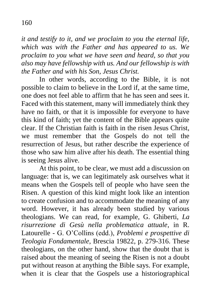*it and testify to it, and we proclaim to you the eternal life, which was with the Father and has appeared to us. We proclaim to you what we have seen and heard, so that you also may have fellowship with us. And our fellowship is with the Father and with his Son, Jesus Christ.*

In other words, according to the Bible, it is not possible to claim to believe in the Lord if, at the same time, one does not feel able to affirm that he has seen and sees it. Faced with this statement, many will immediately think they have no faith, or that it is impossible for everyone to have this kind of faith; yet the content of the Bible appears quite clear. If the Christian faith is faith in the risen Jesus Christ, we must remember that the Gospels do not tell the resurrection of Jesus, but rather describe the experience of those who saw him alive after his death. The essential thing is seeing Jesus alive.

At this point, to be clear, we must add a discussion on language: that is, we can legitimately ask ourselves what it means when the Gospels tell of people who have seen the Risen. A question of this kind might look like an intention to create confusion and to accommodate the meaning of any word. However, it has already been studied by various theologians. We can read, for example, G. Ghiberti, *La risurrezione di Gesù nella problematica attuale*, in R. Latourelle - G. O'Collins (edd.), *Problemi e prospettive di Teologia Fondamentale*, Brescia 19822, p. 279-316. These theologians, on the other hand, show that the doubt that is raised about the meaning of seeing the Risen is not a doubt put without reason at anything the Bible says. For example, when it is clear that the Gospels use a historiographical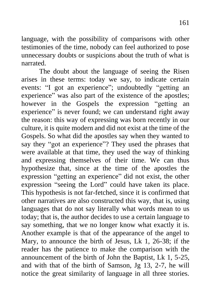language, with the possibility of comparisons with other testimonies of the time, nobody can feel authorized to pose unnecessary doubts or suspicions about the truth of what is narrated.

The doubt about the language of seeing the Risen arises in these terms: today we say, to indicate certain events: "I got an experience"; undoubtedly "getting an experience" was also part of the existence of the apostles; however in the Gospels the expression "getting an experience" is never found; we can understand right away the reason: this way of expressing was born recently in our culture, it is quite modern and did not exist at the time of the Gospels. So what did the apostles say when they wanted to say they "got an experience"? They used the phrases that were available at that time, they used the way of thinking and expressing themselves of their time. We can thus hypothesize that, since at the time of the apostles the expression "getting an experience" did not exist, the other expression "seeing the Lord" could have taken its place. This hypothesis is not far-fetched, since it is confirmed that other narratives are also constructed this way, that is, using languages that do not say literally what words mean to us today; that is, the author decides to use a certain language to say something, that we no longer know what exactly it is. Another example is that of the appearance of the angel to Mary, to announce the birth of Jesus, Lk 1, 26-38; if the reader has the patience to make the comparison with the announcement of the birth of John the Baptist, Lk 1, 5-25, and with that of the birth of Samson, Jg 13, 2-7, he will notice the great similarity of language in all three stories.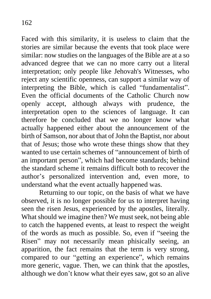Faced with this similarity, it is useless to claim that the stories are similar because the events that took place were similar: now studies on the languages of the Bible are at a so advanced degree that we can no more carry out a literal interpretation; only people like Jehovah's Witnesses, who reject any scientific openness, can support a similar way of interpreting the Bible, which is called "fundamentalist". Even the official documents of the Catholic Church now openly accept, although always with prudence, the interpretation open to the sciences of language. It can therefore be concluded that we no longer know what actually happened either about the announcement of the birth of Samson, nor about that of John the Baptist, nor about that of Jesus; those who wrote these things show that they wanted to use certain schemes of "announcement of birth of an important person", which had become standards; behind the standard scheme it remains difficult both to recover the author's personalized intervention and, even more, to understand what the event actually happened was.

Returning to our topic, on the basis of what we have observed, it is no longer possible for us to interpret having seen the risen Jesus, experienced by the apostles, literally. What should we imagine then? We must seek, not being able to catch the happened events, at least to respect the weight of the words as much as possible. So, even if "seeing the Risen" may not necessarily mean phisically seeing, an apparition, the fact remains that the term is very strong, compared to our "getting an experience", which remains more generic, vague. Then, we can think that the apostles, although we don't know what their eyes saw, got so an alive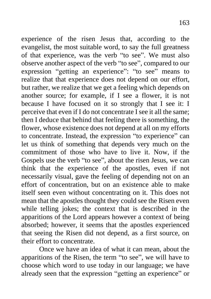experience of the risen Jesus that, according to the evangelist, the most suitable word, to say the full greatness of that experience, was the verb "to see". We must also observe another aspect of the verb "to see", compared to our expression "getting an experience": "to see" means to realize that that experience does not depend on our effort, but rather, we realize that we get a feeling which depends on another source; for example, if I see a flower, it is not because I have focused on it so strongly that I see it: I perceive that even if I do not concentrate I see it all the same; then I deduce that behind that feeling there is something, the flower, whose existence does not depend at all on my efforts to concentrate. Instead, the expression "to experience" can let us think of something that depends very much on the commitment of those who have to live it. Now, if the Gospels use the verb "to see", about the risen Jesus, we can think that the experience of the apostles, even if not necessarily visual, gave the feeling of depending not on an effort of concentration, but on an existence able to make itself seen even without concentrating on it. This does not mean that the apostles thought they could see the Risen even while telling jokes; the context that is described in the apparitions of the Lord appears however a context of being absorbed; however, it seems that the apostles experienced that seeing the Risen did not depend, as a first source, on their effort to concentrate.

Once we have an idea of what it can mean, about the apparitions of the Risen, the term "to see", we will have to choose which word to use today in our language; we have already seen that the expression "getting an experience" or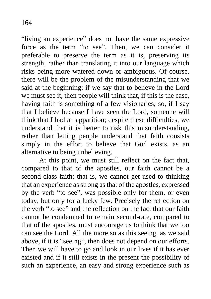"living an experience" does not have the same expressive force as the term "to see". Then, we can consider it preferable to preserve the term as it is, preserving its strength, rather than translating it into our language which risks being more watered down or ambiguous. Of course, there will be the problem of the misunderstanding that we said at the beginning: if we say that to believe in the Lord we must see it, then people will think that, if this is the case, having faith is something of a few visionaries; so, if I say that I believe because I have seen the Lord, someone will think that I had an apparition; despite these difficulties, we understand that it is better to risk this misunderstanding, rather than letting people understand that faith consists simply in the effort to believe that God exists, as an alternative to being unbelieving.

At this point, we must still reflect on the fact that, compared to that of the apostles, our faith cannot be a second-class faith; that is, we cannot get used to thinking that an experience as strong as that of the apostles, expressed by the verb "to see", was possible only for them, or even today, but only for a lucky few. Precisely the reflection on the verb "to see" and the reflection on the fact that our faith cannot be condemned to remain second-rate, compared to that of the apostles, must encourage us to think that we too can see the Lord. All the more so as this seeing, as we said above, if it is "seeing", then does not depend on our efforts. Then we will have to go and look in our lives if it has ever existed and if it still exists in the present the possibility of such an experience, an easy and strong experience such as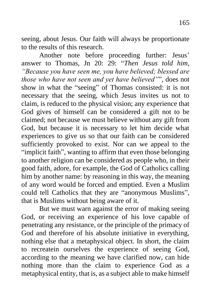seeing, about Jesus. Our faith will always be proportionate to the results of this research.

Another note before proceeding further: Jesus' answer to Thomas, Jn 20: 29: "*Then Jesus told him, "Because you have seen me, you have believed; blessed are those who have not seen and yet have believed"*", does not show in what the "seeing" of Thomas consisted: it is not necessary that the seeing, which Jesus invites us not to claim, is reduced to the physical vision; any experience that God gives of himself can be considered a gift not to be claimed; not because we must believe without any gift from God, but because it is necessary to let him decide what experiences to give us so that our faith can be considered sufficiently provoked to exist. Nor can we appeal to the "implicit faith", wanting to affirm that even those belonging to another religion can be considered as people who, in their good faith, adore, for example, the God of Catholics calling him by another name: by reasoning in this way, the meaning of any word would be forced and emptied. Even a Muslim could tell Catholics that they are "anonymous Muslims", that is Muslims without being aware of it.

But we must warn against the error of making seeing God, or receiving an experience of his love capable of penetrating any resistance, or the principle of the primacy of God and therefore of his absolute initiative in everything, nothing else that a metaphysical object. In short, the claim to recreatein ourselves the experience of seeing God, according to the meaning we have clarified now, can hide nothing more than the claim to experience God as a metaphysical entity, that is, as a subject able to make himself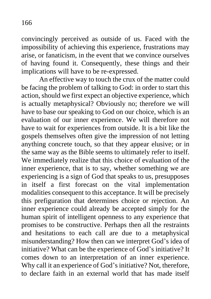convincingly perceived as outside of us. Faced with the impossibility of achieving this experience, frustrations may arise, or fanaticism, in the event that we convince ourselves of having found it. Consequently, these things and their implications will have to be re-expressed.

An effective way to touch the crux of the matter could be facing the problem of talking to God: in order to start this action, should we first expect an objective experience, which is actually metaphysical? Obviously no; therefore we will have to base our speaking to God on our choice, which is an evaluation of our inner experience. We will therefore not have to wait for experiences from outside. It is a bit like the gospels themselves often give the impression of not letting anything concrete touch, so that they appear elusive; or in the same way as the Bible seems to ultimately refer to itself. We immediately realize that this choice of evaluation of the inner experience, that is to say, whether something we are experiencing is a sign of God that speaks to us, presupposes in itself a first forecast on the vital implementation modalities consequent to this acceptance. It will be precisely this prefiguration that determines choice or rejection. An inner experience could already be accepted simply for the human spirit of intelligent openness to any experience that promises to be constructive. Perhaps then all the restraints and hesitations to each call are due to a metaphysical misunderstanding? How then can we interpret God's idea of initiative? What can be the experience of God's initiative? It comes down to an interpretation of an inner experience. Why call it an experience of God's initiative? Not, therefore, to declare faith in an external world that has made itself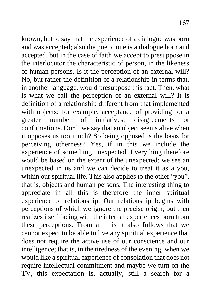known, but to say that the experience of a dialogue was born and was accepted; also the poetic one is a dialogue born and accepted, but in the case of faith we accept to presuppose in the interlocutor the characteristic of person, in the likeness of human persons. Is it the perception of an external will? No, but rather the definition of a relationship in terms that, in another language, would presuppose this fact. Then, what is what we call the perception of an external will? It is definition of a relationship different from that implemented with objects: for example, acceptance of providing for a greater number of initiatives, disagreements or confirmations. Don't we say that an object seems alive when it opposes us too much? So being opposed is the basis for perceiving otherness? Yes, if in this we include the experience of something unexpected. Everything therefore would be based on the extent of the unexpected: we see an unexpected in us and we can decide to treat it as a you, within our spiritual life. This also applies to the other "you", that is, objects and human persons. The interesting thing to appreciate in all this is therefore the inner spiritual experience of relationship. Our relationship begins with perceptions of which we ignore the precise origin, but then realizes itself facing with the internal experiences born from these perceptions. From all this it also follows that we cannot expect to be able to live any spiritual experience that does not require the active use of our conscience and our intelligence; that is, in the tiredness of the evening, when we would like a spiritual experience of consolation that does not require intellectual commitment and maybe we turn on the TV, this expectation is, actually, still a search for a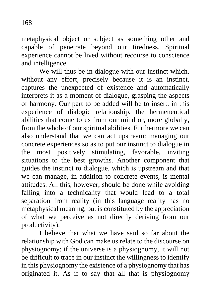metaphysical object or subject as something other and capable of penetrate beyond our tiredness. Spiritual experience cannot be lived without recourse to conscience and intelligence.

We will thus be in dialogue with our instinct which, without any effort, precisely because it is an instinct, captures the unexpected of existence and automatically interprets it as a moment of dialogue, grasping the aspects of harmony. Our part to be added will be to insert, in this experience of dialogic relationship, the hermeneutical abilities that come to us from our mind or, more globally, from the whole of our spiritual abilities. Furthermore we can also understand that we can act upstream: managing our concrete experiences so as to put our instinct to dialogue in the most positively stimulating, favorable, inviting situations to the best growths. Another component that guides the instinct to dialogue, which is upstream and that we can manage, in addition to concrete events, is mental attitudes. All this, however, should be done while avoiding falling into a technicality that would lead to a total separation from reality (in this language reality has no metaphysical meaning, but is constituted by the appreciation of what we perceive as not directly deriving from our productivity).

I believe that what we have said so far about the relationship with God can make us relate to the discourse on physiognomy: if the universe is a physiognomy, it will not be difficult to trace in our instinct the willingness to identify in this physiognomy the existence of a physiognomy that has originated it. As if to say that all that is physiognomy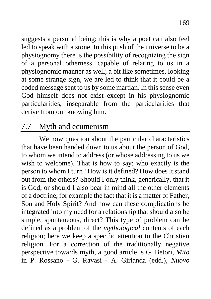suggests a personal being; this is why a poet can also feel led to speak with a stone. In this push of the universe to be a physiognomy there is the possibility of recognizing the sign of a personal otherness, capable of relating to us in a physiognomic manner as well; a bit like sometimes, looking at some strange sign, we are led to think that it could be a coded message sent to us by some martian. In this sense even God himself does not exist except in his physiognomic particularities, inseparable from the particularities that derive from our knowing him.

### 7.7 Myth and ecumenism

We now question about the particular characteristics that have been handed down to us about the person of God, to whom we intend to address (or whose addressing to us we wish to welcome). That is how to say: who exactly is the person to whom I turn? How is it defined? How does it stand out from the others? Should I only think, generically, that it is God, or should I also bear in mind all the other elements of a doctrine, for example the fact that it is a matter of Father, Son and Holy Spirit? And how can these complications be integrated into my need for a relationship that should also be simple, spontaneous, direct? This type of problem can be defined as a problem of the *mythological* contents of each religion; here we keep a specific attention to the Christian religion. For a correction of the traditionally negative perspective towards myth, a good article is G. Betori, *Mito* in P. Rossano - G. Ravasi - A. Girlanda (edd.), *Nuovo*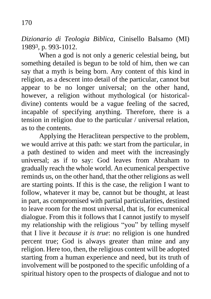*Dizionario di Teologia Biblica*, Cinisello Balsamo (MI) 19893, p. 993-1012.

When a god is not only a generic celestial being, but something detailed is begun to be told of him, then we can say that a myth is being born. Any content of this kind in religion, as a descent into detail of the particular, cannot but appear to be no longer universal; on the other hand, however, a religion without mythological (or historicaldivine) contents would be a vague feeling of the sacred, incapable of specifying anything. Therefore, there is a tension in religion due to the particular / universal relation, as to the contents.

Applying the Heraclitean perspective to the problem, we would arrive at this path: we start from the particular, in a path destined to widen and meet with the increasingly universal; as if to say: God leaves from Abraham to gradually reach the whole world. An ecumenical perspective reminds us, on the other hand, that the other religions as well are starting points. If this is the case, the religion I want to follow, whatever it may be, cannot but be thought, at least in part, as compromised with partial particularities, destined to leave room for the most universal, that is, for ecumenical dialogue. From this it follows that I cannot justify to myself my relationship with the religious "you" by telling myself that I live it *because it is true*: no religion is one hundred percent true; God is always greater than mine and any religion. Here too, then, the religious content will be adopted starting from a human experience and need, but its truth of involvement will be postponed to the specific unfolding of a spiritual history open to the prospects of dialogue and not to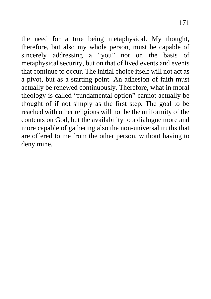the need for a true being metaphysical. My thought, therefore, but also my whole person, must be capable of sincerely addressing a "you" not on the basis of metaphysical security, but on that of lived events and events that continue to occur. The initial choice itself will not act as a pivot, but as a starting point. An adhesion of faith must actually be renewed continuously. Therefore, what in moral theology is called "fundamental option" cannot actually be thought of if not simply as the first step. The goal to be reached with other religions will not be the uniformity of the contents on God, but the availability to a dialogue more and more capable of gathering also the non-universal truths that are offered to me from the other person, without having to deny mine.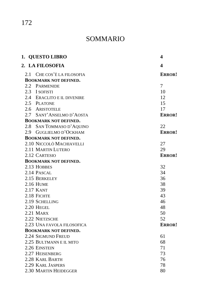172

## SOMMARIO

|                              | 1. QUESTO LIBRO              | 4      |  |
|------------------------------|------------------------------|--------|--|
|                              | 2. LA FILOSOFIA              | 4      |  |
|                              | 2.1 CHE COS'È LA FILOSOFIA   | ERROR! |  |
|                              | <b>BOOKMARK NOT DEFINED.</b> |        |  |
|                              | 2.2 PARMENIDE                | 7      |  |
|                              | 2.3 I SOFISTI                | 10     |  |
|                              | 2.4 ERACLITO E IL DIVENIRE   | 12     |  |
|                              | 2.5 PLATONE                  | 15     |  |
|                              | 2.6 ARISTOTELE               | 17     |  |
|                              | 2.7 SANT'ANSELMO D'AOSTA     | ERROR! |  |
|                              | <b>BOOKMARK NOT DEFINED.</b> |        |  |
|                              | 2.8 SAN TOMMASO D'AQUINO     | 22     |  |
|                              | 2.9 GUGLIELMO D'OCKHAM       | ERROR! |  |
| <b>BOOKMARK NOT DEFINED.</b> |                              |        |  |
|                              | 2.10 NICCOLÒ MACHIAVELLI     | 27     |  |
|                              | 2.11 MARTIN LUTERO           | 29     |  |
|                              | 2.12 CARTESIO                | ERROR! |  |
| <b>BOOKMARK NOT DEFINED.</b> |                              |        |  |
|                              | 2.13 HOBBES                  | 32     |  |
|                              | 2.14 PASCAL                  | 34     |  |
|                              | 2.15 BERKELEY                | 36     |  |
|                              | 2.16 HUME                    | 38     |  |
|                              | 2.17 KANT                    | 39     |  |
|                              | 2.18 FICHTE                  | 43     |  |
|                              | 2.19 SCHELLING               | 46     |  |
|                              | 2.20 HEGEL                   | 48     |  |
|                              | $2.21$ MARX                  | 50     |  |
|                              | 2.22 NIETZSCHE               | 52     |  |
|                              | 2.23 UNA FAVOLA FILOSOFICA   | ERROR! |  |
|                              | <b>BOOKMARK NOT DEFINED.</b> |        |  |
|                              | 2.24 SIGMUND FREUD           | 61     |  |
|                              | 2.25 BULTMANN E IL MITO      | 68     |  |
|                              | 2.26 EINSTEIN                | 71     |  |
|                              | 2.27 HEISENBERG              | 73     |  |
|                              | 2.28 KARL BARTH              | 76     |  |
|                              | 2.29 KARL JASPERS            | 78     |  |
|                              | 2.30 MARTIN HEIDEGGER        | 80     |  |